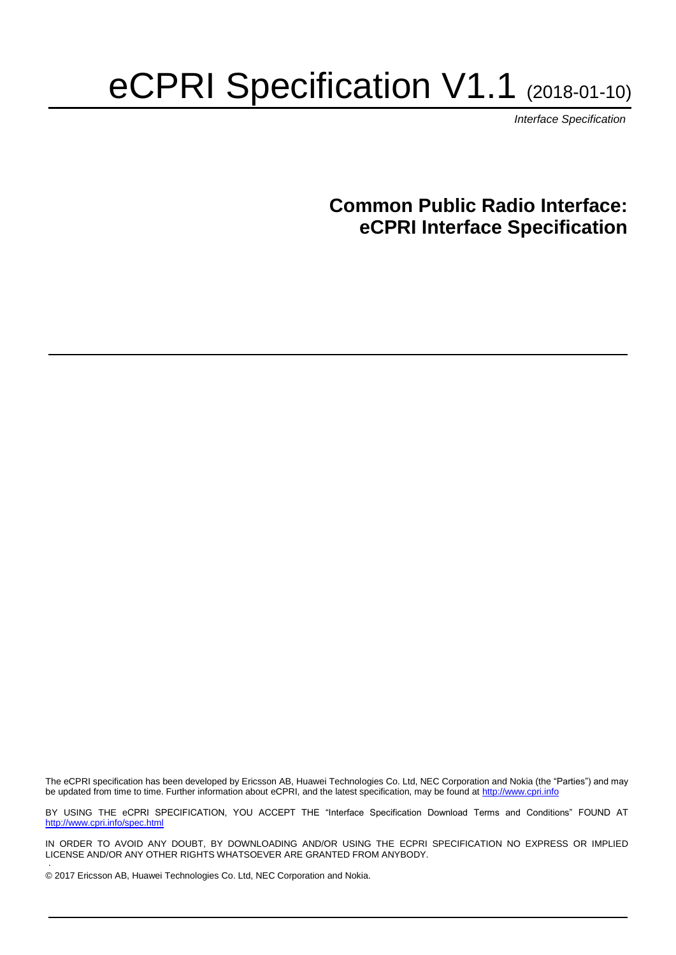# eCPRI Specification V1.1 (2018-01-10)

*Interface Specification*

### **Common Public Radio Interface: eCPRI Interface Specification**

The eCPRI specification has been developed by Ericsson AB, Huawei Technologies Co. Ltd, NEC Corporation and Nokia (the "Parties") and may be updated from time to time. Further information about eCPRI, and the latest specification, may be found a[t http://www.cpri.info](http://www.cpri.info/)

BY USING THE eCPRI SPECIFICATION, YOU ACCEPT THE "Interface Specification Download Terms and Conditions" FOUND AT <http://www.cpri.info/spec.html>

IN ORDER TO AVOID ANY DOUBT, BY DOWNLOADING AND/OR USING THE ECPRI SPECIFICATION NO EXPRESS OR IMPLIED LICENSE AND/OR ANY OTHER RIGHTS WHATSOEVER ARE GRANTED FROM ANYBODY. .

© 2017 Ericsson AB, Huawei Technologies Co. Ltd, NEC Corporation and Nokia.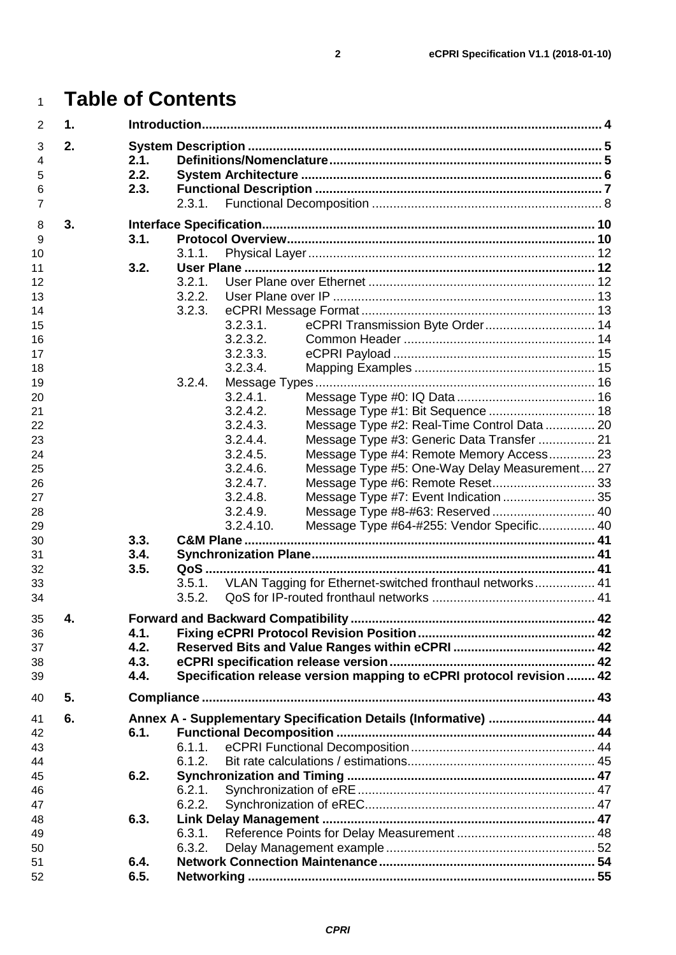## **Table of Contents**

| $\overline{2}$ | $\mathbf 1$ . |      |        |           |                                                                      |  |
|----------------|---------------|------|--------|-----------|----------------------------------------------------------------------|--|
| 3              | 2.            |      |        |           |                                                                      |  |
| $\overline{4}$ |               | 2.1. |        |           |                                                                      |  |
| 5              |               | 2.2. |        |           |                                                                      |  |
| 6              |               | 2.3. |        |           |                                                                      |  |
| $\overline{7}$ |               |      | 2.3.1. |           |                                                                      |  |
| 8              | 3.            |      |        |           |                                                                      |  |
| 9              |               | 3.1. |        |           |                                                                      |  |
| 10             |               |      | 3.1.1. |           |                                                                      |  |
| 11             |               | 3.2. |        |           |                                                                      |  |
| 12             |               |      | 3.2.1. |           |                                                                      |  |
| 13             |               |      | 3.2.2. |           |                                                                      |  |
| 14             |               |      | 3.2.3. |           |                                                                      |  |
| 15             |               |      |        | 3.2.3.1.  | eCPRI Transmission Byte Order 14                                     |  |
| 16             |               |      |        | 3.2.3.2.  |                                                                      |  |
| 17             |               |      |        | 3.2.3.3.  |                                                                      |  |
| 18             |               |      |        | 3.2.3.4.  |                                                                      |  |
| 19             |               |      | 3.2.4. |           |                                                                      |  |
| 20             |               |      |        | 3.2.4.1.  |                                                                      |  |
| 21             |               |      |        | 3.2.4.2.  | Message Type #1: Bit Sequence  18                                    |  |
| 22             |               |      |        | 3.2.4.3.  | Message Type #2: Real-Time Control Data  20                          |  |
| 23             |               |      |        | 3.2.4.4.  | Message Type #3: Generic Data Transfer  21                           |  |
| 24             |               |      |        | 3.2.4.5.  | Message Type #4: Remote Memory Access 23                             |  |
| 25             |               |      |        | 3.2.4.6.  | Message Type #5: One-Way Delay Measurement 27                        |  |
| 26             |               |      |        | 3.2.4.7.  | Message Type #6: Remote Reset 33                                     |  |
| 27             |               |      |        | 3.2.4.8.  | Message Type #7: Event Indication  35                                |  |
| 28             |               |      |        | 3.2.4.9.  | Message Type #8-#63: Reserved  40                                    |  |
| 29             |               |      |        | 3.2.4.10. | Message Type #64-#255: Vendor Specific 40                            |  |
| 30             |               | 3.3. |        |           |                                                                      |  |
| 31             |               | 3.4. |        |           |                                                                      |  |
| 32             |               | 3.5. |        |           |                                                                      |  |
| 33             |               |      | 3.5.1. |           | VLAN Tagging for Ethernet-switched fronthaul networks 41             |  |
| 34             |               |      | 3.5.2. |           |                                                                      |  |
| 35             | 4.            |      |        |           |                                                                      |  |
| 36             |               | 4.1. |        |           |                                                                      |  |
| 37             |               | 4.2. |        |           |                                                                      |  |
| 38             |               | 4.3. |        |           |                                                                      |  |
| 39             |               | 4.4. |        |           | Specification release version mapping to eCPRI protocol revision  42 |  |
| 40             | 5.            |      |        |           |                                                                      |  |
| 41             | 6.            |      |        |           | Annex A - Supplementary Specification Details (Informative)  44      |  |
| 42             |               | 6.1. |        |           |                                                                      |  |
| 43             |               |      | 6.1.1. |           |                                                                      |  |
| 44             |               |      | 6.1.2. |           |                                                                      |  |
| 45             |               | 6.2. |        |           |                                                                      |  |
| 46             |               |      | 6.2.1. |           |                                                                      |  |
| 47             |               |      | 6.2.2. |           |                                                                      |  |
| 48             |               | 6.3. |        |           |                                                                      |  |
| 49             |               |      | 6.3.1. |           |                                                                      |  |
| 50             |               |      | 6.3.2. |           |                                                                      |  |
| 51             |               | 6.4. |        |           |                                                                      |  |
| 52             |               | 6.5. |        |           |                                                                      |  |
|                |               |      |        |           |                                                                      |  |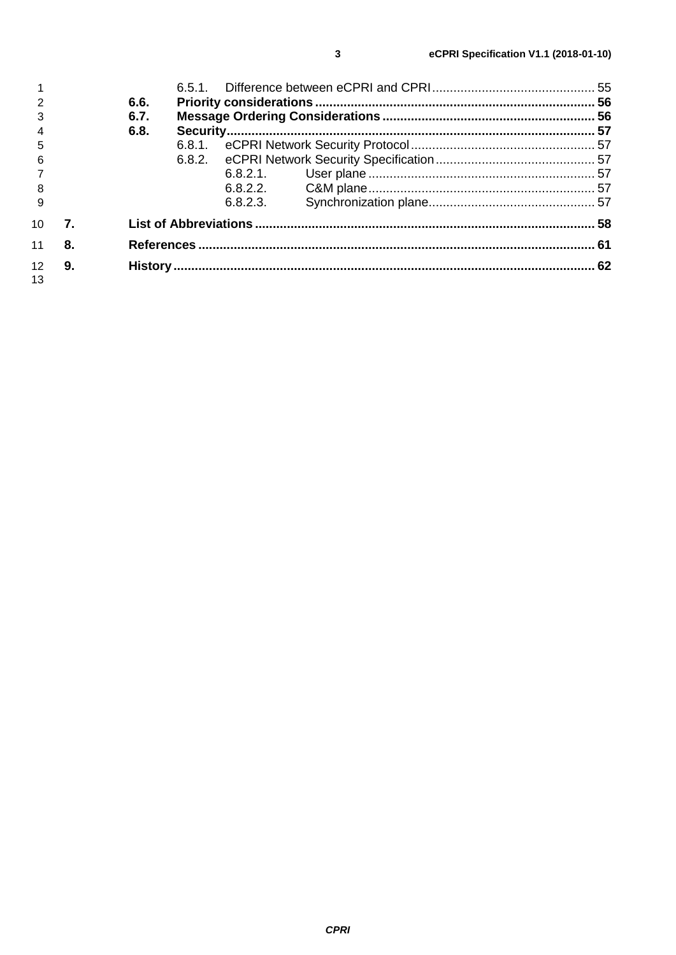|                 |    | 6.6. |          |  |
|-----------------|----|------|----------|--|
|                 |    | 6.7. |          |  |
|                 |    | 6.8. |          |  |
| 5               |    |      |          |  |
| - 6             |    |      |          |  |
|                 |    |      | 6.8.2.1. |  |
| - 8             |    |      | 6.8.2.2. |  |
|                 |    |      | 6.8.2.3. |  |
| 10 <sup>1</sup> | 7. |      |          |  |
| 11              | 8. |      |          |  |
| 12              | 9. |      |          |  |
| 13              |    |      |          |  |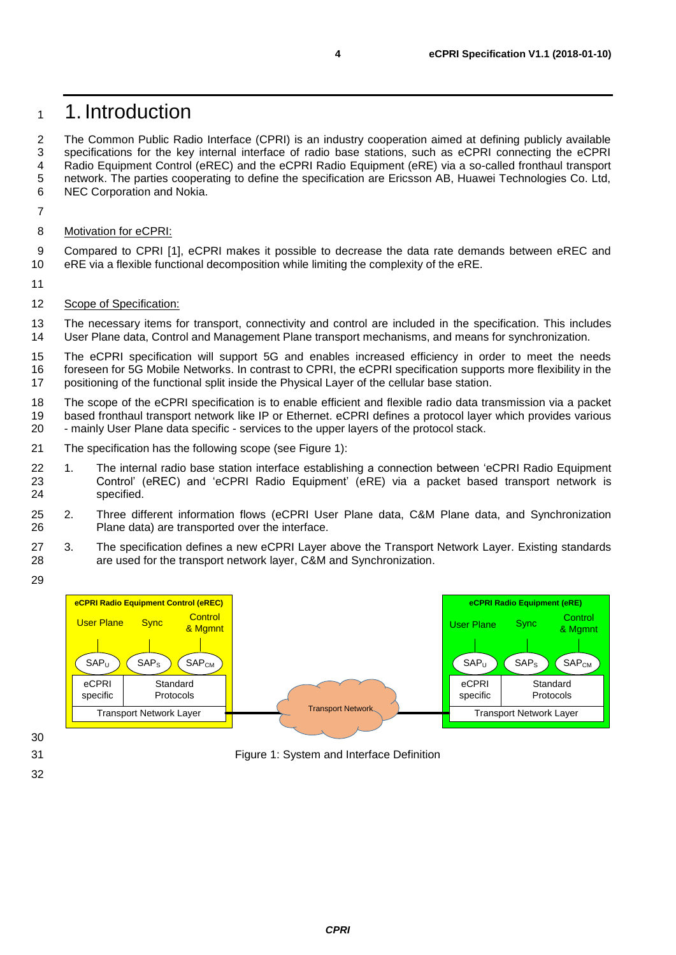### <span id="page-3-0"></span>1. Introduction

 The Common Public Radio Interface (CPRI) is an industry cooperation aimed at defining publicly available specifications for the key internal interface of radio base stations, such as eCPRI connecting the eCPRI Radio Equipment Control (eREC) and the eCPRI Radio Equipment (eRE) via a so-called fronthaul transport 5 network. The parties cooperating to define the specification are Ericsson AB, Huawei Technologies Co. Ltd, 6<br>6 NEC Corporation and Nokia. NEC Corporation and Nokia.

- 
- Motivation for eCPRI:

 Compared to CPRI [\[1\],](#page-60-1) eCPRI makes it possible to decrease the data rate demands between eREC and eRE via a flexible functional decomposition while limiting the complexity of the eRE.

- 
- 12 Scope of Specification:

 The necessary items for transport, connectivity and control are included in the specification. This includes User Plane data, Control and Management Plane transport mechanisms, and means for synchronization.

15 The eCPRI specification will support 5G and enables increased efficiency in order to meet the needs<br>16 foreseen for 5G Mobile Networks. In contrast to CPRI, the eCPRI specification supports more flexibility in the foreseen for 5G Mobile Networks. In contrast to CPRI, the eCPRI specification supports more flexibility in the positioning of the functional split inside the Physical Layer of the cellular base station.

18 The scope of the eCPRI specification is to enable efficient and flexible radio data transmission via a packet<br>19 based fronthaul transport network like IP or Ethernet, eCPRI defines a protocol laver which provides vario based fronthaul transport network like IP or Ethernet. eCPRI defines a protocol layer which provides various - mainly User Plane data specific - services to the upper layers of the protocol stack.

- The specification has the following scope (see [Figure 1\)](#page-3-1):
- 1. The internal radio base station interface establishing a connection between 'eCPRI Radio Equipment Control' (eREC) and 'eCPRI Radio Equipment' (eRE) via a packet based transport network is specified.
- 2. Three different information flows (eCPRI User Plane data, C&M Plane data, and Synchronization Plane data) are transported over the interface.
- 3. The specification defines a new eCPRI Layer above the Transport Network Layer. Existing standards are used for the transport network layer, C&M and Synchronization.
- 



<span id="page-3-1"></span>Figure 1: System and Interface Definition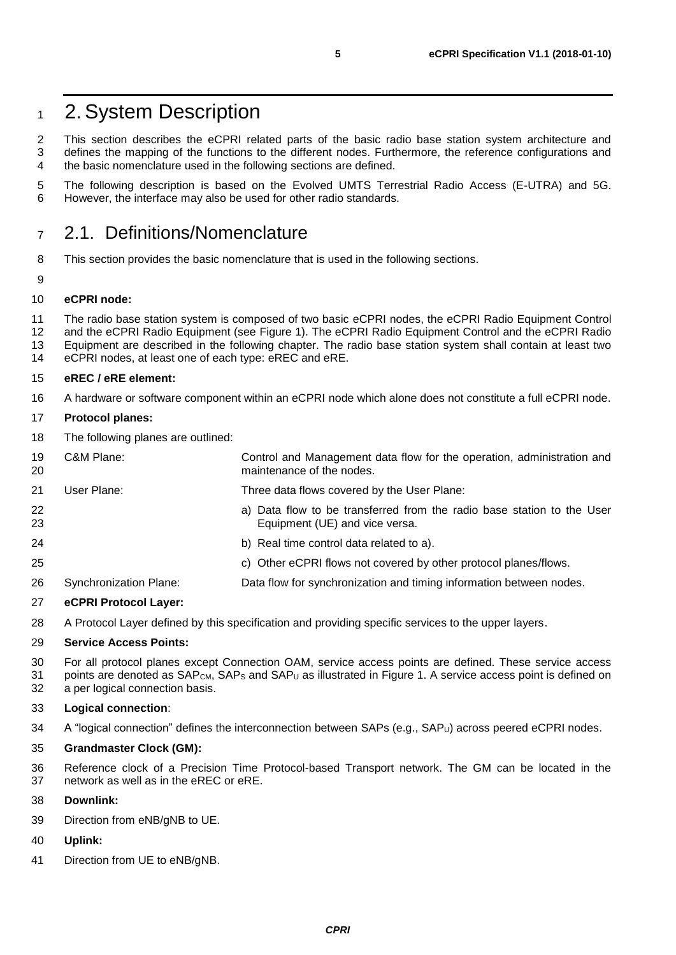### <span id="page-4-0"></span>2.System Description

 This section describes the eCPRI related parts of the basic radio base station system architecture and defines the mapping of the functions to the different nodes. Furthermore, the reference configurations and the basic nomenclature used in the following sections are defined.

 The following description is based on the Evolved UMTS Terrestrial Radio Access (E-UTRA) and 5G. However, the interface may also be used for other radio standards.

### <span id="page-4-1"></span>2.1. Definitions/Nomenclature

- This section provides the basic nomenclature that is used in the following sections.
- 

**eCPRI node:**

11 The radio base station system is composed of two basic eCPRI nodes, the eCPRI Radio Equipment Control<br>12 and the eCPRI Radio Equipment (see Figure 1). The eCPRI Radio Equipment Control and the eCPRI Radio

- and the eCPRI Radio Equipment (see [Figure 1\)](#page-3-1). The eCPRI Radio Equipment Control and the eCPRI Radio Equipment are described in the following chapter. The radio base station system shall contain at least two eCPRI nodes, at least one of each type: eREC and eRE.
- **eREC / eRE element:**
- A hardware or software component within an eCPRI node which alone does not constitute a full eCPRI node.

#### **Protocol planes:**

The following planes are outlined:

| 19<br>20 | C&M Plane:             | Control and Management data flow for the operation, administration and<br>maintenance of the nodes.      |
|----------|------------------------|----------------------------------------------------------------------------------------------------------|
| 21       | User Plane:            | Three data flows covered by the User Plane:                                                              |
| 22<br>23 |                        | a) Data flow to be transferred from the radio base station to the User<br>Equipment (UE) and vice versa. |
| 24       |                        | b) Real time control data related to a).                                                                 |
| 25       |                        | c) Other eCPRI flows not covered by other protocol planes/flows.                                         |
| 26       | Synchronization Plane: | Data flow for synchronization and timing information between nodes.                                      |
| $\sim$   | ACDDI Dratagal Lavori  |                                                                                                          |

#### **eCPRI Protocol Layer:**

A Protocol Layer defined by this specification and providing specific services to the upper layers.

#### **Service Access Points:**

 For all protocol planes except Connection OAM, service access points are defined. These service access 31 points are denoted as  $SAP<sub>CM</sub>$ ,  $SAP<sub>S</sub>$  and  $SAP<sub>U</sub>$  as illustrated in [Figure 1.](#page-3-1) A service access point is defined on a per logical connection basis.

#### **Logical connection**:

A "logical connection" defines the interconnection between SAPs (e.g., SAPU) across peered eCPRI nodes.

#### **Grandmaster Clock (GM):**

 Reference clock of a Precision Time Protocol-based Transport network. The GM can be located in the network as well as in the eREC or eRE.

#### **Downlink:**

- Direction from eNB/gNB to UE.
- **Uplink:**
- Direction from UE to eNB/gNB.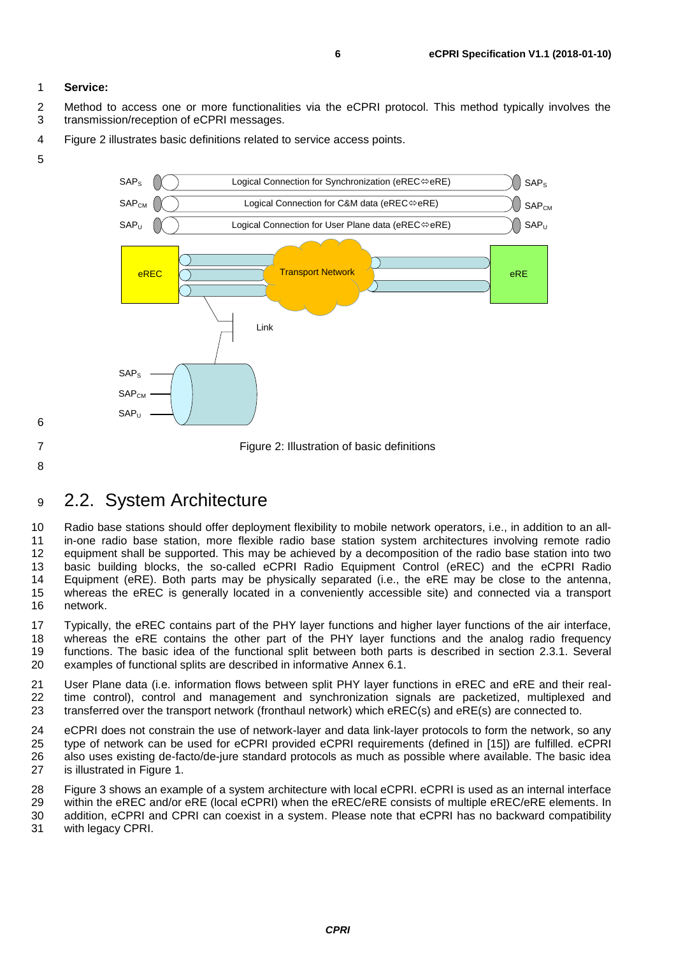#### **Service:**

 Method to access one or more functionalities via the eCPRI protocol. This method typically involves the transmission/reception of eCPRI messages.

[Figure 2](#page-5-1) illustrates basic definitions related to service access points.



<span id="page-5-1"></span>Figure 2: Illustration of basic definitions

### <span id="page-5-0"></span>2.2. System Architecture

10 Radio base stations should offer deployment flexibility to mobile network operators, i.e., in addition to an all-<br>11 in-one radio base station, more flexible radio base station system architectures involving remote radi in-one radio base station, more flexible radio base station system architectures involving remote radio equipment shall be supported. This may be achieved by a decomposition of the radio base station into two basic building blocks, the so-called eCPRI Radio Equipment Control (eREC) and the eCPRI Radio Equipment (eRE). Both parts may be physically separated (i.e., the eRE may be close to the antenna, whereas the eREC is generally located in a conveniently accessible site) and connected via a transport network.

 Typically, the eREC contains part of the PHY layer functions and higher layer functions of the air interface, whereas the eRE contains the other part of the PHY layer functions and the analog radio frequency functions. The basic idea of the functional split between both parts is described in section [2.3.1.](#page-7-0) Several examples of functional splits are described in informative Annex [6.1.](#page-43-1)

 User Plane data (i.e. information flows between split PHY layer functions in eREC and eRE and their real- time control), control and management and synchronization signals are packetized, multiplexed and transferred over the transport network (fronthaul network) which eREC(s) and eRE(s) are connected to.

 eCPRI does not constrain the use of network-layer and data link-layer protocols to form the network, so any type of network can be used for eCPRI provided eCPRI requirements (defined in [\[15\]\)](#page-60-2) are fulfilled. eCPRI also uses existing de-facto/de-jure standard protocols as much as possible where available. The basic idea is illustrated in [Figure 1.](#page-3-1)

 [Figure 3](#page-6-1) shows an example of a system architecture with local eCPRI. eCPRI is used as an internal interface within the eREC and/or eRE (local eCPRI) when the eREC/eRE consists of multiple eREC/eRE elements. In addition, eCPRI and CPRI can coexist in a system. Please note that eCPRI has no backward compatibility

with legacy CPRI.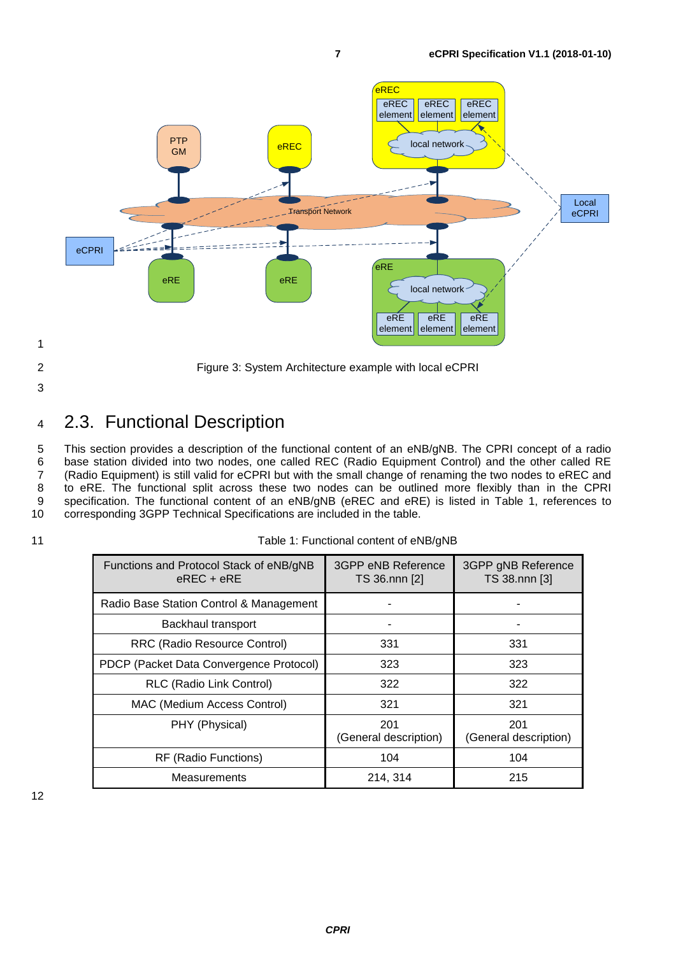

<span id="page-6-1"></span>

2 Figure 3: System Architecture example with local eCPRI

3

<span id="page-6-0"></span><sup>4</sup> 2.3. Functional Description

5 This section provides a description of the functional content of an eNB/gNB. The CPRI concept of a radio 6 base station divided into two nodes, one called REC (Radio Equipment Control) and the other called RE 7 (Radio Equipment) is still valid for eCPRI but with the small change of renaming the two nodes to eREC and<br>8 to eRE. The functional split across these two nodes can be outlined more flexibly than in the CPRI to eRE. The functional split across these two nodes can be outlined more flexibly than in the CPRI 9 specification. The functional content of an eNB/gNB (eREC and eRE) is listed in [Table 1,](#page-6-2) references to<br>10 corresponding 3GPP Technical Specifications are included in the table. corresponding 3GPP Technical Specifications are included in the table.

<span id="page-6-2"></span>

| Table 1: Functional content of eNB/gNB<br>11 |  |
|----------------------------------------------|--|
|----------------------------------------------|--|

| Functions and Protocol Stack of eNB/gNB<br>$e$ REC + $e$ RE | 3GPP eNB Reference<br>TS 36.nnn [2] | 3GPP gNB Reference<br>TS 38.nnn [3] |
|-------------------------------------------------------------|-------------------------------------|-------------------------------------|
| Radio Base Station Control & Management                     |                                     |                                     |
| Backhaul transport                                          |                                     |                                     |
| RRC (Radio Resource Control)                                | 331                                 | 331                                 |
| PDCP (Packet Data Convergence Protocol)                     | 323                                 | 323                                 |
| RLC (Radio Link Control)                                    | 322                                 | 322                                 |
| <b>MAC (Medium Access Control)</b>                          | 321                                 | 321                                 |
| PHY (Physical)                                              | 201<br>(General description)        | 201<br>(General description)        |
| RF (Radio Functions)                                        | 104                                 | 104                                 |
| Measurements                                                | 214, 314                            | 215                                 |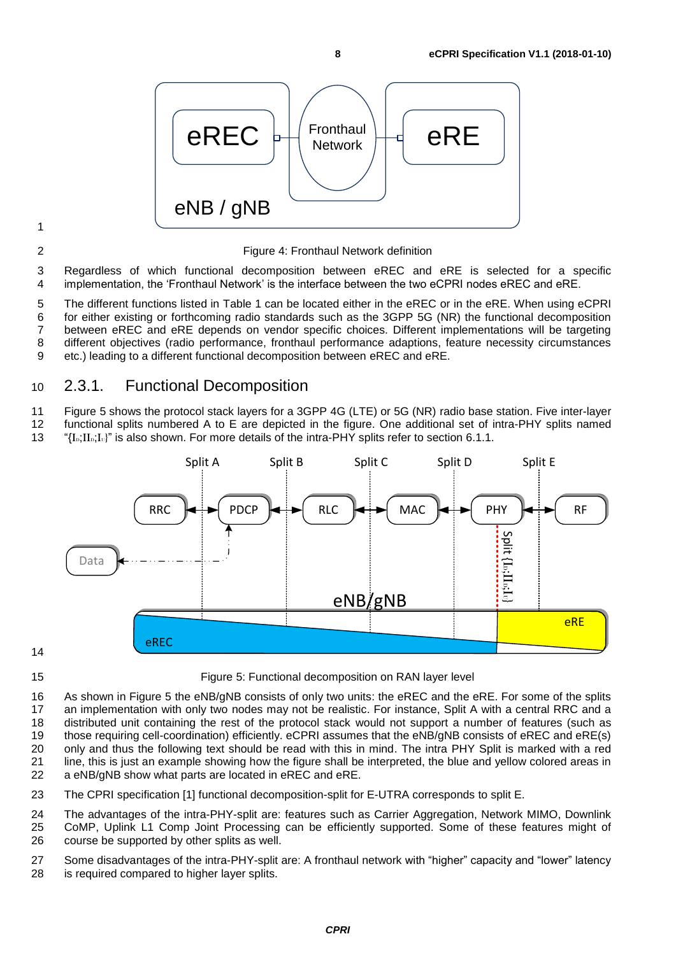

#### 2 Figure 4: Fronthaul Network definition

3 Regardless of which functional decomposition between eREC and eRE is selected for a specific 4 implementation, the 'Fronthaul Network' is the interface between the two eCPRI nodes eREC and eRE.

 The different functions listed in [Table 1](#page-6-2) can be located either in the eREC or in the eRE. When using eCPRI for either existing or forthcoming radio standards such as the 3GPP 5G (NR) the functional decomposition between eREC and eRE depends on vendor specific choices. Different implementations will be targeting different objectives (radio performance, fronthaul performance adaptions, feature necessity circumstances etc.) leading to a different functional decomposition between eREC and eRE.

#### <span id="page-7-0"></span>10 2.3.1. Functional Decomposition

11 [Figure 5](#page-7-1) shows the protocol stack layers for a 3GPP 4G (LTE) or 5G (NR) radio base station. Five inter-layer

12 functional splits numbered A to E are depicted in the figure. One additional set of intra-PHY splits named

13 " ${I}_{\rm{Li},II_{\rm{D}};I_{\rm{U}}}$ " is also shown. For more details of the intra-PHY splits refer to section [6.1.1.](#page-43-2)



<span id="page-7-1"></span>15 Figure 5: Functional decomposition on RAN layer level

 As shown in [Figure 5](#page-7-1) the eNB/gNB consists of only two units: the eREC and the eRE. For some of the splits an implementation with only two nodes may not be realistic. For instance, Split A with a central RRC and a distributed unit containing the rest of the protocol stack would not support a number of features (such as those requiring cell-coordination) efficiently. eCPRI assumes that the eNB/gNB consists of eREC and eRE(s) only and thus the following text should be read with this in mind. The intra PHY Split is marked with a red 21 line, this is just an example showing how the figure shall be interpreted, the blue and yellow colored areas in <br>22 a eNB/gNB show what parts are located in eREC and eRE. a eNB/gNB show what parts are located in eREC and eRE.

23 The CPRI specification [\[1\]](#page-60-1) functional decomposition-split for E-UTRA corresponds to split E.

24 The advantages of the intra-PHY-split are: features such as Carrier Aggregation, Network MIMO, Downlink

25 CoMP, Uplink L1 Comp Joint Processing can be efficiently supported. Some of these features might of 26 course be supported by other splits as well.

27 Some disadvantages of the intra-PHY-split are: A fronthaul network with "higher" capacity and "lower" latency<br>28 is required compared to higher laver splits. is required compared to higher layer splits.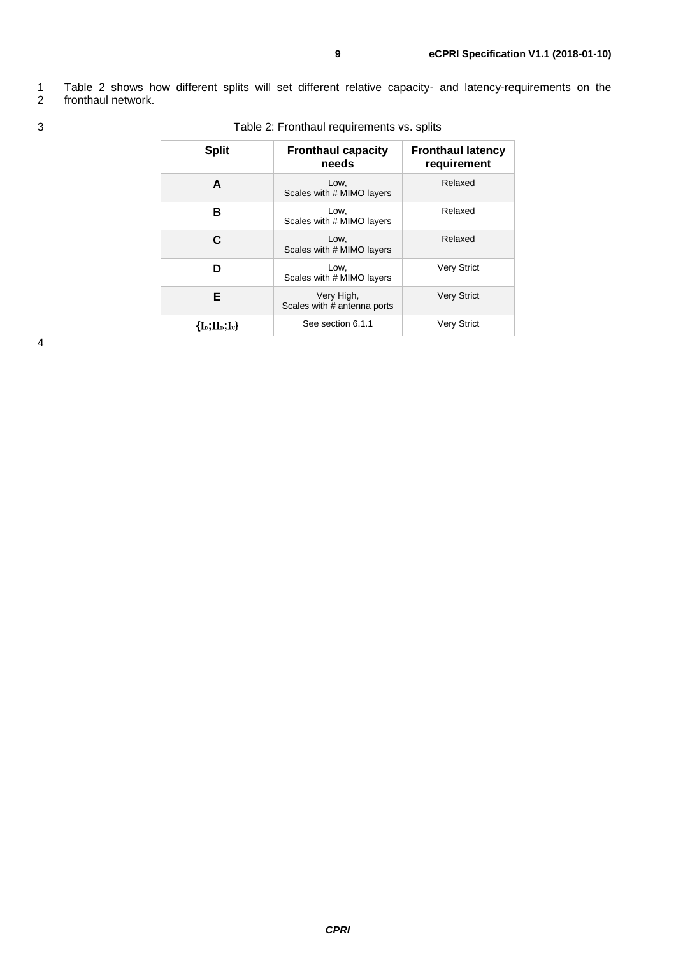1 [Table 2](#page-8-0) shows how different splits will set different relative capacity- and latency-requirements on the fronthaul network.

| <b>Fronthaul capacity</b><br>needs        | <b>Fronthaul latency</b><br>requirement |  |
|-------------------------------------------|-----------------------------------------|--|
| Low,<br>Scales with # MIMO layers         | Relaxed                                 |  |
| Low,<br>Scales with # MIMO layers         | Relaxed                                 |  |
| Low,<br>Scales with # MIMO layers         | Relaxed                                 |  |
| Low,<br>Scales with # MIMO layers         | <b>Very Strict</b>                      |  |
| Very High,<br>Scales with # antenna ports | <b>Very Strict</b>                      |  |
| See section 6.1.1                         | <b>Very Strict</b>                      |  |
|                                           |                                         |  |

#### <span id="page-8-0"></span>3 Table 2: Fronthaul requirements vs. splits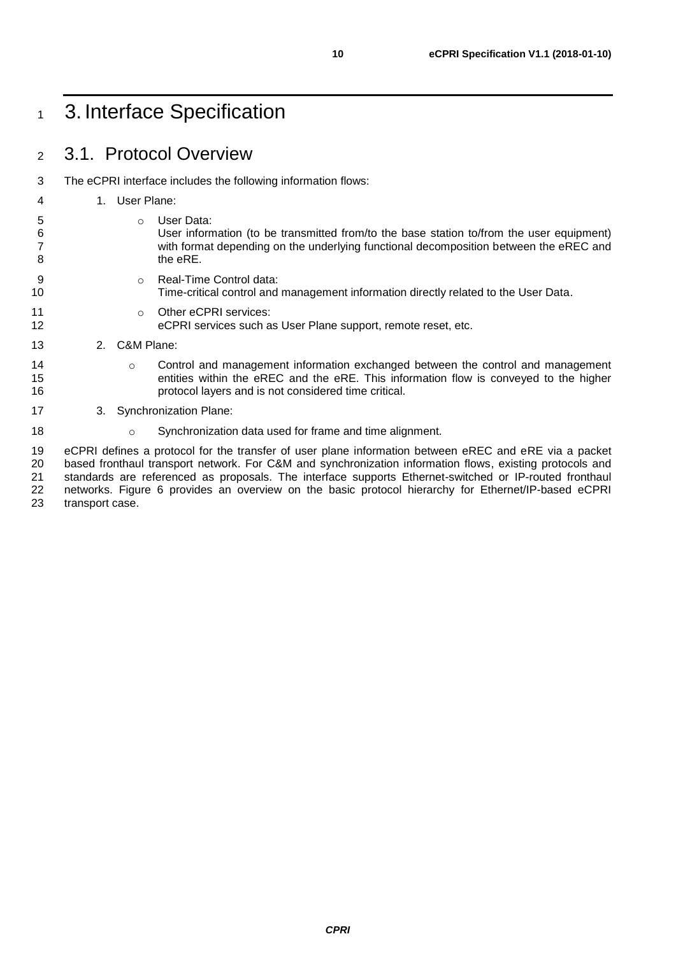### <span id="page-9-1"></span><span id="page-9-0"></span>3.1. Protocol Overview

The eCPRI interface includes the following information flows:

### 1. User Plane:

- 
- 5 o User Data:<br>6 User inform User information (to be transmitted from/to the base station to/from the user equipment) with format depending on the underlying functional decomposition between the eREC and 8 the eRE.
- **b** o Real-Time Control data:
- Time-critical control and management information directly related to the User Data.
- 11 o Other eCPRI services:
- eCPRI services such as User Plane support, remote reset, etc.
- 2. C&M Plane:
- **can be Control and management information exchanged between the control and management**  entities within the eREC and the eRE. This information flow is conveyed to the higher protocol layers and is not considered time critical.
- 3. Synchronization Plane:
- **18** o Synchronization data used for frame and time alignment.

 eCPRI defines a protocol for the transfer of user plane information between eREC and eRE via a packet 20 based fronthaul transport network. For C&M and synchronization information flows, existing protocols and 21 standards are referenced as proposals. The interface supports Ethernet-switched or IP-routed fronthaul 21 standards are referenced as proposals. The interface supports Ethernet-switched or IP-routed fronthaul<br>22 networks. Figure 6 provides an overview on the basic protocol hierarchy for Ethernet/IP-based eCPRI networks. [Figure 6](#page-10-0) provides an overview on the basic protocol hierarchy for Ethernet/IP-based eCPRI transport case.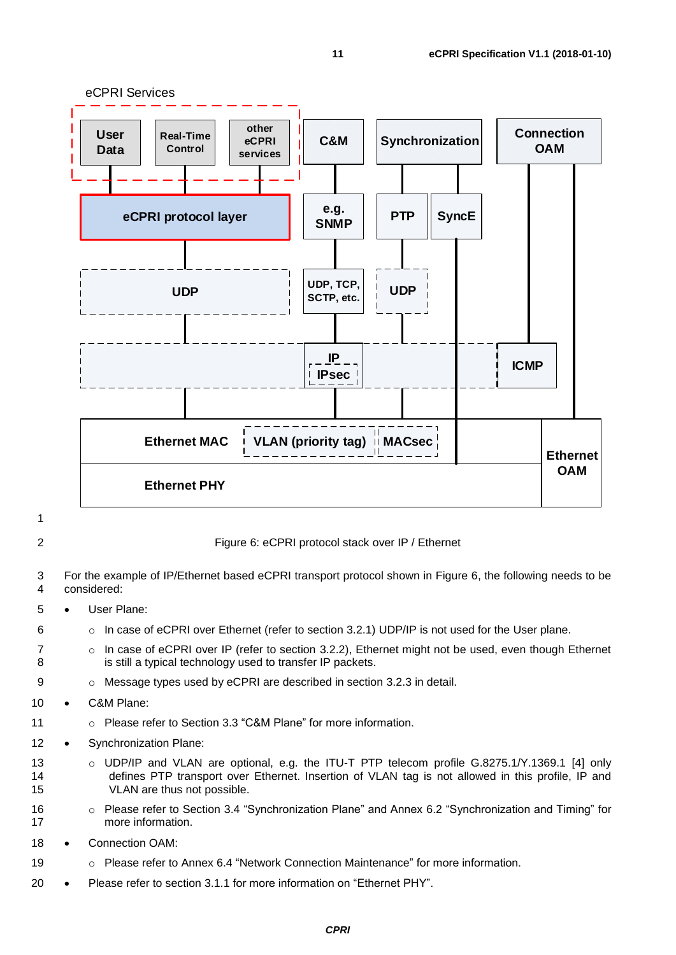

#### <span id="page-10-0"></span>2 Figure 6: eCPRI protocol stack over IP / Ethernet

3 For the example of IP/Ethernet based eCPRI transport protocol shown in [Figure 6,](#page-10-0) the following needs to be<br>4 considered: considered:

- 5 User Plane:
- 6 **o** In case of eCPRI over Ethernet (refer to section [3.2.1\)](#page-11-2) UDP/IP is not used for the User plane.
- 7 o In case of eCPRI over IP (refer to section [3.2.2\)](#page-12-0), Ethernet might not be used, even though Ethernet 8 is still a typical technology used to transfer IP packets.
- 9 o Message types used by eCPRI are described in section [3.2.3](#page-12-1) in detail.
- 10 C&M Plane:
- 11 o Please refer to Section [3.3](#page-40-0) "C&M Plane" for more information.
- 12 Synchronization Plane:
- 13 o UDP/IP and VLAN are optional, e.g. the ITU-T PTP telecom profile G.8275.1/Y.1369.1 [\[4\]](#page-60-5) only 14 defines PTP transport over Ethernet. Insertion of VLAN tag is not allowed in this profile, IP and 15 VLAN are thus not possible.
- 16 **o** Please refer to Section [3.4](#page-40-1) "Synchronization Plane" and Annex [6.2](#page-46-0) "Synchronization and Timing" for 17 more information.
- 18 Connection OAM:
- 19 o Please refer to Annex [6.4](#page-53-0) "Network Connection Maintenance" for more information.
- 20 Please refer to section [3.1.1](#page-11-0) for more information on "Ethernet PHY".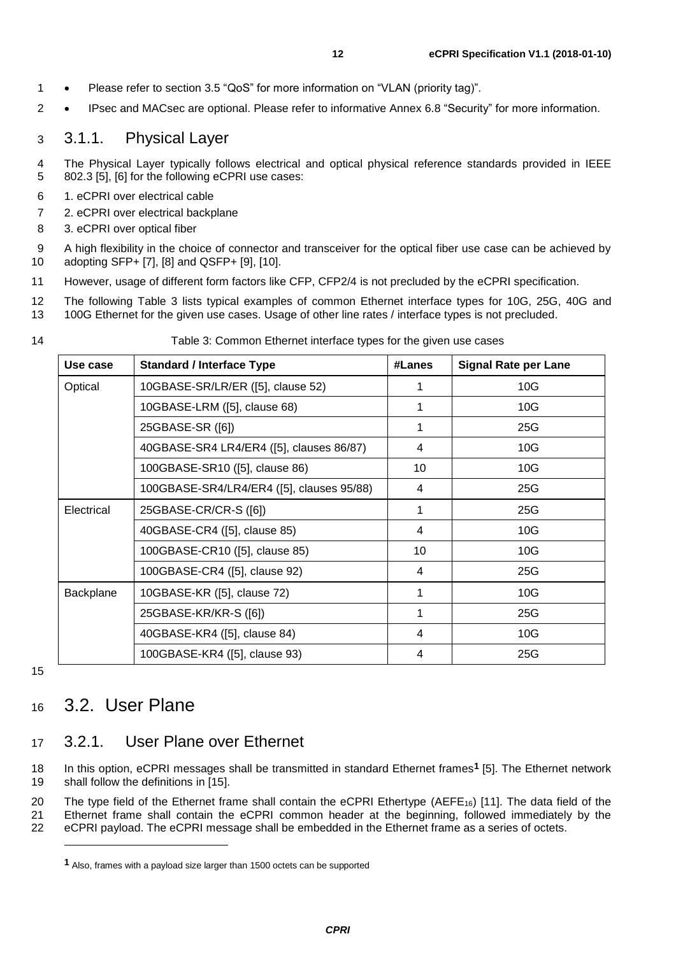2 • IPsec and MACsec are optional. Please refer to informative Annex [6.8](#page-56-0) "Security" for more information.

### <span id="page-11-0"></span>3 3.1.1. Physical Layer

- 4 The Physical Layer typically follows electrical and optical physical reference standards provided in IEEE 5 802.3 [\[5\],](#page-60-6) [\[6\]](#page-60-7) for the following eCPRI use cases:
- 6 1. eCPRI over electrical cable
- 7 2. eCPRI over electrical backplane
- 8 3. eCPRI over optical fiber
- 9 A high flexibility in the choice of connector and transceiver for the optical fiber use case can be achieved by<br>10 adopting SFP+ [7], [8] and QSFP+ [9], [10]. adopting SFP+ [\[7\],](#page-60-8) [\[8\]](#page-60-9) and QSFP+ [\[9\],](#page-60-10) [\[10\].](#page-60-11)
- 11 However, usage of different form factors like CFP, CFP2/4 is not precluded by the eCPRI specification.
- 12 The following [Table 3](#page-11-3) lists typical examples of common Ethernet interface types for 10G, 25G, 40G and
- 13 100G Ethernet for the given use cases. Usage of other line rates / interface types is not precluded.

| ٦<br>۰, |  |
|---------|--|
|         |  |

#### Table 3: Common Ethernet interface types for the given use cases

<span id="page-11-3"></span>

| Use case   | <b>Standard / Interface Type</b>          | #Lanes | <b>Signal Rate per Lane</b> |
|------------|-------------------------------------------|--------|-----------------------------|
| Optical    | 10GBASE-SR/LR/ER ([5], clause 52)         |        | 10G                         |
|            | 10GBASE-LRM ([5], clause 68)              | 1      | 10G                         |
|            | 25GBASE-SR ([6])                          | 1      | 25G                         |
|            | 40GBASE-SR4 LR4/ER4 ([5], clauses 86/87)  | 4      | 10G                         |
|            | 100GBASE-SR10 ([5], clause 86)            | 10     | 10G                         |
|            | 100GBASE-SR4/LR4/ER4 ([5], clauses 95/88) | 4      | 25G                         |
| Electrical | 25GBASE-CR/CR-S ([6])                     | 1      | 25G                         |
|            | 40GBASE-CR4 ([5], clause 85)              | 4      | 10G                         |
|            | 100GBASE-CR10 ([5], clause 85)            | 10     | 10G                         |
|            | 100GBASE-CR4 ([5], clause 92)             | 4      | 25G                         |
| Backplane  | 10GBASE-KR ([5], clause 72)               | 1      | 10G                         |
|            | 25GBASE-KR/KR-S ([6])                     | 1      | 25G                         |
|            | 40GBASE-KR4 ([5], clause 84)              | 4      | 10G                         |
|            | 100GBASE-KR4 ([5], clause 93)             | 4      | 25G                         |

15

1

### <span id="page-11-1"></span><sup>16</sup> 3.2. User Plane

### <span id="page-11-2"></span>17 3.2.1. User Plane over Ethernet

In this option, eCPRI messages shall be transmitted in standard Ethernet frames**1** 18 [\[5\].](#page-60-6) The Ethernet network 19 shall follow the definitions in [\[15\].](#page-60-2)

20 The type field of the Ethernet frame shall contain the eCPRI Ethertype (AEFE<sub>16</sub>) [\[11\].](#page-60-12) The data field of the 21 Ethernet frame shall contain the eCPRI common header at the beginning, followed immediately by the 22 eCPRI payload. The eCPRI message shall be embedded in the Ethernet frame as a series of octets.

**<sup>1</sup>** Also, frames with a payload size larger than 1500 octets can be supported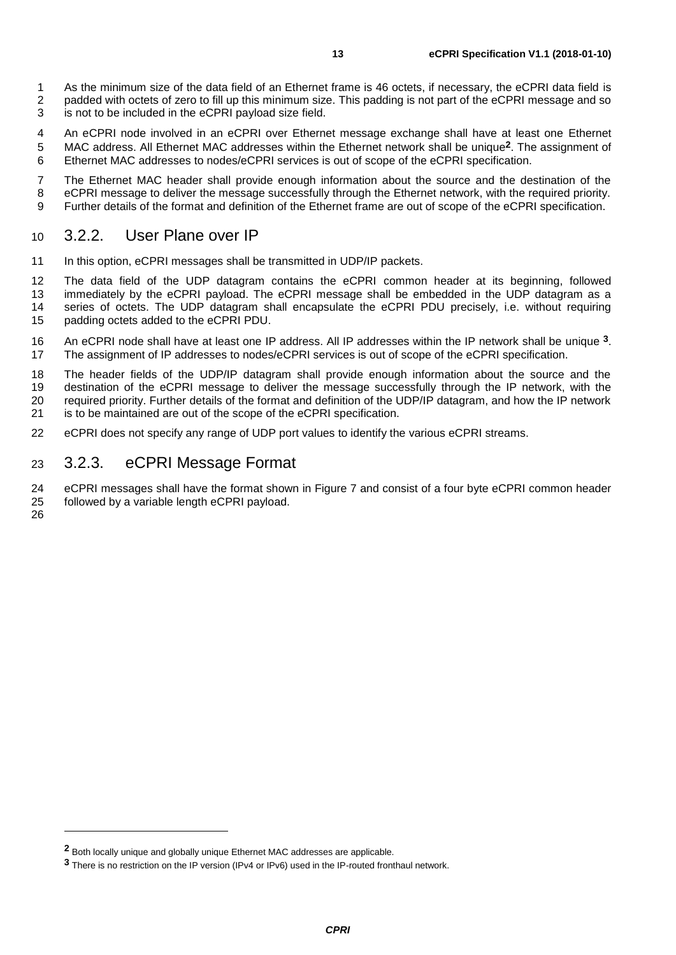- An eCPRI node involved in an eCPRI over Ethernet message exchange shall have at least one Ethernet
- MAC address. All Ethernet MAC addresses within the Ethernet network shall be unique<sup>2</sup>. The assignment of .<br>6 . Ethernet MAC addresses to nodes/eCPRI services is out of scope of the eCPRI specification. Ethernet MAC addresses to nodes/eCPRI services is out of scope of the eCPRI specification.

 The Ethernet MAC header shall provide enough information about the source and the destination of the eCPRI message to deliver the message successfully through the Ethernet network, with the required priority. Further details of the format and definition of the Ethernet frame are out of scope of the eCPRI specification.

#### <span id="page-12-0"></span>3.2.2. User Plane over IP

11 In this option, eCPRI messages shall be transmitted in UDP/IP packets.

 The data field of the UDP datagram contains the eCPRI common header at its beginning, followed 13 immediately by the eCPRI payload. The eCPRI message shall be embedded in the UDP datagram as a<br>14 series of octets. The UDP datagram shall encapsulate the eCPRI PDU precisely, i.e. without requiring 14 series of octets. The UDP datagram shall encapsulate the eCPRI PDU precisely, i.e. without requiring 15 padding octets added to the eCPRI PDU. padding octets added to the eCPRI PDU.

16 An eCPRI node shall have at least one IP address. All IP addresses within the IP network shall be unique <sup>3</sup>. The assignment of IP addresses to nodes/eCPRI services is out of scope of the eCPRI specification.

 The header fields of the UDP/IP datagram shall provide enough information about the source and the destination of the eCPRI message to deliver the message successfully through the IP network, with the required priority. Further details of the format and definition of the UDP/IP datagram, and how the IP network is to be maintained are out of the scope of the eCPRI specification.

eCPRI does not specify any range of UDP port values to identify the various eCPRI streams.

#### <span id="page-12-1"></span>3.2.3. eCPRI Message Format

24 eCPRI messages shall have the format shown in [Figure 7](#page-13-2) and consist of a four byte eCPRI common header<br>25 followed by a variable length eCPRI payload. followed by a variable length eCPRI payload.

-

Both locally unique and globally unique Ethernet MAC addresses are applicable.

There is no restriction on the IP version (IPv4 or IPv6) used in the IP-routed fronthaul network.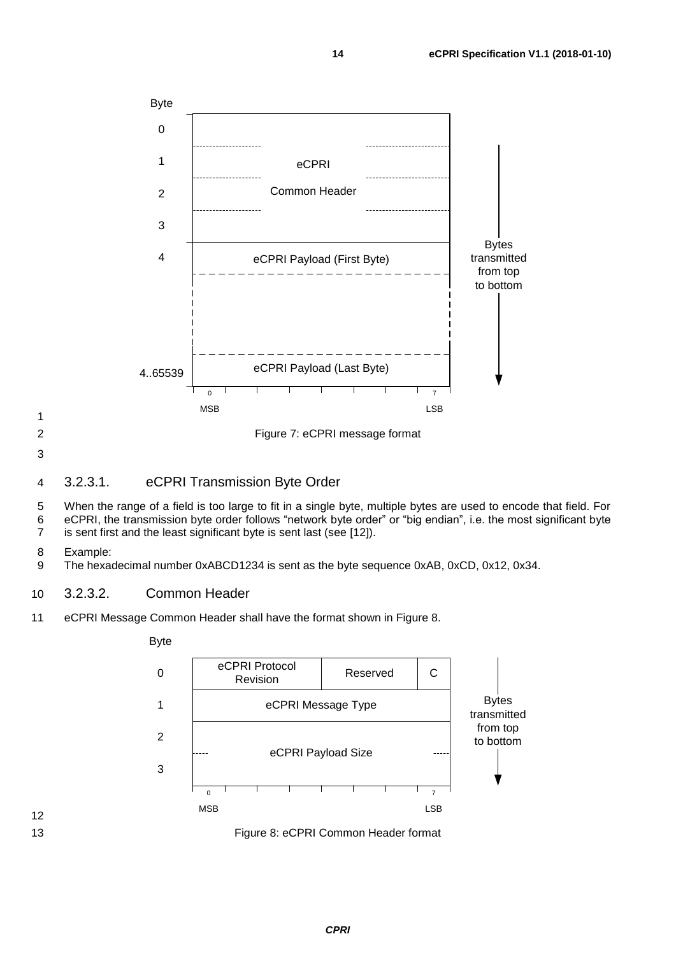

<span id="page-13-2"></span>

#### <span id="page-13-0"></span>3.2.3.1. eCPRI Transmission Byte Order

 When the range of a field is too large to fit in a single byte, multiple bytes are used to encode that field. For eCPRI, the transmission byte order follows "network byte order" or "big endian", i.e. the most significant byte is sent first and the least significant byte is sent last (see [\[12\]\)](#page-60-13).

Example:

The hexadecimal number 0xABCD1234 is sent as the byte sequence 0xAB, 0xCD, 0x12, 0x34.

#### <span id="page-13-1"></span>3.2.3.2. Common Header

eCPRI Message Common Header shall have the format shown in [Figure 8.](#page-13-3)



<span id="page-13-3"></span>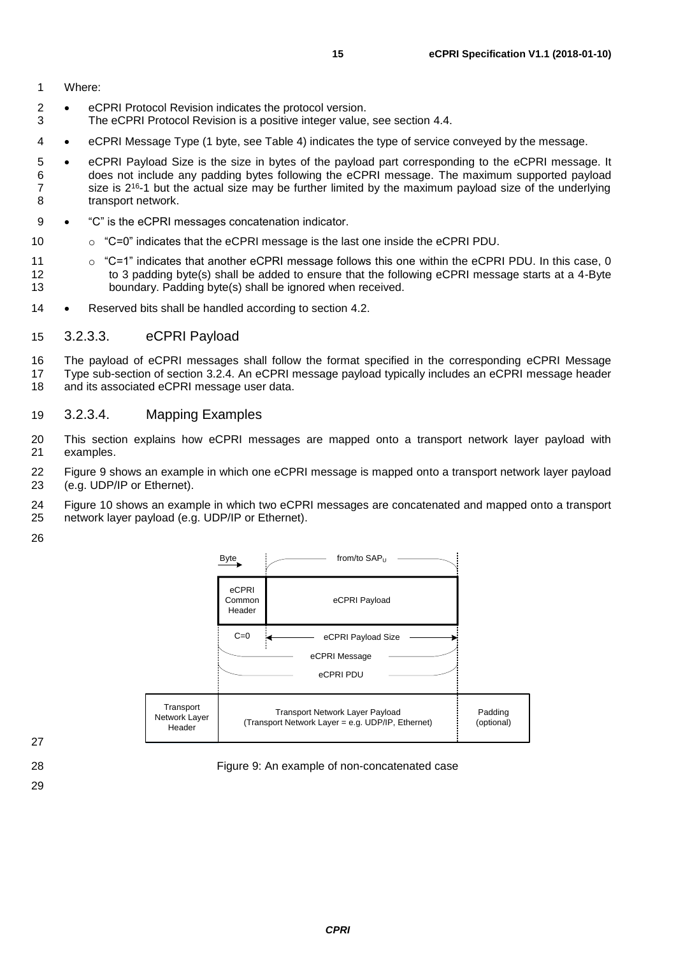1 Where:

- 2 eCPRI Protocol Revision indicates the protocol version.<br>3 The eCPRI Protocol Revision is a positive integer value
- The eCPRI Protocol Revision is a positive integer value, see section [4.4.](#page-41-4)
- 4 eCPRI Message Type (1 byte, see [Table 4\)](#page-15-2) indicates the type of service conveyed by the message.
- 5 eCPRI Payload Size is the size in bytes of the payload part corresponding to the eCPRI message. It 6 does not include any padding bytes following the eCPRI message. The maximum supported payload  $7 \times$  size is 2<sup>16</sup>-1 but the actual size may be further limited by the maximum payload size of the underlying 8 transport network.
- 9 "C" is the eCPRI messages concatenation indicator.
- 10 o "C=0" indicates that the eCPRI message is the last one inside the eCPRI PDU.
- 11  $\circ$  "C=1" indicates that another eCPRI message follows this one within the eCPRI PDU. In this case, 0 12 to 3 padding byte(s) shall be added to ensure that the following eCPRI message starts at a 4-Byte 13 boundary. Padding byte(s) shall be ignored when received.
- 14 Reserved bits shall be handled according to section [4.2.](#page-41-2)

#### <span id="page-14-0"></span>15 3.2.3.3. eCPRI Payload

16 The payload of eCPRI messages shall follow the format specified in the corresponding eCPRI Message 17 Type sub-section of section [3.2.4.](#page-15-0) An eCPRI message payload typically includes an eCPRI message header<br>18 and its associated eCPRI message user data. and its associated eCPRI message user data.

#### <span id="page-14-1"></span>19 3.2.3.4. Mapping Examples

- 20 This section explains how eCPRI messages are mapped onto a transport network layer payload with 21 examples.
- 22 [Figure 9](#page-14-2) shows an example in which one eCPRI message is mapped onto a transport network layer payload 23 (e.g. UDP/IP or Ethernet).
- 24 [Figure 10](#page-15-3) shows an example in which two eCPRI messages are concatenated and mapped onto a transport 25 network layer payload (e.g. UDP/IP or Ethernet).
- 26



27

29

<span id="page-14-2"></span>28 Figure 9: An example of non-concatenated case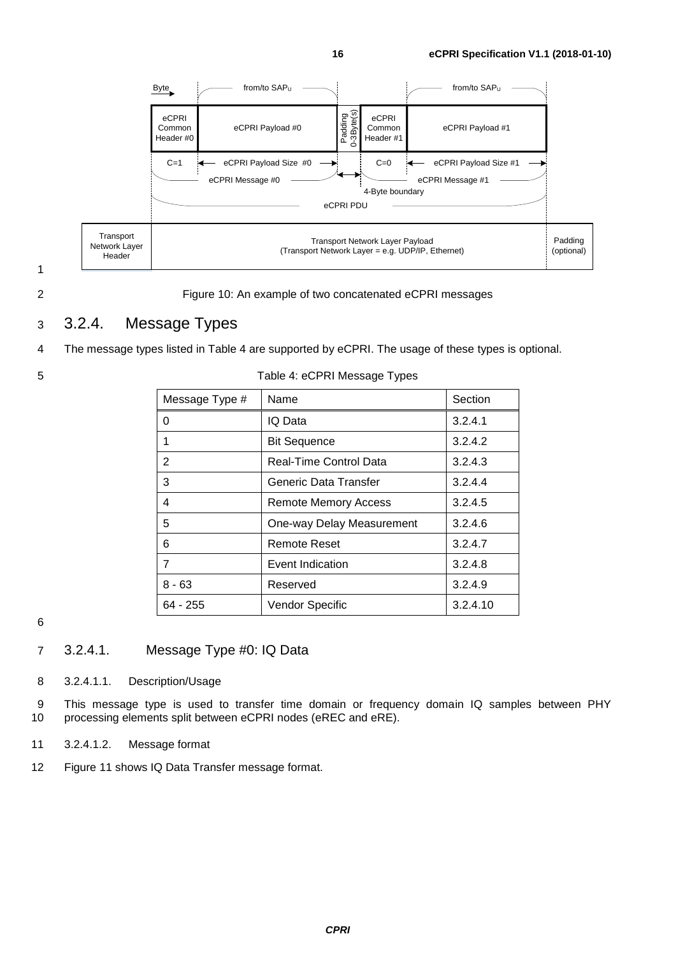

#### <span id="page-15-3"></span>2 Figure 10: An example of two concatenated eCPRI messages

#### <span id="page-15-0"></span>3 3.2.4. Message Types

4 The message types listed in [Table 4](#page-15-2) are supported by eCPRI. The usage of these types is optional.

<span id="page-15-2"></span>

| Message Type # | Name                      | Section  |
|----------------|---------------------------|----------|
| O              | IQ Data                   | 3.2.4.1  |
|                | <b>Bit Sequence</b>       | 3.2.4.2  |
| 2              | Real-Time Control Data    | 3.2.4.3  |
| 3              | Generic Data Transfer     | 3.2.4.4  |
| 4              | Remote Memory Access      | 3.2.4.5  |
| 5              | One-way Delay Measurement | 3.2.4.6  |
| 6              | <b>Remote Reset</b>       | 3.2.4.7  |
| 7              | Event Indication          | 3.2.4.8  |
| $8 - 63$       | Reserved                  | 3.2.4.9  |
| 64 - 255       | Vendor Specific           | 3.2.4.10 |

#### 5 Table 4: eCPRI Message Types

6

#### <span id="page-15-1"></span>7 3.2.4.1. Message Type #0: IQ Data

8 3.2.4.1.1. Description/Usage

9 This message type is used to transfer time domain or frequency domain IQ samples between PHY 10 processing elements split between eCPRI nodes (eREC and eRE).

- 11 3.2.4.1.2. Message format
- 12 [Figure 11](#page-16-0) shows IQ Data Transfer message format.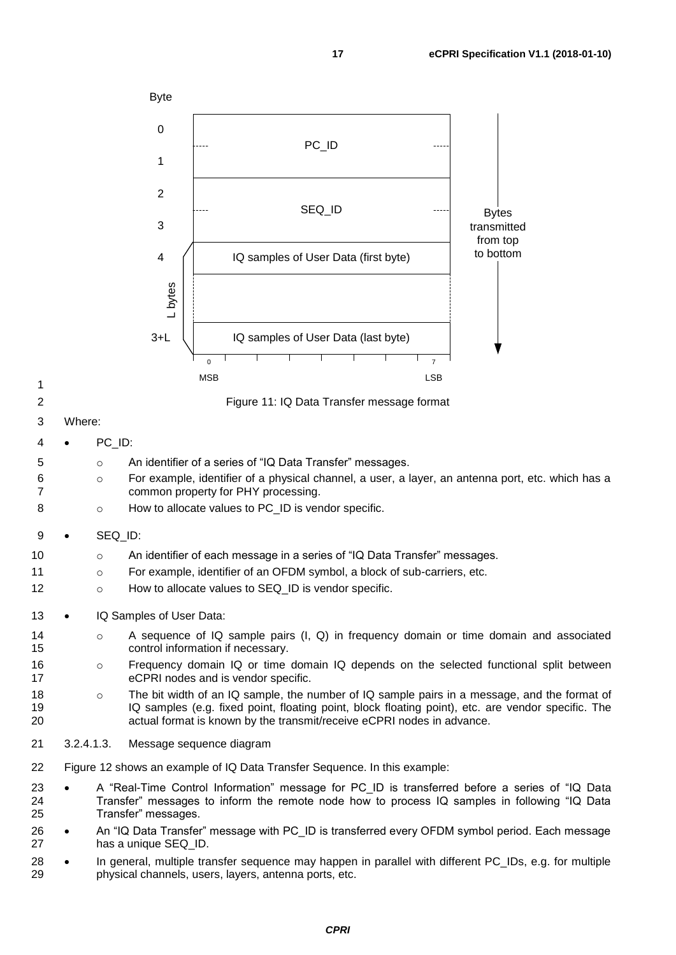<span id="page-16-0"></span>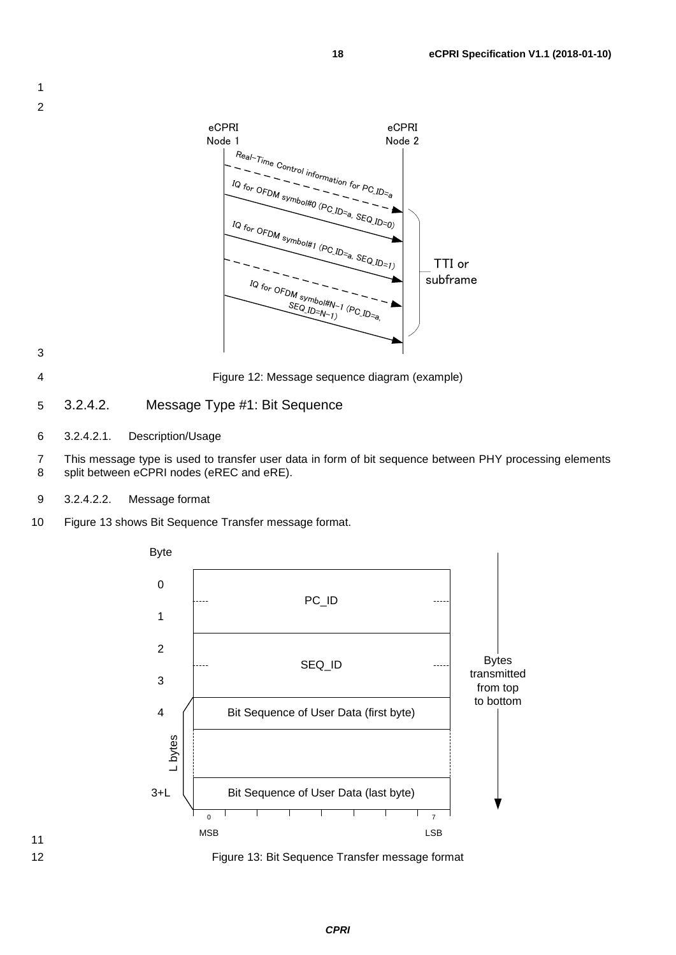

3

<span id="page-17-1"></span>

4 Figure 12: Message sequence diagram (example)

- <span id="page-17-0"></span>5 3.2.4.2. Message Type #1: Bit Sequence
- 6 3.2.4.2.1. Description/Usage
- 7 This message type is used to transfer user data in form of bit sequence between PHY processing elements<br>8 split between eCPRI nodes (eREC and eRE). split between eCPRI nodes (eREC and eRE).
- 9 3.2.4.2.2. Message format
- 10 [Figure 13](#page-17-2) shows Bit Sequence Transfer message format.





<span id="page-17-2"></span>12 Figure 13: Bit Sequence Transfer message format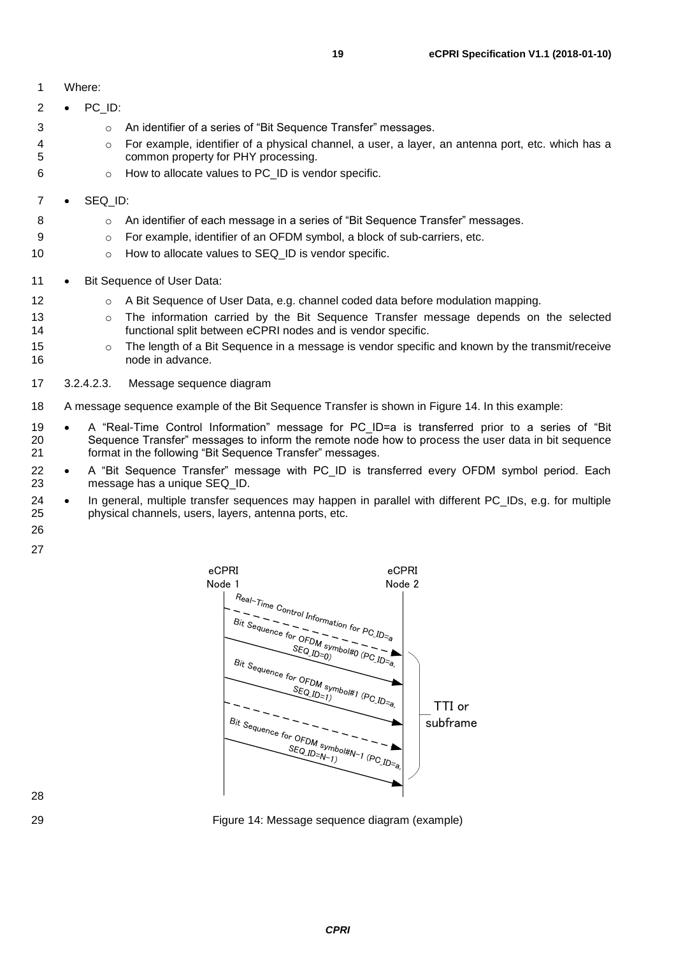| 1              |           | Where:     |                                                                                                                                                                                                                                                                   |
|----------------|-----------|------------|-------------------------------------------------------------------------------------------------------------------------------------------------------------------------------------------------------------------------------------------------------------------|
| 2              | $\bullet$ | PC_ID:     |                                                                                                                                                                                                                                                                   |
| 3              |           | $\circ$    | An identifier of a series of "Bit Sequence Transfer" messages.                                                                                                                                                                                                    |
| 4<br>5         |           | $\circ$    | For example, identifier of a physical channel, a user, a layer, an antenna port, etc. which has a<br>common property for PHY processing.                                                                                                                          |
| 6              |           | $\circ$    | How to allocate values to PC_ID is vendor specific.                                                                                                                                                                                                               |
| 7              |           | SEQ_ID:    |                                                                                                                                                                                                                                                                   |
| 8              |           | $\circ$    | An identifier of each message in a series of "Bit Sequence Transfer" messages.                                                                                                                                                                                    |
| 9              |           | $\circ$    | For example, identifier of an OFDM symbol, a block of sub-carriers, etc.                                                                                                                                                                                          |
| 10             |           | O          | How to allocate values to SEQ_ID is vendor specific.                                                                                                                                                                                                              |
| 11             | $\bullet$ |            | Bit Sequence of User Data:                                                                                                                                                                                                                                        |
| 12             |           | $\circ$    | A Bit Sequence of User Data, e.g. channel coded data before modulation mapping.                                                                                                                                                                                   |
| 13<br>14       |           | $\circ$    | The information carried by the Bit Sequence Transfer message depends on the selected<br>functional split between eCPRI nodes and is vendor specific.                                                                                                              |
| 15<br>16       |           | $\circ$    | The length of a Bit Sequence in a message is vendor specific and known by the transmit/receive<br>node in advance.                                                                                                                                                |
| 17             |           | 3.2.4.2.3. | Message sequence diagram                                                                                                                                                                                                                                          |
| 18             |           |            | A message sequence example of the Bit Sequence Transfer is shown in Figure 14. In this example:                                                                                                                                                                   |
| 19<br>20<br>21 | $\bullet$ |            | A "Real-Time Control Information" message for PC_ID=a is transferred prior to a series of "Bit<br>Sequence Transfer" messages to inform the remote node how to process the user data in bit sequence<br>format in the following "Bit Sequence Transfer" messages. |

- 22 A "Bit Sequence Transfer" message with PC\_ID is transferred every OFDM symbol period. Each<br>23 message has a unique SEQ ID. message has a unique SEQ\_ID.
- 24 In general, multiple transfer sequences may happen in parallel with different PC\_IDs, e.g. for multiple 25 physical channels, users, layers, antenna ports, etc. physical channels, users, layers, antenna ports, etc.
- 



<span id="page-18-0"></span>

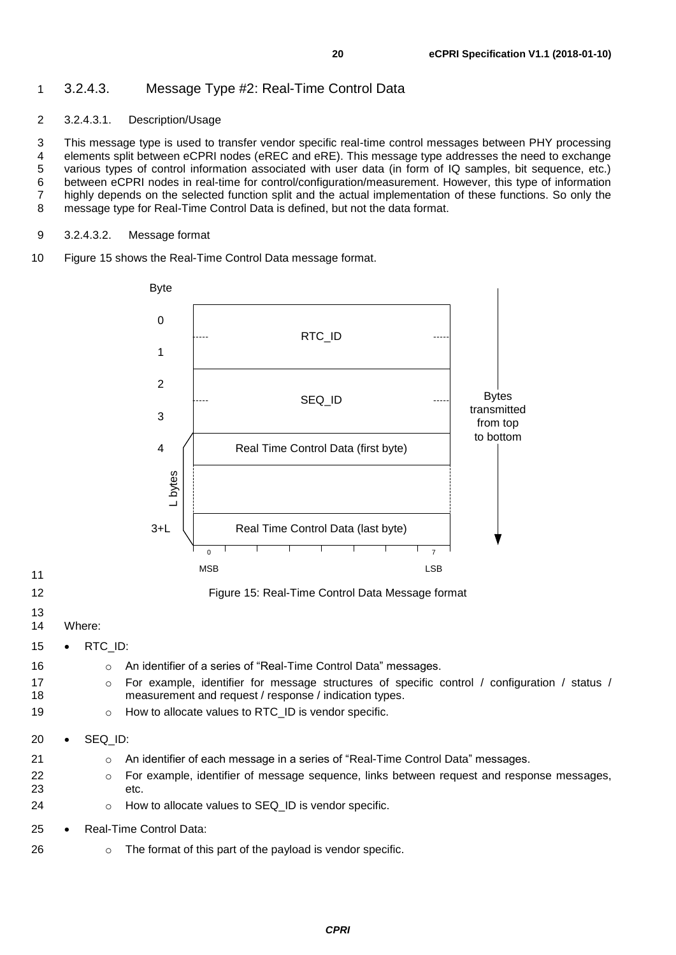#### <span id="page-19-0"></span>3.2.4.3. Message Type #2: Real-Time Control Data

#### 3.2.4.3.1. Description/Usage

3 This message type is used to transfer vendor specific real-time control messages between PHY processing<br>4 elements split between eCPRI nodes (eREC and eRE). This message type addresses the need to exchange 4 elements split between eCPRI nodes (eREC and eRE). This message type addresses the need to exchange<br>5 various types of control information associated with user data (in form of IQ samples, bit sequence, etc.) various types of control information associated with user data (in form of IQ samples, bit sequence, etc.) between eCPRI nodes in real-time for control/configuration/measurement. However, this type of information highly depends on the selected function split and the actual implementation of these functions. So only the message type for Real-Time Control Data is defined, but not the data format.

- 3.2.4.3.2. Message format
- [Figure 15](#page-19-1) shows the Real-Time Control Data message format.



- 
- <span id="page-19-1"></span>
- 
- Where:
- RTC\_ID:
- **Combinder An identifier of a series of "Real-Time Control Data" messages.**
- 17 o For example, identifier for message structures of specific control / configuration / status / measurement and request / response / indication types.
- **b** o How to allocate values to RTC\_ID is vendor specific.
- SEQ\_ID:
- **can allocate in a series of "Real-Time Control Data" messages.**
- o For example, identifier of message sequence, links between request and response messages, etc.
- 24 o How to allocate values to SEQ\_ID is vendor specific.
- Real-Time Control Data:
- **b 26** o The format of this part of the payload is vendor specific.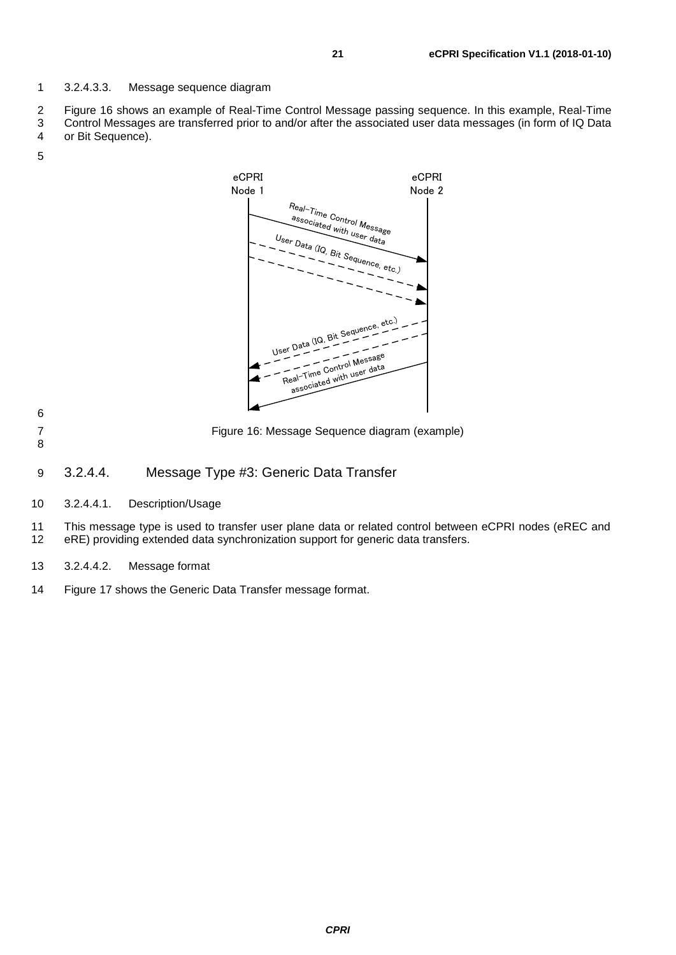3.2.4.3.3. Message sequence diagram

[Figure 16](#page-20-1) shows an example of Real-Time Control Message passing sequence. In this example, Real-Time

 Control Messages are transferred prior to and/or after the associated user data messages (in form of IQ Data or Bit Sequence).



- 
- <span id="page-20-1"></span>Figure 16: Message Sequence diagram (example)
- 
- <span id="page-20-0"></span>3.2.4.4. Message Type #3: Generic Data Transfer
- 3.2.4.4.1. Description/Usage

11 This message type is used to transfer user plane data or related control between eCPRI nodes (eREC and 12 eRE) providing extended data synchronization support for generic data transfers. eRE) providing extended data synchronization support for generic data transfers.

- 3.2.4.4.2. Message format
- [Figure 17](#page-21-0) shows the Generic Data Transfer message format.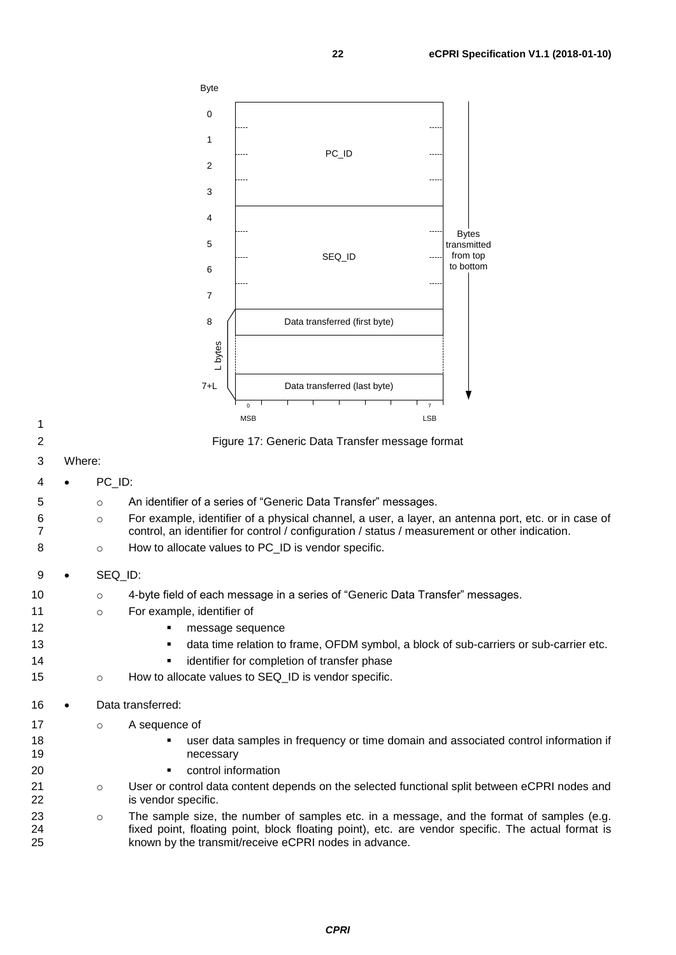

| ٦<br>۰, |  |
|---------|--|
|         |  |
|         |  |

<span id="page-21-0"></span>

|  |  | Figure 17: Generic Data Transfer message format |
|--|--|-------------------------------------------------|
|--|--|-------------------------------------------------|

- 3 Where:
- 4 PC\_ID:
- 5 o An identifier of a series of "Generic Data Transfer" messages.
- 6 o For example, identifier of a physical channel, a user, a layer, an antenna port, etc. or in case of 7 control, an identifier for control / configuration / status / measurement or other indication.
- 8 **b** o How to allocate values to PC\_ID is vendor specific.
- 9 SEQ\_ID:
- 10 o 4-byte field of each message in a series of "Generic Data Transfer" messages.
- 11 o For example, identifier of
- 12 **Parameters nessage sequence**
- 13  **Cata time relation to frame, OFDM symbol, a block of sub-carriers or sub-carrier etc.**
- 14 identifier for completion of transfer phase
- 15 o How to allocate values to SEQ ID is vendor specific.
- 16 Data transferred:
- 17 o A sequence of
- 18 user data samples in frequency or time domain and associated control information if 19 necessary
- 20 **•** control information
- 21 o User or control data content depends on the selected functional split between eCPRI nodes and 22 is vendor specific.
- 23 o The sample size, the number of samples etc. in a message, and the format of samples (e.g. 24 fixed point, floating point, block floating point), etc. are vendor specific. The actual format is<br>25 known by the transmit/receive eCPRI nodes in advance. known by the transmit/receive eCPRI nodes in advance.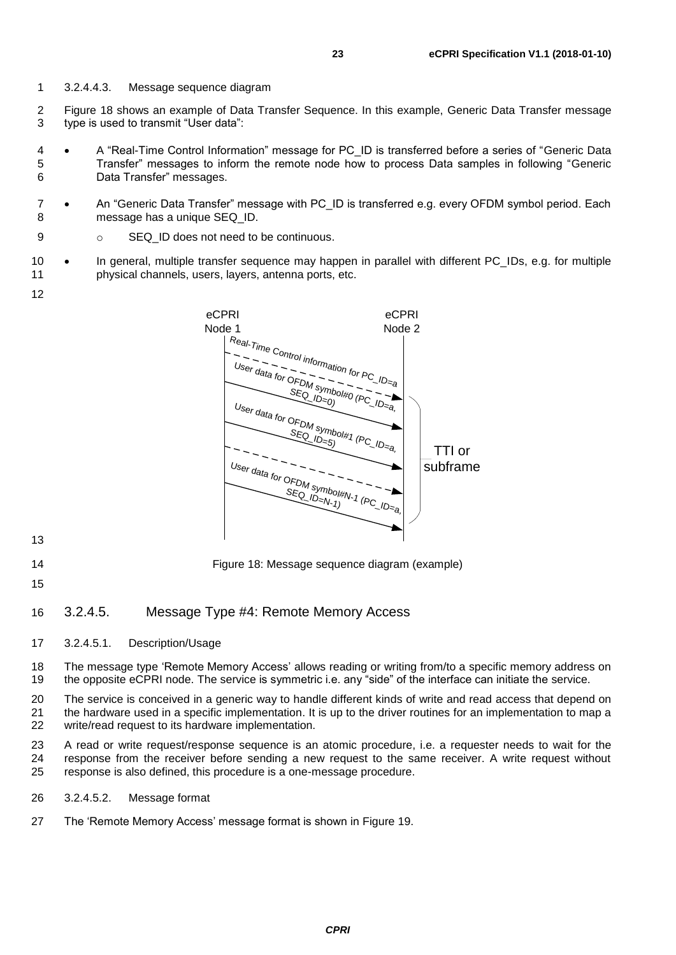- 3.2.4.4.3. Message sequence diagram
- [Figure 18](#page-22-1) shows an example of Data Transfer Sequence. In this example, Generic Data Transfer message type is used to transmit "User data":
- A "Real-Time Control Information" message for PC\_ID is transferred before a series of "Generic Data Transfer" messages to inform the remote node how to process Data samples in following "Generic Data Transfer" messages.
- An "Generic Data Transfer" message with PC\_ID is transferred e.g. every OFDM symbol period. Each message has a unique SEQ\_ID.
- 9 o SEQ\_ID does not need to be continuous.
- In general, multiple transfer sequence may happen in parallel with different PC\_IDs, e.g. for multiple physical channels, users, layers, antenna ports, etc.
- 



- 
- <span id="page-22-1"></span>Figure 18: Message sequence diagram (example)
- 

#### <span id="page-22-0"></span>3.2.4.5. Message Type #4: Remote Memory Access

3.2.4.5.1. Description/Usage

 The message type 'Remote Memory Access' allows reading or writing from/to a specific memory address on the opposite eCPRI node. The service is symmetric i.e. any "side" of the interface can initiate the service.

 The service is conceived in a generic way to handle different kinds of write and read access that depend on 21 the hardware used in a specific implementation. It is up to the driver routines for an implementation to map a write/read request to its hardware implementation.

 A read or write request/response sequence is an atomic procedure, i.e. a requester needs to wait for the response from the receiver before sending a new request to the same receiver. A write request without response is also defined, this procedure is a one-message procedure.

- 3.2.4.5.2. Message format
- The 'Remote Memory Access' message format is shown in [Figure 19.](#page-23-0)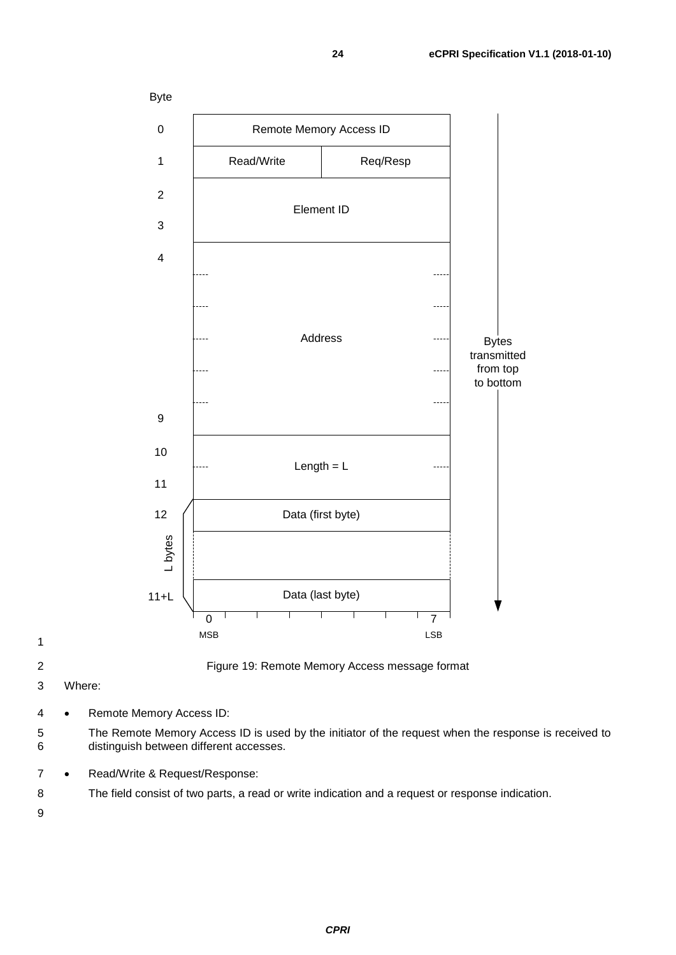





<span id="page-23-0"></span>

Figure 19: Remote Memory Access message format

Where:

- Remote Memory Access ID:
- The Remote Memory Access ID is used by the initiator of the request when the response is received to distinguish between different accesses.
- Read/Write & Request/Response:
- The field consist of two parts, a read or write indication and a request or response indication.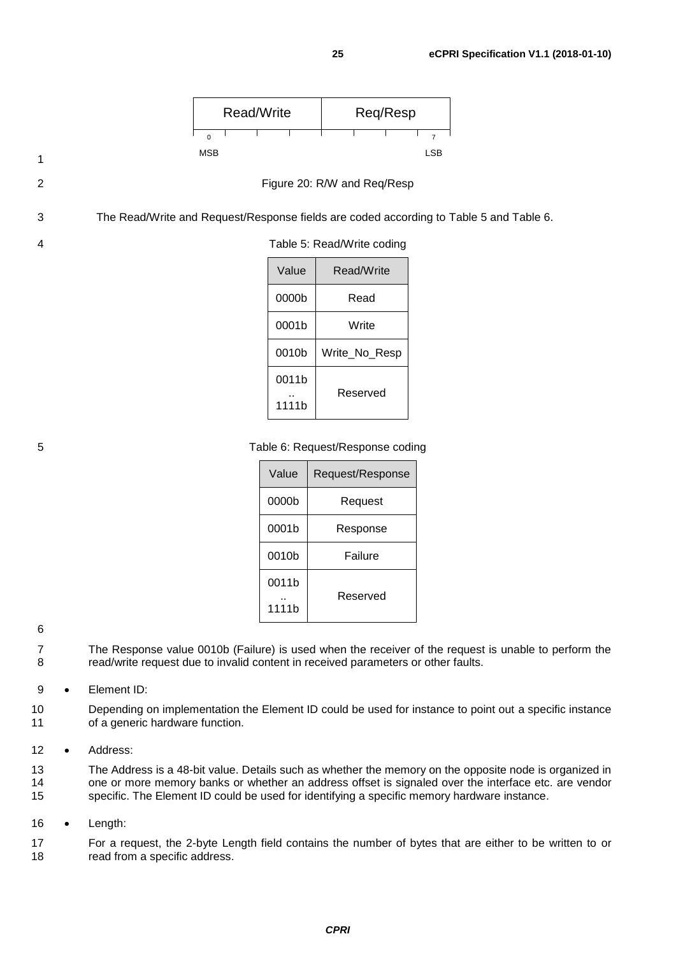<span id="page-24-0"></span>

0011b .. 1111b

<span id="page-24-1"></span>

5 Table 6: Request/Response coding

0010b Write\_No\_Resp

Reserved

| Value | Request/Response |  |
|-------|------------------|--|
| 0000b | Request          |  |
| 0001b | Response         |  |
| 0010b | Failure          |  |
| 0011b |                  |  |
| 1111b | Reserved         |  |

#### 6

- 7 The Response value 0010b (Failure) is used when the receiver of the request is unable to perform the 8 read/write request due to invalid content in received parameters or other faults.
- 9 Element ID:
- 10 Depending on implementation the Element ID could be used for instance to point out a specific instance 11 of a generic hardware function.
- 12 Address:
- 13 The Address is a 48-bit value. Details such as whether the memory on the opposite node is organized in 14 one or more memory banks or whether an address offset is signaled over the interface etc. are vendor 15 specific. The Element ID could be used for identifying a specific memory hardware instance.
- 16 Length:

17 For a request, the 2-byte Length field contains the number of bytes that are either to be written to or 18 read from a specific address.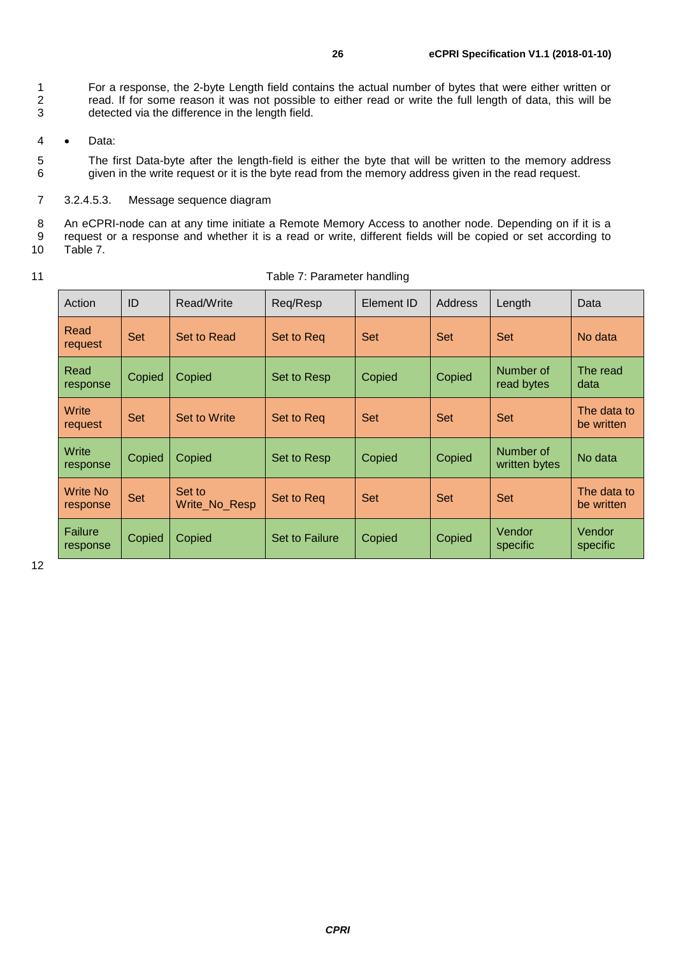1 For a response, the 2-byte Length field contains the actual number of bytes that were either written or<br>2 read. If for some reason it was not possible to either read or write the full length of data, this will be read. If for some reason it was not possible to either read or write the full length of data, this will be 3 detected via the difference in the length field.

4 • Data:

5 The first Data-byte after the length-field is either the byte that will be written to the memory address 6 given in the write request or it is the byte read from the memory address given in the read request.

7 3.2.4.5.3. Message sequence diagram

8 An eCPRI-node can at any time initiate a Remote Memory Access to another node. Depending on if it is a 9 request or a response and whether it is a read or write, different fields will be copied or set according to [Table 7.](#page-25-0)

- 
- 

| 11 | Table 7: Parameter handling |
|----|-----------------------------|
|----|-----------------------------|

<span id="page-25-0"></span>

| Action               | ID         | Read/Write              | Req/Resp       | Element ID | <b>Address</b> | Length                     | Data                      |
|----------------------|------------|-------------------------|----------------|------------|----------------|----------------------------|---------------------------|
| Read<br>request      | Set        | <b>Set to Read</b>      | Set to Req     | <b>Set</b> | Set            | <b>Set</b>                 | No data                   |
| Read<br>response     | Copied     | Copied                  | Set to Resp    | Copied     | Copied         | Number of<br>read bytes    | The read<br>data          |
| Write<br>request     | <b>Set</b> | Set to Write            | Set to Reg     | <b>Set</b> | <b>Set</b>     | <b>Set</b>                 | The data to<br>be written |
| Write<br>response    | Copied     | Copied                  | Set to Resp    | Copied     | Copied         | Number of<br>written bytes | No data                   |
| Write No<br>response | <b>Set</b> | Set to<br>Write_No_Resp | Set to Reg     | <b>Set</b> | <b>Set</b>     | <b>Set</b>                 | The data to<br>be written |
| Failure<br>response  | Copied     | Copied                  | Set to Failure | Copied     | Copied         | Vendor<br>specific         | Vendor<br>specific        |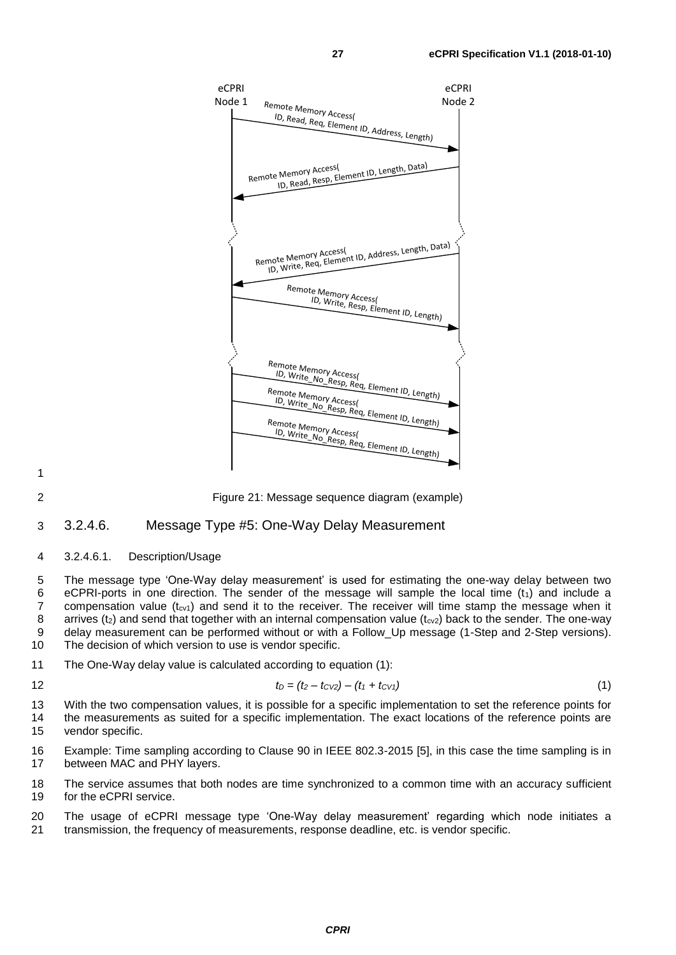

2 Figure 21: Message sequence diagram (example)

#### <span id="page-26-0"></span>3 3.2.4.6. Message Type #5: One-Way Delay Measurement

#### 4 3.2.4.6.1. Description/Usage

5 The message type 'One-Way delay measurement' is used for estimating the one-way delay between two 6 eCPRI-ports in one direction. The sender of the message will sample the local time  $(t_1)$  and include a<br>7 compensation value  $(t_{\text{ext}})$  and send it to the receiver. The receiver will time stamp the message when it compensation value ( $t_{cv1}$ ) and send it to the receiver. The receiver will time stamp the message when it 8 arrives ( $t_2$ ) and send that together with an internal compensation value ( $t_{cv2}$ ) back to the sender. The one-way 9 delay measurement can be performed without or with a Follow\_Up message (1-Step and 2-Step versions). 10 The decision of which version to use is vendor specific.

11 The One-Way delay value is calculated according to equation (1):

$$
t_D = (t_2 - t_{CV2}) - (t_1 + t_{CV1})
$$
\n(1)

13 With the two compensation values, it is possible for a specific implementation to set the reference points for 14 the measurements as suited for a specific implementation. The exact locations of the reference points are 15 vendor specific.

16 Example: Time sampling according to Clause 90 in IEEE 802.3-2015 [\[5\],](#page-60-6) in this case the time sampling is in 17 between MAC and PHY layers.

18 The service assumes that both nodes are time synchronized to a common time with an accuracy sufficient 19 for the eCPRI service.

20 The usage of eCPRI message type 'One-Way delay measurement' regarding which node initiates a 21 transmission, the frequency of measurements, response deadline, etc. is vendor specific.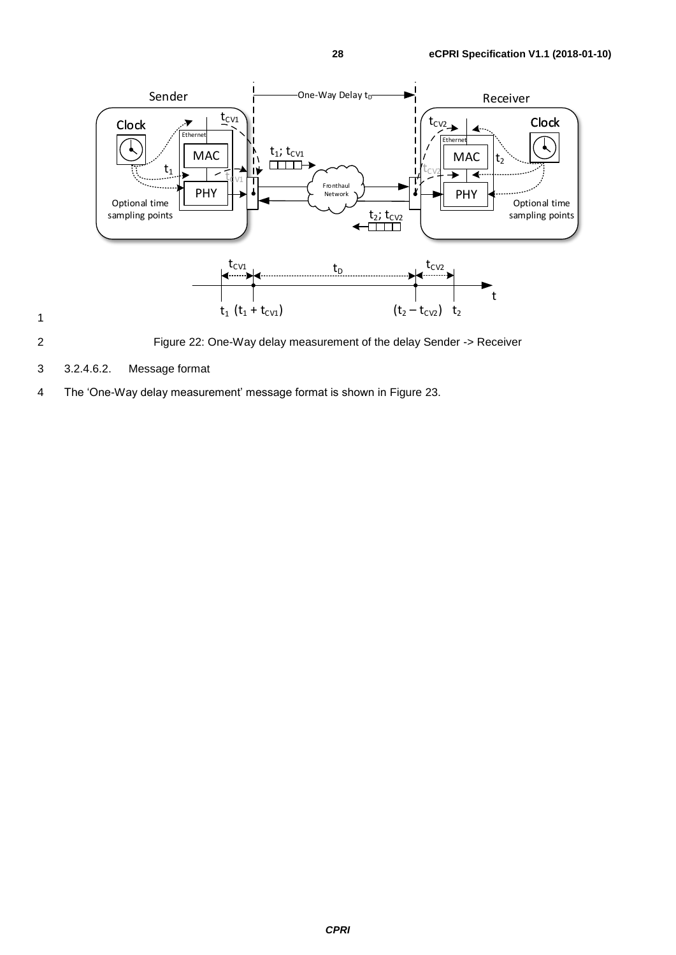

2 Figure 22: One-Way delay measurement of the delay Sender -> Receiver

3 3.2.4.6.2. Message format

1

4 The 'One-Way delay measurement' message format is shown in [Figure 23.](#page-28-0)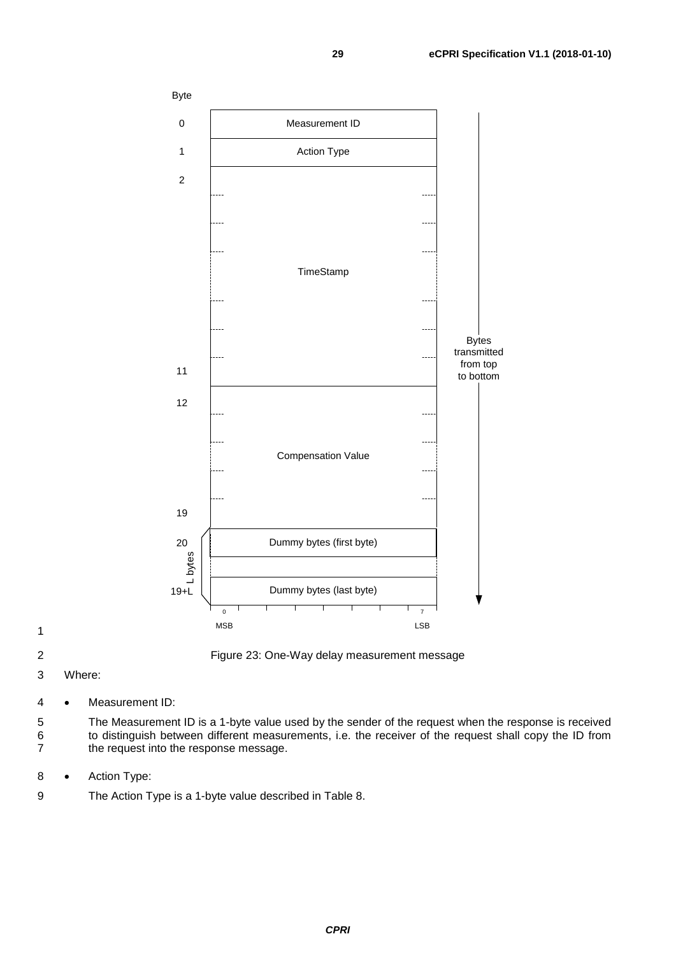

<span id="page-28-0"></span>

2 Figure 23: One-Way delay measurement message

3 Where:

4 • Measurement ID:

5 The Measurement ID is a 1-byte value used by the sender of the request when the response is received 6 to distinguish between different measurements, i.e. the receiver of the request shall copy the ID from 7 the request into the response message.

- 8 Action Type:
- 9 The Action Type is a 1-byte value described in [Table 8.](#page-29-0)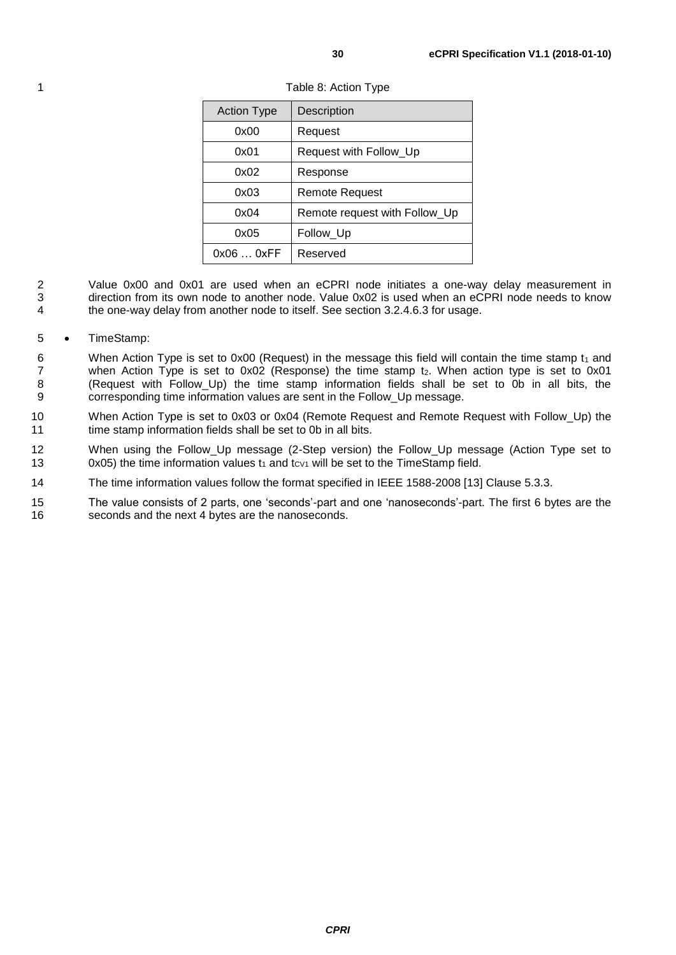| <b>Action Type</b> | Description                   |
|--------------------|-------------------------------|
| 0x00               | Request                       |
| 0x01               | Request with Follow_Up        |
| 0x02               | Response                      |
| 0x03               | Remote Request                |
| 0x04               | Remote request with Follow_Up |
| 0x05               | Follow_Up                     |
| 0x060xFF           | Reserved                      |

<span id="page-29-0"></span>1 Table 8: Action Type

- 2 Value 0x00 and 0x01 are used when an eCPRI node initiates a one-way delay measurement in<br>3 direction from its own node to another node Value 0x02 is used when an eCPRI node needs to know direction from its own node to another node. Value 0x02 is used when an eCPRI node needs to know 4 the one-way delay from another node to itself. See section [3.2.4.6.3](#page-30-0) for usage.
- 5 TimeStamp:
- 6 When Action Type is set to 0x00 (Request) in the message this field will contain the time stamp  $t_1$  and 7 when Action Type is set to  $0x02$  (Response) the time stamp  $t<sub>2</sub>$ . When action type is set to  $0x01$ 8 (Request with Follow\_Up) the time stamp information fields shall be set to 0b in all bits, the corresponding time information values are sent in the Follow Up message. corresponding time information values are sent in the Follow\_Up message.
- 10 When Action Type is set to 0x03 or 0x04 (Remote Request and Remote Request with Follow\_Up) the 11 time stamp information fields shall be set to 0b in all bits.
- 12 When using the Follow\_Up message (2-Step version) the Follow\_Up message (Action Type set to 13 0x05) the time information values  $t_1$  and  $t_{CV1}$  will be set to the TimeStamp field.
- 14 The time information values follow the format specified in IEEE 1588-2008 [\[13\]](#page-60-14) Clause 5.3.3.
- 15 The value consists of 2 parts, one 'seconds'-part and one 'nanoseconds'-part. The first 6 bytes are the 16 seconds and the next 4 bytes are the nanoseconds.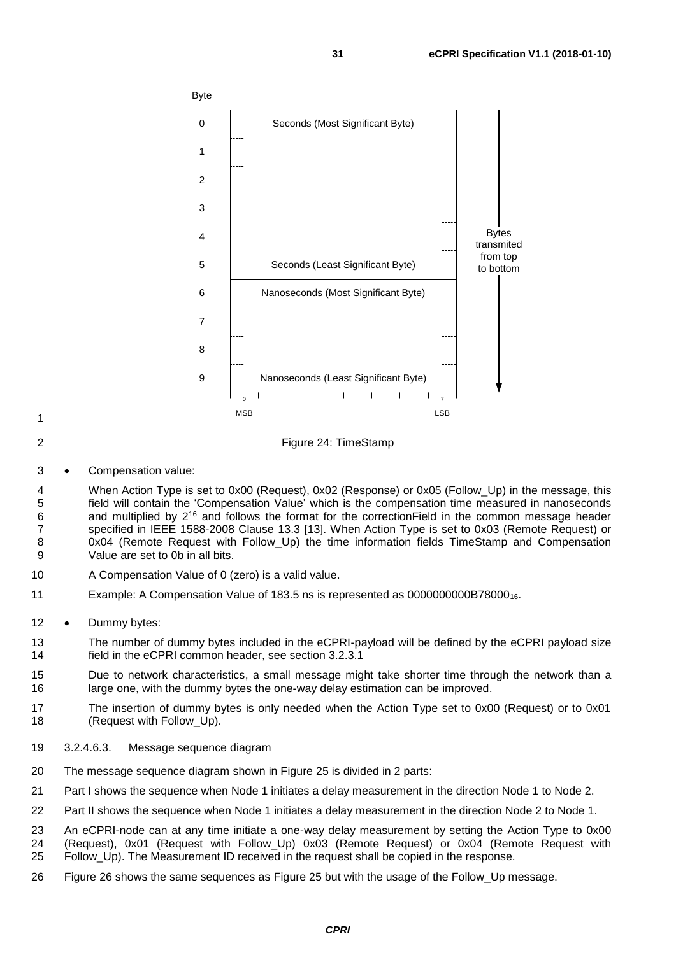

Figure 24: TimeStamp

- 
- 
- Compensation value:
- When Action Type is set to 0x00 (Request), 0x02 (Response) or 0x05 (Follow\_Up) in the message, this field will contain the 'Compensation Value' which is the compensation time measured in nanoseconds 6 and multiplied by 2<sup>16</sup> and follows the format for the correctionField in the common message header specified in IEEE 1588-2008 Clause 13.3 [\[13\].](#page-60-14) When Action Type is set to 0x03 (Remote Request) or 0x04 (Remote Request with Follow\_Up) the time information fields TimeStamp and Compensation Value are set to 0b in all bits.
- A Compensation Value of 0 (zero) is a valid value.
- Example: A Compensation Value of 183.5 ns is represented as 0000000000B7800016.
- 12 Dummy bytes:
- The number of dummy bytes included in the eCPRI-payload will be defined by the eCPRI payload size field in the eCPRI common header, see section [3.2.3.1](#page-13-0)
- Due to network characteristics, a small message might take shorter time through the network than a 16 large one, with the dummy bytes the one-way delay estimation can be improved.
- The insertion of dummy bytes is only needed when the Action Type set to 0x00 (Request) or to 0x01 (Request with Follow\_Up).
- <span id="page-30-0"></span>3.2.4.6.3. Message sequence diagram
- The message sequence diagram shown in [Figure 25](#page-31-0) is divided in 2 parts:
- Part I shows the sequence when Node 1 initiates a delay measurement in the direction Node 1 to Node 2.
- Part II shows the sequence when Node 1 initiates a delay measurement in the direction Node 2 to Node 1.
- An eCPRI-node can at any time initiate a one-way delay measurement by setting the Action Type to 0x00
- (Request), 0x01 (Request with Follow\_Up) 0x03 (Remote Request) or 0x04 (Remote Request with
- Follow\_Up). The Measurement ID received in the request shall be copied in the response.
- [Figure 26](#page-32-1) shows the same sequences as [Figure 25](#page-31-0) but with the usage of the Follow\_Up message.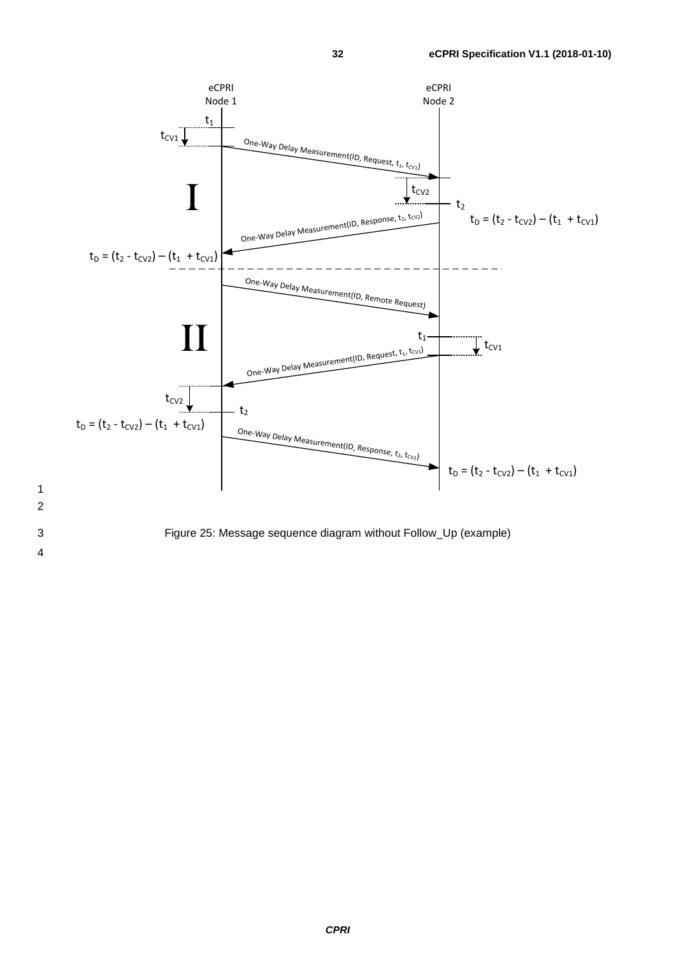



<span id="page-31-0"></span>4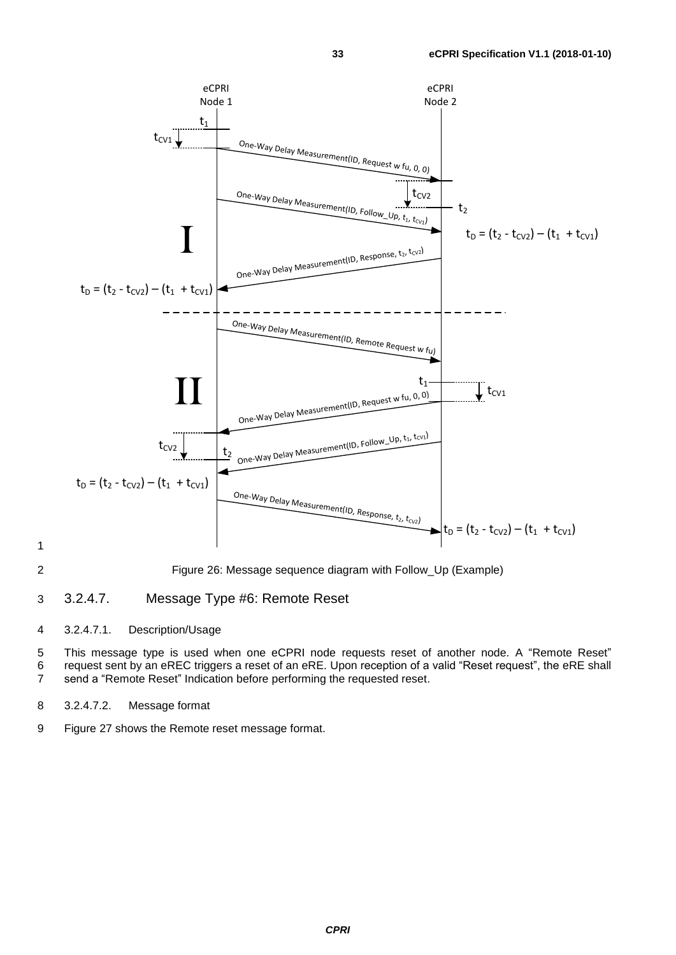

<span id="page-32-1"></span>2 Figure 26: Message sequence diagram with Follow\_Up (Example)

#### <span id="page-32-0"></span>3 3.2.4.7. Message Type #6: Remote Reset

#### 4 3.2.4.7.1. Description/Usage

5 This message type is used when one eCPRI node requests reset of another node. A "Remote Reset" 6 request sent by an eREC triggers a reset of an eRE. Upon reception of a valid "Reset request", the eRE shall 7 send a "Remote Reset" Indication before performing the requested reset.

- 8 3.2.4.7.2. Message format
- 9 [Figure 27](#page-33-0) shows the Remote reset message format.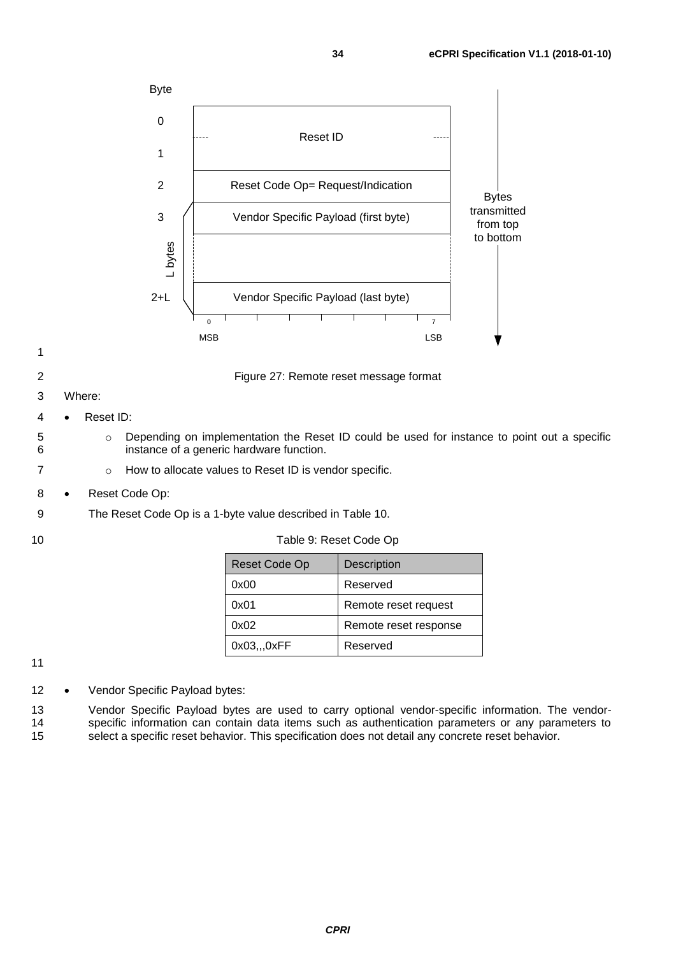

- <span id="page-33-0"></span>5 **b** Depending on implementation the Reset ID could be used for instance to point out a specific 6 instance of a generic hardware function.
- 7 **b** o How to allocate values to Reset ID is vendor specific.
- 8 Reset Code Op:
- 9 The Reset Code Op is a 1-byte value described in [Table 10.](#page-37-0)
- 

| Reset Code Op | <b>Description</b>    |
|---------------|-----------------------|
| 0x00          | Reserved              |
| 0x01          | Remote reset request  |
| 0x02          | Remote reset response |
| 0x03,0xFF     | Reserved              |

- 12 Vendor Specific Payload bytes:
- 13 Vendor Specific Payload bytes are used to carry optional vendor-specific information. The vendor-14 specific information can contain data items such as authentication parameters or any parameters to 15 select a specific reset behavior. This specification does not detail any concrete reset behavior.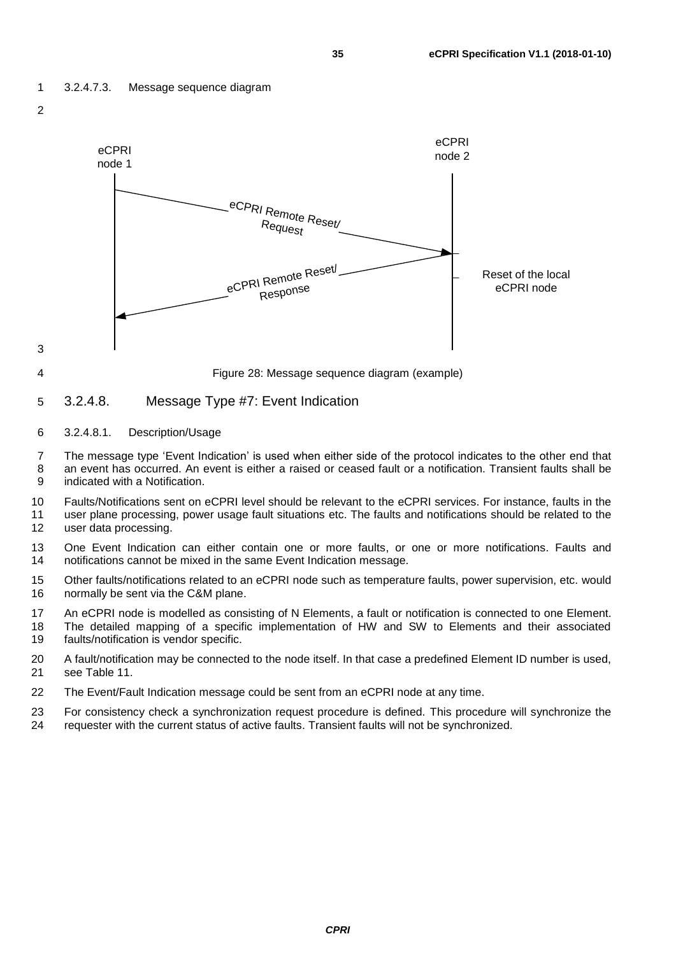





#### <span id="page-34-0"></span>5 3.2.4.8. Message Type #7: Event Indication

6 3.2.4.8.1. Description/Usage

7 The message type 'Event Indication' is used when either side of the protocol indicates to the other end that 8 an event has occurred. An event is either a raised or ceased fault or a notification. Transient faults shall be 9 indicated with a Notification.

10 Faults/Notifications sent on eCPRI level should be relevant to the eCPRI services. For instance, faults in the<br>11 user plane processing, power usage fault situations etc. The faults and notifications should be related t user plane processing, power usage fault situations etc. The faults and notifications should be related to the 12 user data processing.

13 One Event Indication can either contain one or more faults, or one or more notifications. Faults and 14 notifications cannot be mixed in the same Event Indication message.

15 Other faults/notifications related to an eCPRI node such as temperature faults, power supervision, etc. would 16 normally be sent via the C&M plane.

17 An eCPRI node is modelled as consisting of N Elements, a fault or notification is connected to one Element. 18 The detailed mapping of a specific implementation of HW and SW to Elements and their associated

- 19 faults/notification is vendor specific.
- 20 A fault/notification may be connected to the node itself. In that case a predefined Element ID number is used, 21 see [Table 11.](#page-37-1)
- 22 The Event/Fault Indication message could be sent from an eCPRI node at any time.
- 23 For consistency check a synchronization request procedure is defined. This procedure will synchronize the 24 requester with the current status of active faults. Transient faults will not be synchronized. requester with the current status of active faults. Transient faults will not be synchronized.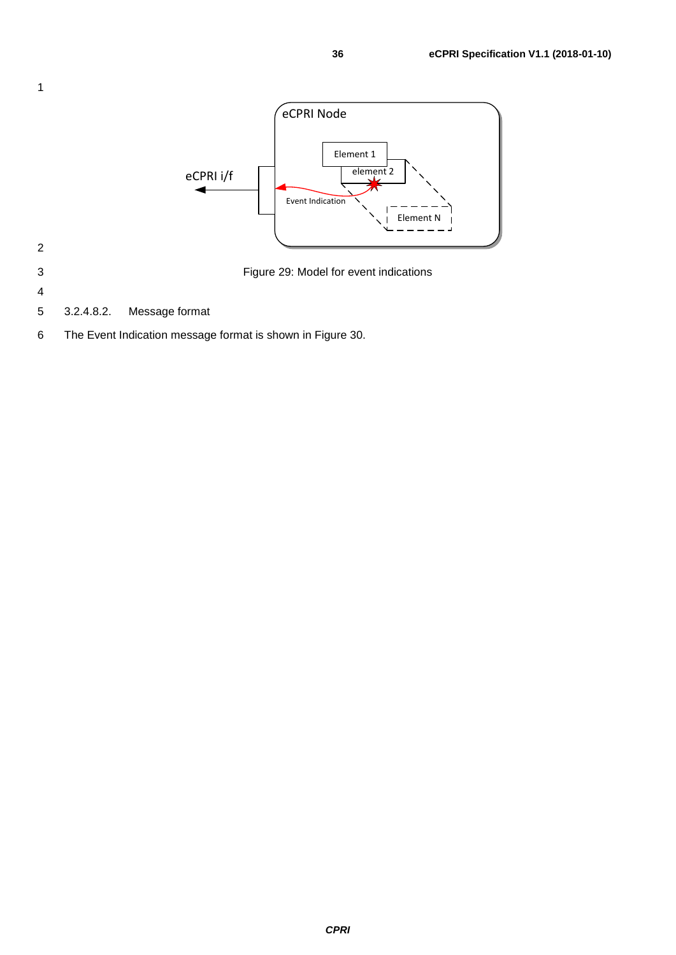

Figure 29: Model for event indications

- 
- 3.2.4.8.2. Message format
- The Event Indication message format is shown in [Figure 30.](#page-36-0)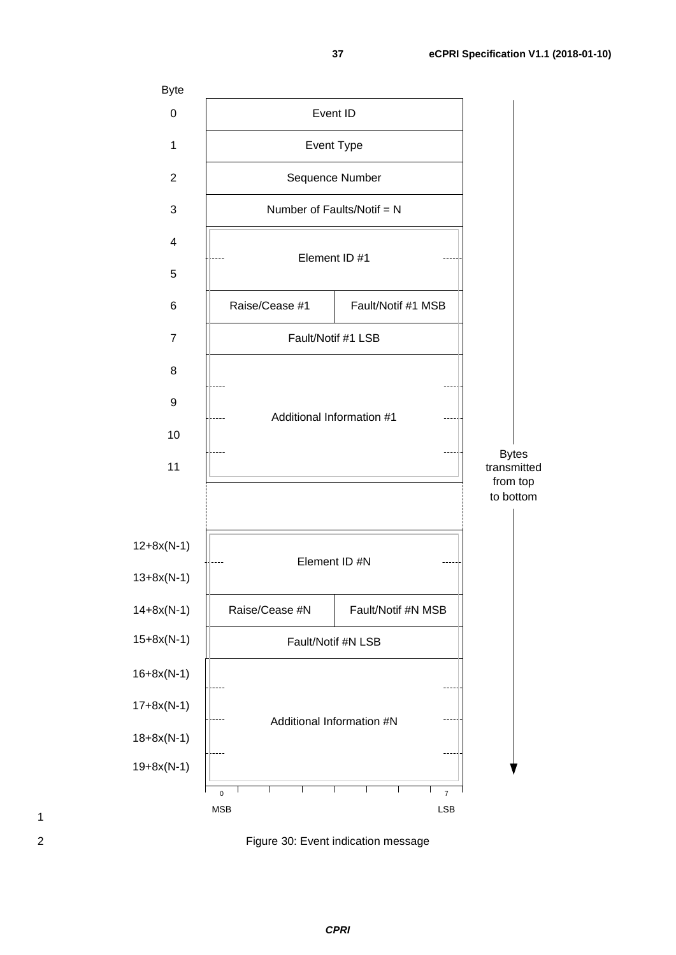

<span id="page-36-0"></span>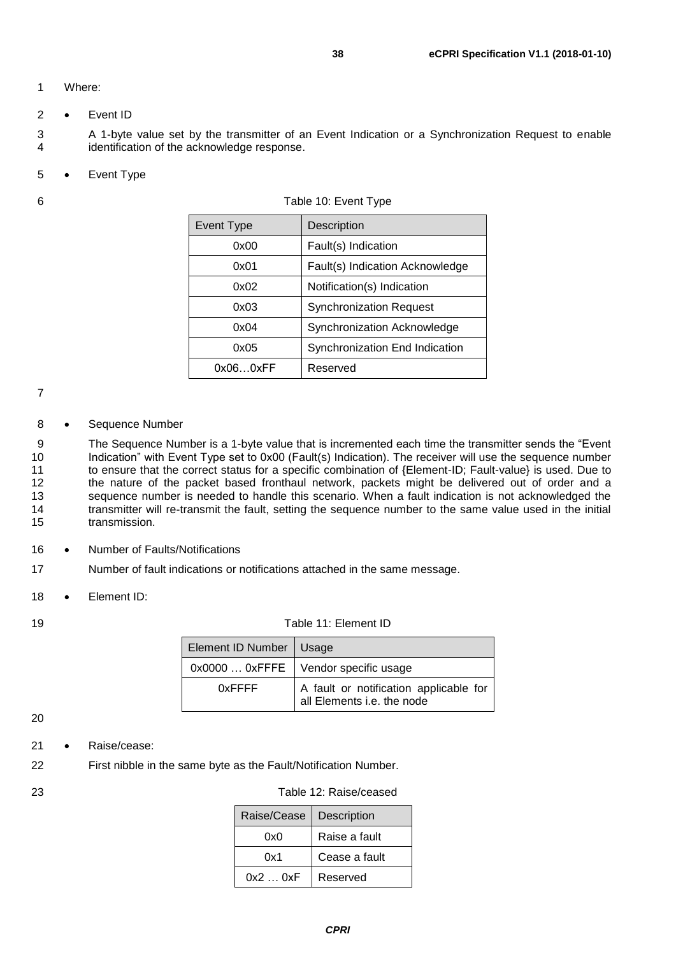#### 1 Where:

2 • Event ID

3 A 1-byte value set by the transmitter of an Event Indication or a Synchronization Request to enable<br>4 identification of the acknowledge response. identification of the acknowledge response.

5 • Event Type

<span id="page-37-0"></span>

| 6 | Table 10: Event Type |                                 |  |
|---|----------------------|---------------------------------|--|
|   | Event Type           | Description                     |  |
|   | 0x00                 | Fault(s) Indication             |  |
|   | 0x01                 | Fault(s) Indication Acknowledge |  |
|   | 0x02                 | Notification(s) Indication      |  |
|   | 0x03                 | <b>Synchronization Request</b>  |  |
|   | 0x04                 | Synchronization Acknowledge     |  |
|   | 0x05                 | Synchronization End Indication  |  |
|   | 0x060xFF             | Reserved                        |  |

#### 7

#### 8 • Sequence Number

9 The Sequence Number is a 1-byte value that is incremented each time the transmitter sends the "Event 10 Indication" with Event Type set to 0x00 (Fault(s) Indication). The receiver will use the sequence number<br>11 the ensure that the correct status for a specific combination of {Element-ID: Fault-value} is used. Due to to ensure that the correct status for a specific combination of {Element-ID; Fault-value} is used. Due to 12 the nature of the packet based fronthaul network, packets might be delivered out of order and a 13 sequence number is needed to handle this scenario. When a fault indication is not acknowledged the 14 transmitter will re-transmit the fault, setting the sequence number to the same value used in the initial 15 transmission.

- 16 Number of Faults/Notifications
- 17 Number of fault indications or notifications attached in the same message.
- 18 Element ID:

#### <span id="page-37-1"></span>19 Table 11: Element ID

| Element ID Number   Usage |                                                                      |
|---------------------------|----------------------------------------------------------------------|
|                           | 0x0000  0xFFFE   Vendor specific usage                               |
| $0x$ FFFF                 | A fault or notification applicable for<br>all Elements i.e. the node |

#### 20

#### 21 • Raise/cease:

22 First nibble in the same byte as the Fault/Notification Number.

#### 23 Table 12: Raise/ceased

| Raise/Cease | Description   |
|-------------|---------------|
| 0x0         | Raise a fault |
| 0x1         | Cease a fault |
| 0x20xF      | Reserved      |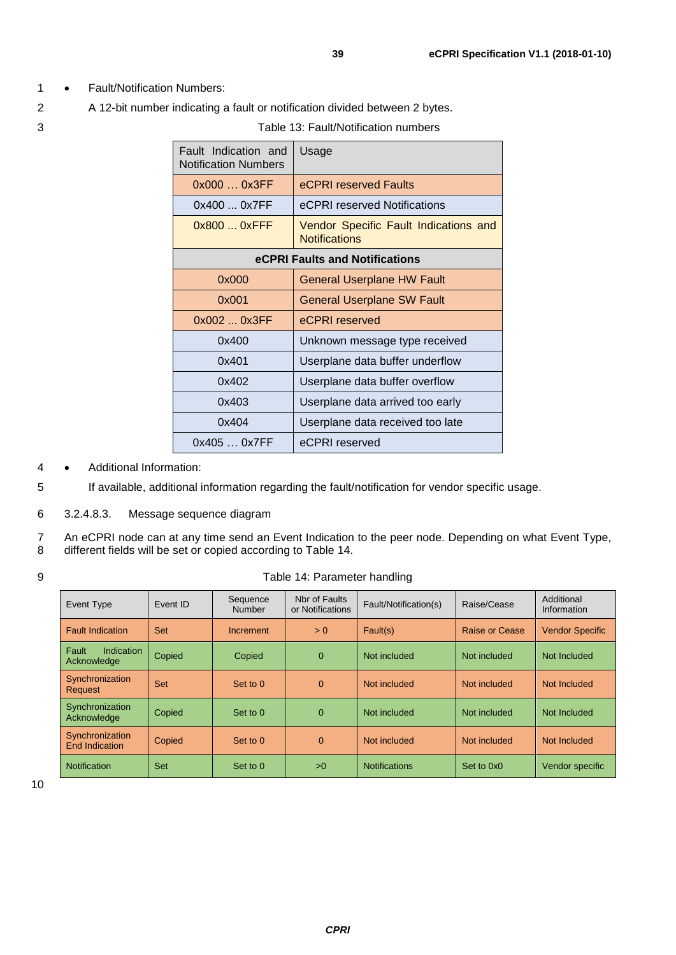- 1 Fault/Notification Numbers:
- 2 A 12-bit number indicating a fault or notification divided between 2 bytes.
- 

| Fault Indication and<br><b>Notification Numbers</b> | Usage                                                         |  |  |
|-----------------------------------------------------|---------------------------------------------------------------|--|--|
| 0x0000x3FF                                          | eCPRI reserved Faults                                         |  |  |
| 0x4000x7FF                                          | eCPRI reserved Notifications                                  |  |  |
| $0x8000x$ FFF                                       | Vendor Specific Fault Indications and<br><b>Notifications</b> |  |  |
| eCPRI Faults and Notifications                      |                                                               |  |  |
| 0x000                                               | General Userplane HW Fault                                    |  |  |
| 0x001                                               | <b>General Userplane SW Fault</b>                             |  |  |
| 0x002  0x3FF                                        | eCPRI reserved                                                |  |  |
| 0x400                                               | Unknown message type received                                 |  |  |
| 0x401                                               | Userplane data buffer underflow                               |  |  |
| 0x402                                               | Userplane data buffer overflow                                |  |  |
| 0x403                                               | Userplane data arrived too early                              |  |  |
| 0x404                                               | Userplane data received too late                              |  |  |
| 0x405  0x7FF                                        | eCPRI reserved                                                |  |  |

4 • Additional Information:

5 If available, additional information regarding the fault/notification for vendor specific usage.

6 3.2.4.8.3. Message sequence diagram

7 An eCPRI node can at any time send an Event Indication to the peer node. Depending on what Event Type, 8 different fields will be set or copied according to [Table 14.](#page-38-0)

<span id="page-38-0"></span>

|  | Table 14: Parameter handling |
|--|------------------------------|
|--|------------------------------|

| Event Type                         | Fvent ID | Sequence<br>Number | Nbr of Faults<br>or Notifications | Fault/Notification(s) | Raise/Cease    | Additional<br>Information |
|------------------------------------|----------|--------------------|-----------------------------------|-----------------------|----------------|---------------------------|
| <b>Fault Indication</b>            | Set      | Increment          | > 0                               | Fault(s)              | Raise or Cease | <b>Vendor Specific</b>    |
| Indication<br>Fault<br>Acknowledge | Copied   | Copied             | $\Omega$                          | Not included          | Not included   | Not Included              |
| Synchronization<br>Request         | Set      | Set to 0           | $\Omega$                          | Not included          | Not included   | Not Included              |
| Synchronization<br>Acknowledge     | Copied   | Set to 0           | $\Omega$                          | Not included          | Not included   | Not Included              |
| Synchronization<br>End Indication  | Copied   | Set to 0           | $\Omega$                          | Not included          | Not included   | Not Included              |
| <b>Notification</b>                | Set      | Set to 0           | >0                                | <b>Notifications</b>  | Set to 0x0     | Vendor specific           |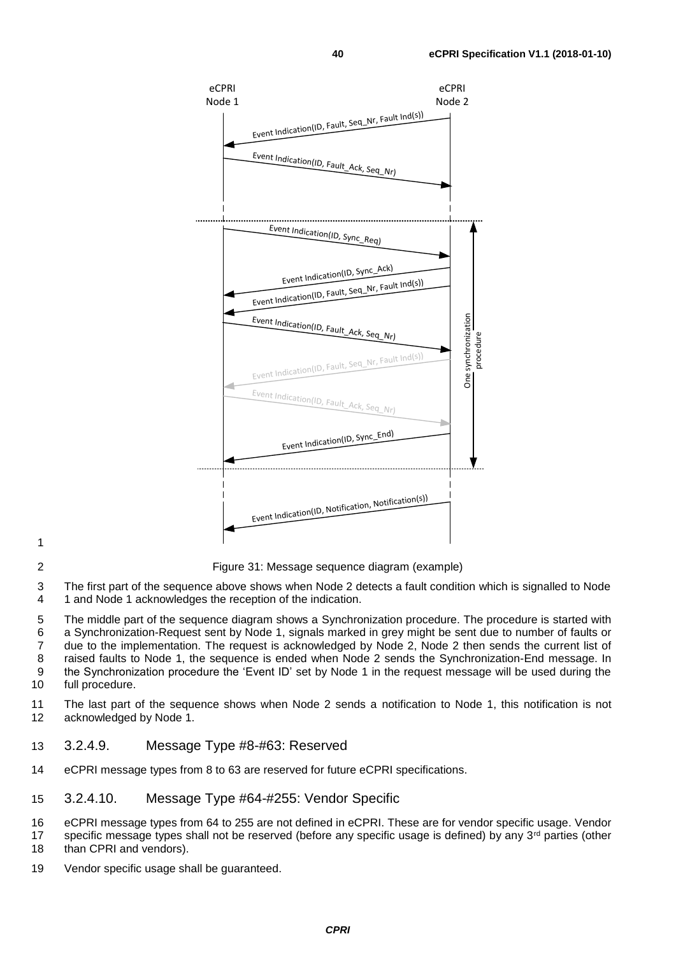

2 Figure 31: Message sequence diagram (example)

3 The first part of the sequence above shows when Node 2 detects a fault condition which is signalled to Node 4 1 and Node 1 acknowledges the reception of the indication.

 The middle part of the sequence diagram shows a Synchronization procedure. The procedure is started with a Synchronization-Request sent by Node 1, signals marked in grey might be sent due to number of faults or due to the implementation. The request is acknowledged by Node 2, Node 2 then sends the current list of raised faults to Node 1, the sequence is ended when Node 2 sends the Synchronization-End message. In the Synchronization procedure the 'Event ID' set by Node 1 in the request message will be used during the full procedure.

11 The last part of the sequence shows when Node 2 sends a notification to Node 1, this notification is not 12 acknowledged by Node 1.

#### <span id="page-39-0"></span>13 3.2.4.9. Message Type #8-#63: Reserved

- 14 eCPRI message types from 8 to 63 are reserved for future eCPRI specifications.
- <span id="page-39-1"></span>15 3.2.4.10. Message Type #64-#255: Vendor Specific

16 eCPRI message types from 64 to 255 are not defined in eCPRI. These are for vendor specific usage. Vendor 17 specific message types shall not be reserved (before any specific usage is defined) by any  $3<sup>rd</sup>$  parties (other 18 than CPRI and vendors).

19 Vendor specific usage shall be guaranteed.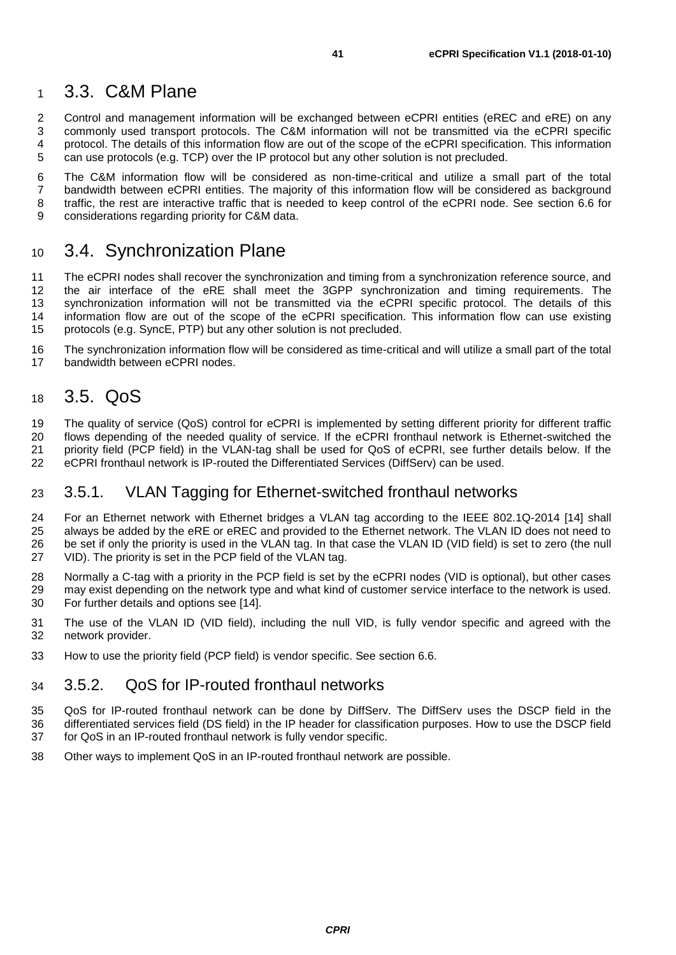### <span id="page-40-0"></span>3.3. C&M Plane

2 Control and management information will be exchanged between eCPRI entities (eREC and eRE) on any<br>3 commonly used transport protocols. The C&M information will not be transmitted via the eCPRI specific 3 commonly used transport protocols. The C&M information will not be transmitted via the eCPRI specific<br>4 protocol. The details of this information flow are out of the scope of the eCPRI specification. This information protocol. The details of this information flow are out of the scope of the eCPRI specification. This information can use protocols (e.g. TCP) over the IP protocol but any other solution is not precluded.

 The C&M information flow will be considered as non-time-critical and utilize a small part of the total bandwidth between eCPRI entities. The majority of this information flow will be considered as background 8 traffic, the rest are interactive traffic that is needed to keep control of the eCPRI node. See section [6.6](#page-55-0) for<br>9 considerations regarding priority for C&M data. considerations regarding priority for C&M data.

### <span id="page-40-1"></span>3.4. Synchronization Plane

11 The eCPRI nodes shall recover the synchronization and timing from a synchronization reference source, and<br>12 the air interface of the eRE shall meet the 3GPP synchronization and timing requirements. The the air interface of the eRE shall meet the 3GPP synchronization and timing requirements. The 13 synchronization information will not be transmitted via the eCPRI specific protocol. The details of this<br>14 information flow are out of the scope of the eCPRI specification. This information flow can use existing 14 information flow are out of the scope of the eCPRI specification. This information flow can use existing<br>15 protocols (e.g. SyncE, PTP) but any other solution is not precluded. protocols (e.g. SyncE, PTP) but any other solution is not precluded.

 The synchronization information flow will be considered as time-critical and will utilize a small part of the total bandwidth between eCPRI nodes.

### <span id="page-40-2"></span>3.5. QoS

 The quality of service (QoS) control for eCPRI is implemented by setting different priority for different traffic flows depending of the needed quality of service. If the eCPRI fronthaul network is Ethernet-switched the priority field (PCP field) in the VLAN-tag shall be used for QoS of eCPRI, see further details below. If the eCPRI fronthaul network is IP-routed the Differentiated Services (DiffServ) can be used.

#### <span id="page-40-3"></span>3.5.1. VLAN Tagging for Ethernet-switched fronthaul networks

 For an Ethernet network with Ethernet bridges a VLAN tag according to the IEEE 802.1Q-2014 [\[14\]](#page-60-15) shall always be added by the eRE or eREC and provided to the Ethernet network. The VLAN ID does not need to be set if only the priority is used in the VLAN tag. In that case the VLAN ID (VID field) is set to zero (the null VID). The priority is set in the PCP field of the VLAN tag.

 Normally a C-tag with a priority in the PCP field is set by the eCPRI nodes (VID is optional), but other cases 29 may exist depending on the network type and what kind of customer service interface to the network is used.<br>30 For further details and options see [14]. For further details and options see [\[14\].](#page-60-15)

- The use of the VLAN ID (VID field), including the null VID, is fully vendor specific and agreed with the network provider.
- How to use the priority field (PCP field) is vendor specific. See section [6.6.](#page-55-0)

#### <span id="page-40-4"></span>3.5.2. QoS for IP-routed fronthaul networks

- QoS for IP-routed fronthaul network can be done by DiffServ. The DiffServ uses the DSCP field in the differentiated services field (DS field) in the IP header for classification purposes. How to use the DSCP field for QoS in an IP-routed fronthaul network is fully vendor specific.
- Other ways to implement QoS in an IP-routed fronthaul network are possible.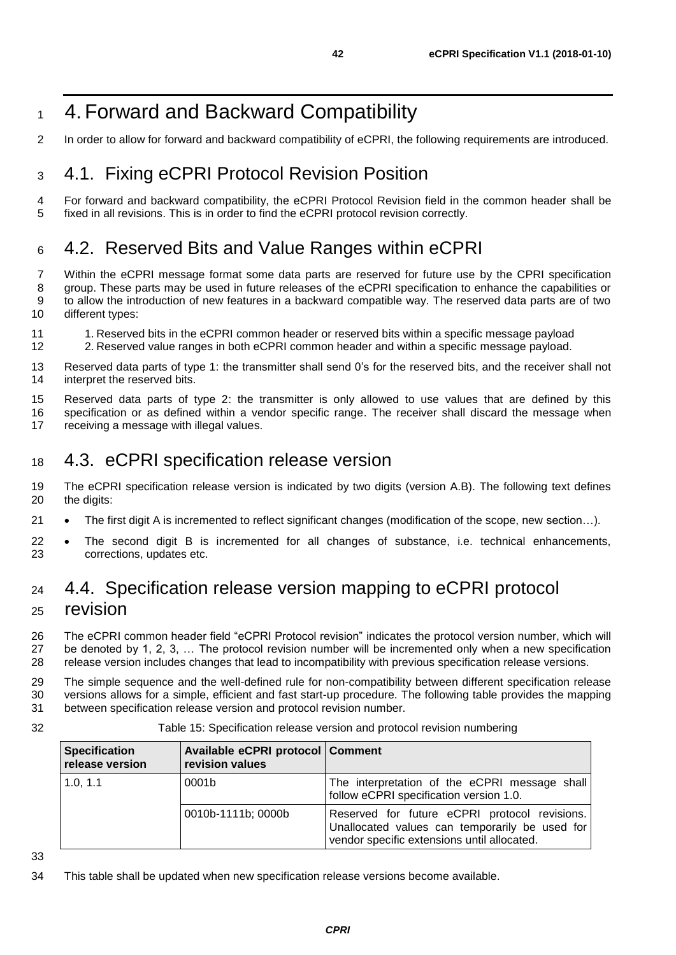### <span id="page-41-0"></span>4.Forward and Backward Compatibility

In order to allow for forward and backward compatibility of eCPRI, the following requirements are introduced.

### <span id="page-41-1"></span>4.1. Fixing eCPRI Protocol Revision Position

 For forward and backward compatibility, the eCPRI Protocol Revision field in the common header shall be fixed in all revisions. This is in order to find the eCPRI protocol revision correctly.

### <span id="page-41-2"></span>4.2. Reserved Bits and Value Ranges within eCPRI

 Within the eCPRI message format some data parts are reserved for future use by the CPRI specification group. These parts may be used in future releases of the eCPRI specification to enhance the capabilities or to allow the introduction of new features in a backward compatible way. The reserved data parts are of two different types:

- 11 1. Reserved bits in the eCPRI common header or reserved bits within a specific message payload
- 2. Reserved value ranges in both eCPRI common header and within a specific message payload.
- 13 Reserved data parts of type 1: the transmitter shall send 0's for the reserved bits, and the receiver shall not 14 interpret the reserved bits. interpret the reserved bits.

 Reserved data parts of type 2: the transmitter is only allowed to use values that are defined by this specification or as defined within a vendor specific range. The receiver shall discard the message when 17 receiving a message with illegal values.

### <span id="page-41-3"></span>4.3. eCPRI specification release version

 The eCPRI specification release version is indicated by two digits (version A.B). The following text defines the digits:

- 21 The first digit A is incremented to reflect significant changes (modification of the scope, new section...).
- The second digit B is incremented for all changes of substance, i.e. technical enhancements, corrections, updates etc.

### <span id="page-41-4"></span> 4.4. Specification release version mapping to eCPRI protocol revision

 The eCPRI common header field "eCPRI Protocol revision" indicates the protocol version number, which will be denoted by 1, 2, 3, … The protocol revision number will be incremented only when a new specification release version includes changes that lead to incompatibility with previous specification release versions.

 The simple sequence and the well-defined rule for non-compatibility between different specification release versions allows for a simple, efficient and fast start-up procedure. The following table provides the mapping between specification release version and protocol revision number.

#### Table 15: Specification release version and protocol revision numbering

| <b>Specification</b><br>release version | Available eCPRI protocol   Comment<br>revision values |                                                                                                                                                |
|-----------------------------------------|-------------------------------------------------------|------------------------------------------------------------------------------------------------------------------------------------------------|
| 1.0, 1.1                                | 0001b                                                 | The interpretation of the eCPRI message shall<br>follow eCPRI specification version 1.0.                                                       |
|                                         | 0010b-1111b; 0000b                                    | Reserved for future eCPRI protocol revisions.<br>Unallocated values can temporarily be used for<br>vendor specific extensions until allocated. |

This table shall be updated when new specification release versions become available.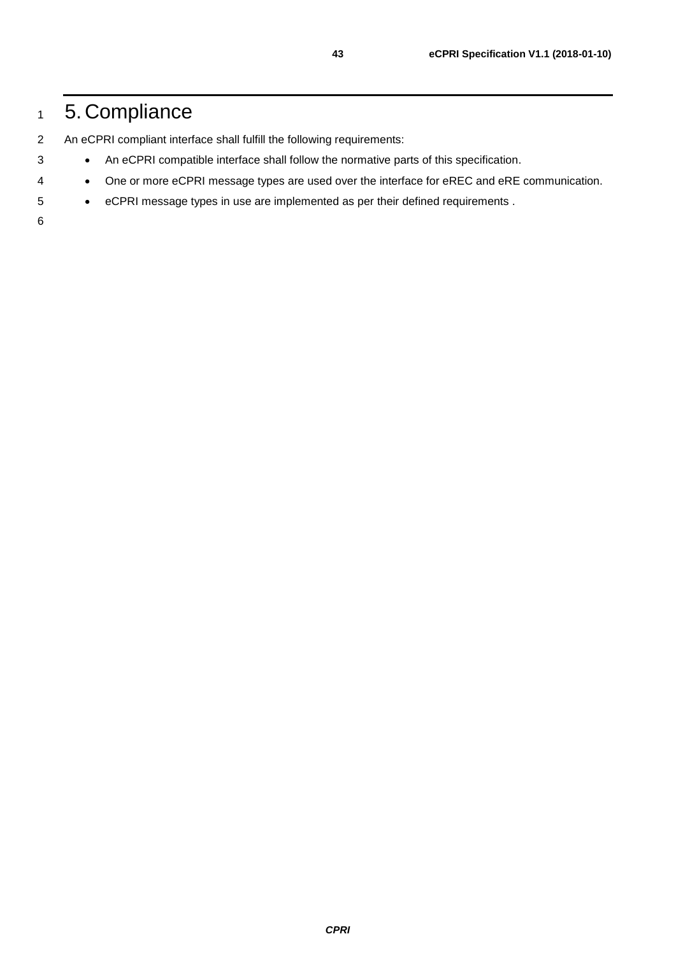### <span id="page-42-0"></span>5. Compliance

- An eCPRI compliant interface shall fulfill the following requirements:
- An eCPRI compatible interface shall follow the normative parts of this specification.
- One or more eCPRI message types are used over the interface for eREC and eRE communication.
- eCPRI message types in use are implemented as per their defined requirements .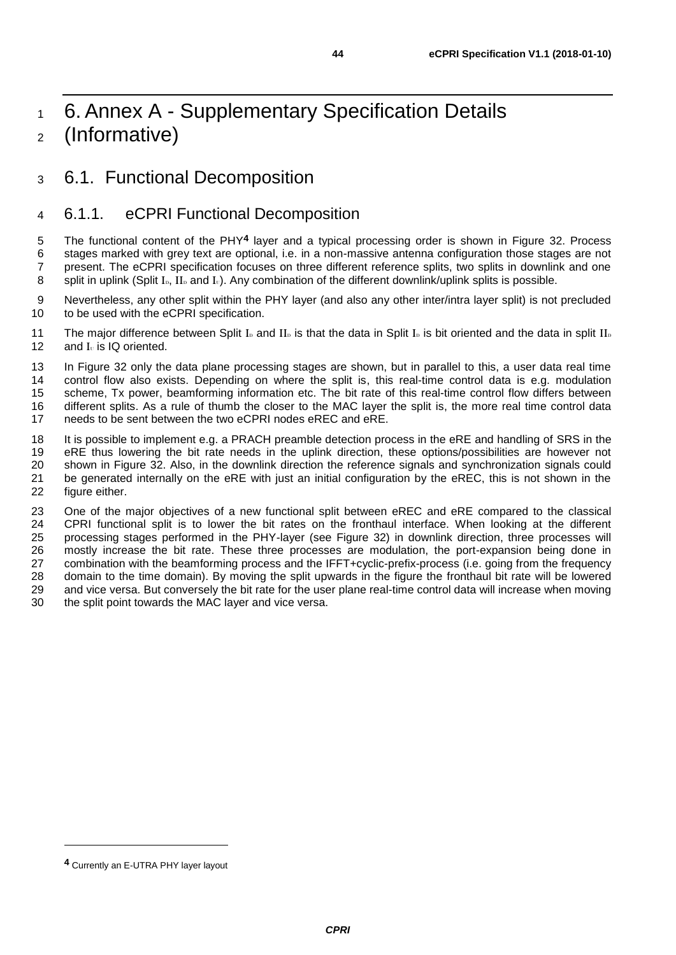### <span id="page-43-0"></span><sup>1</sup> 6. Annex A - Supplementary Specification Details <sup>2</sup> (Informative)

### <span id="page-43-1"></span><sup>3</sup> 6.1. Functional Decomposition

### <span id="page-43-2"></span>4 6.1.1. eCPRI Functional Decomposition

5 The functional content of the PHY<sup>4</sup> layer and a typical processing order is shown in [Figure 32.](#page-44-1) Process 6 stages marked with grey text are optional, i.e. in a non-massive antenna configuration those stages are not 7 present. The eCPRI specification focuses on three different reference splits, two splits in downlink and one 8 split in uplink (Split I<sub>D</sub>, II<sub>D</sub> and I<sub>U</sub>). Any combination of the different downlink/uplink splits is possible.

9 Nevertheless, any other split within the PHY layer (and also any other inter/intra layer split) is not precluded 10 to be used with the eCPRI specification.

11 The major difference between Split I<sub>D</sub> and II<sub>D</sub> is that the data in Split I<sub>D</sub> is bit oriented and the data in split II<sub>D</sub> 12 and  $I_{\text{U}}$  is IQ oriented.

13 In [Figure 32](#page-44-1) only the data plane processing stages are shown, but in parallel to this, a user data real time<br>14 control flow also exists. Depending on where the split is, this real-time control data is e.g. modulation control flow also exists. Depending on where the split is, this real-time control data is e.g. modulation 15 scheme, Tx power, beamforming information etc. The bit rate of this real-time control flow differs between<br>16 different splits. As a rule of thumb the closer to the MAC laver the split is, the more real time control dat different splits. As a rule of thumb the closer to the MAC layer the split is, the more real time control data 17 needs to be sent between the two eCPRI nodes eREC and eRE.

18 It is possible to implement e.g. a PRACH preamble detection process in the eRE and handling of SRS in the 19<br>19 eRE thus lowering the bit rate needs in the uplink direction, these options/possibilities are however not 19 eRE thus lowering the bit rate needs in the uplink direction, these options/possibilities are however not 20 shown in Figure 32. Also, in the downlink direction the reference signals and synchronization signals could shown in [Figure 32.](#page-44-1) Also, in the downlink direction the reference signals and synchronization signals could 21 be generated internally on the eRE with just an initial configuration by the eREC, this is not shown in the 22 figure either. figure either.

 One of the major objectives of a new functional split between eREC and eRE compared to the classical 24 CPRI functional split is to lower the bit rates on the fronthaul interface. When looking at the different 25 processes will processing stages performed in the PHY-layer (see [Figure 32\)](#page-44-1) in downlink direction, three processes will mostly increase the bit rate. These three processes are modulation, the port-expansion being done in combination with the beamforming process and the IFFT+cyclic-prefix-process (i.e. going from the frequency domain to the time domain). By moving the split upwards in the figure the fronthaul bit rate will be lowered and vice versa. But conversely the bit rate for the user plane real-time control data will increase when moving the split point towards the MAC layer and vice versa.

**<sup>4</sup>** Currently an E-UTRA PHY layer layout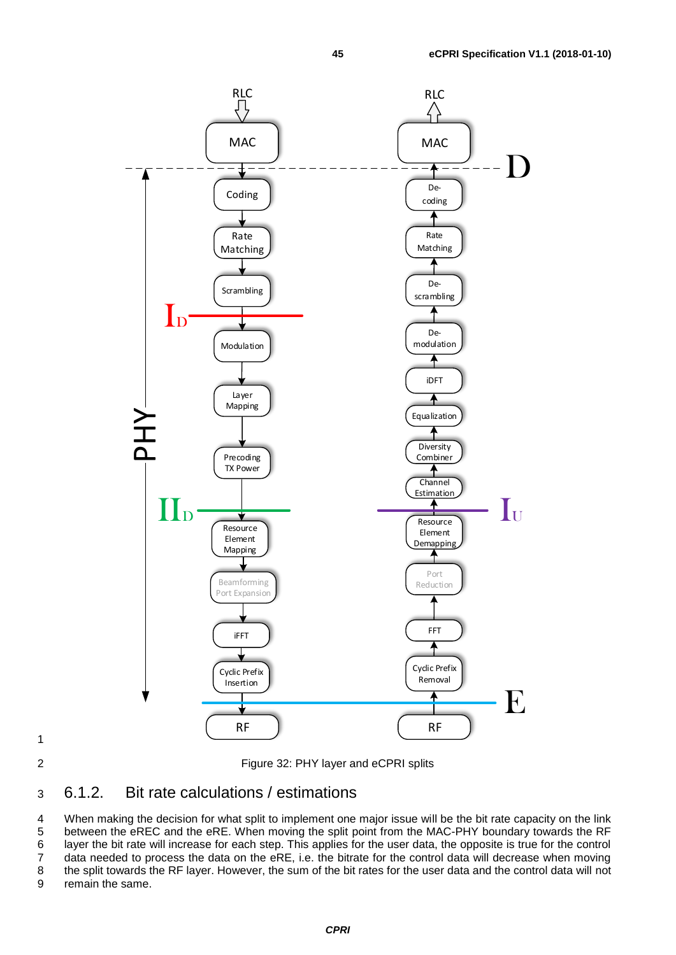

<span id="page-44-1"></span>2 Figure 32: PHY layer and eCPRI splits

### <span id="page-44-0"></span>3 6.1.2. Bit rate calculations / estimations

 When making the decision for what split to implement one major issue will be the bit rate capacity on the link between the eREC and the eRE. When moving the split point from the MAC-PHY boundary towards the RF layer the bit rate will increase for each step. This applies for the user data, the opposite is true for the control data needed to process the data on the eRE, i.e. the bitrate for the control data will decrease when moving the split towards the RF layer. However, the sum of the bit rates for the user data and the control data will not remain the same.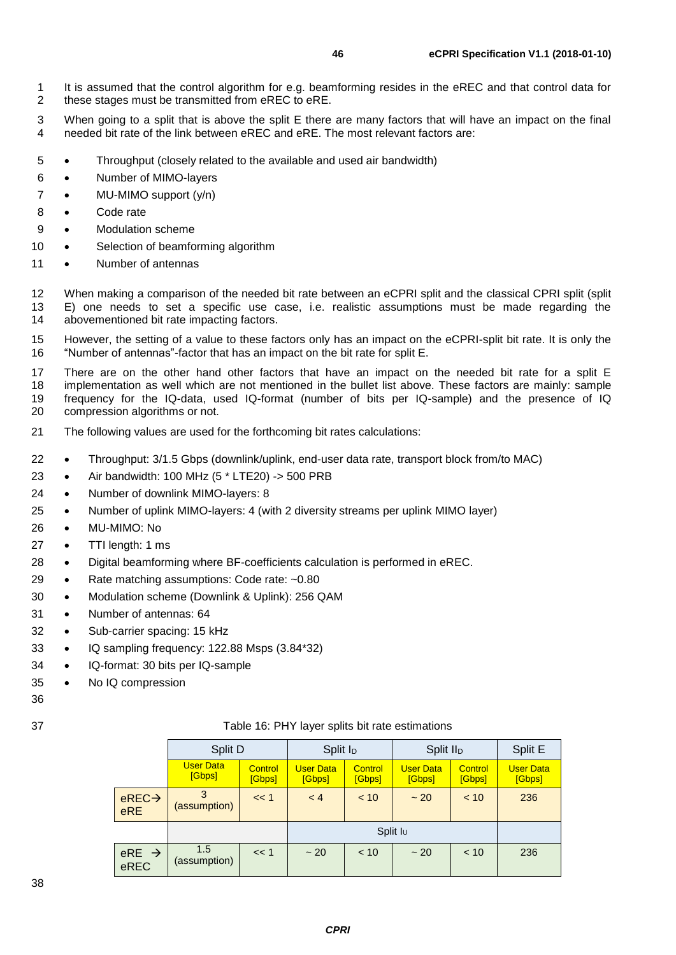3 When going to a split that is above the split E there are many factors that will have an impact on the final 4 needed bit rate of the link between eREC and eRE. The most relevant factors are:

- 5 Throughput (closely related to the available and used air bandwidth)
- 6 Number of MIMO-layers
- 7 MU-MIMO support (y/n)
- 8 Code rate
- 9 Modulation scheme
- 10 Selection of beamforming algorithm
- 11 Number of antennas

12 When making a comparison of the needed bit rate between an eCPRI split and the classical CPRI split (split<br>13 F) one needs to set a specific use case i.e. realistic assumptions must be made regarding the E) one needs to set a specific use case, i.e. realistic assumptions must be made regarding the 14 abovementioned bit rate impacting factors.

15 However, the setting of a value to these factors only has an impact on the eCPRI-split bit rate. It is only the 16 "Number of antennas"-factor that has an impact on the bit rate for split E.

 There are on the other hand other factors that have an impact on the needed bit rate for a split E implementation as well which are not mentioned in the bullet list above. These factors are mainly: sample frequency for the IQ-data, used IQ-format (number of bits per IQ-sample) and the presence of IQ compression algorithms or not.

- 21 The following values are used for the forthcoming bit rates calculations:
- 22 Throughput: 3/1.5 Gbps (downlink/uplink, end-user data rate, transport block from/to MAC)
- 23 Air bandwidth: 100 MHz (5 \* LTE20) -> 500 PRB
- 24 Number of downlink MIMO-layers: 8
- 25 Number of uplink MIMO-layers: 4 (with 2 diversity streams per uplink MIMO layer)
- 26 MU-MIMO: No
- 27 TTI length: 1 ms
- 28 Digital beamforming where BF-coefficients calculation is performed in eREC.
- 29 Rate matching assumptions: Code rate: ~0.80
- 30 Modulation scheme (Downlink & Uplink): 256 QAM
- 31 Number of antennas: 64
- 32 Sub-carrier spacing: 15 kHz
- 33 IQ sampling frequency: 122.88 Msps (3.84\*32)
- 34 IQ-format: 30 bits per IQ-sample
- 35 No IQ compression
- 36
- 

| 37 | Table 16: PHY layer splits bit rate estimations |
|----|-------------------------------------------------|
|    |                                                 |

|                              | Split D                    |                   | Split I <sub>D</sub>       |                          | Split II <sub>D</sub>      |                   | Split E                    |
|------------------------------|----------------------------|-------------------|----------------------------|--------------------------|----------------------------|-------------------|----------------------------|
|                              | <b>User Data</b><br>[Gbps] | Control<br>[Gbps] | <b>User Data</b><br>[Gbps] | <b>Control</b><br>[Gbps] | <b>User Data</b><br>[Gbps] | Control<br>[Gbps] | <b>User Data</b><br>[Gbps] |
| $e$ REC $\rightarrow$<br>eRE | (assumption)               | << 1              | < 4                        | < 10                     | $~1$ 20                    | < 10              | 236                        |
|                              |                            |                   |                            |                          | Split I <sub>U</sub>       |                   |                            |
| $eRE$ $\rightarrow$<br>eREC  | 1.5<br>(assumption)        | << 1              | $~1$ 20                    | < 10                     | $~1$ 20                    | < 10              | 236                        |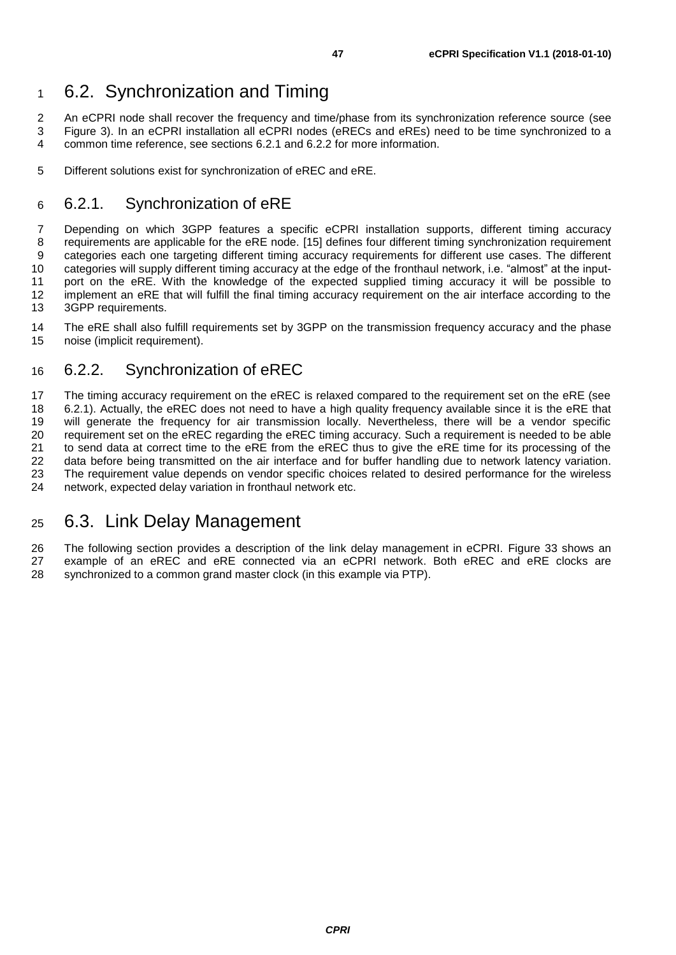### <span id="page-46-0"></span><sup>1</sup> 6.2. Synchronization and Timing

2 An eCPRI node shall recover the frequency and time/phase from its synchronization reference source (see<br>3 Figure 3). In an eCPRI installation all eCPRI nodes (eRECs and eREs) need to be time synchronized to a 3 [Figure 3\)](#page-6-1). In an eCPRI installation all eCPRI nodes (eRECs and eREs) need to be time synchronized to a<br>4 common time reference, see sections 6.2.1 and 6.2.2 for more information. common time reference, see sections [6.2.1](#page-46-1) and [6.2.2](#page-46-2) for more information.

5 Different solutions exist for synchronization of eREC and eRE.

### <span id="page-46-1"></span>6 6.2.1. Synchronization of eRE

7 Depending on which 3GPP features a specific eCPRI installation supports, different timing accuracy 8 requirements are applicable for the eRE node. [\[15\]](#page-60-2) defines four different timing synchronization requirement<br>9 categories each one targeting different timing accuracy requirements for different use cases. The different 9 categories each one targeting different timing accuracy requirements for different use cases. The different<br>10 categories will supply different timing accuracy at the edge of the fronthaul network, i.e. "almost" at the i categories will supply different timing accuracy at the edge of the fronthaul network, i.e. "almost" at the input-11 port on the eRE. With the knowledge of the expected supplied timing accuracy it will be possible to 12 implement an eRE that will fulfill the final timing accuracy requirement on the air interface according to the implement an eRE that will fulfill the final timing accuracy requirement on the air interface according to the 13 3GPP requirements.

14 The eRE shall also fulfill requirements set by 3GPP on the transmission frequency accuracy and the phase 15<br>15 noise (implicit requirement). noise (implicit requirement).

### <span id="page-46-2"></span>16 6.2.2. Synchronization of eREC

17 The timing accuracy requirement on the eREC is relaxed compared to the requirement set on the eRE (see<br>18 6.2.1). Actually, the eREC does not need to have a high quality frequency available since it is the eRE that [6.2.1\)](#page-46-1). Actually, the eREC does not need to have a high quality frequency available since it is the eRE that will generate the frequency for air transmission locally. Nevertheless, there will be a vendor specific 20 requirement set on the eREC regarding the eREC timing accuracy. Such a requirement is needed to be able<br>21 to send data at correct time to the eRE from the eREC thus to give the eRE time for its processing of the to send data at correct time to the eRE from the eREC thus to give the eRE time for its processing of the data before being transmitted on the air interface and for buffer handling due to network latency variation. The requirement value depends on vendor specific choices related to desired performance for the wireless network, expected delay variation in fronthaul network etc.

### <span id="page-46-3"></span><sup>25</sup> 6.3. Link Delay Management

26 The following section provides a description of the link delay management in eCPRI. [Figure 33](#page-47-1) shows an 27 example of an eREC and eRE connected via an eCPRI network. Both eREC and eRE clocks are 28 synchronized to a common grand master clock (in this example via PTP).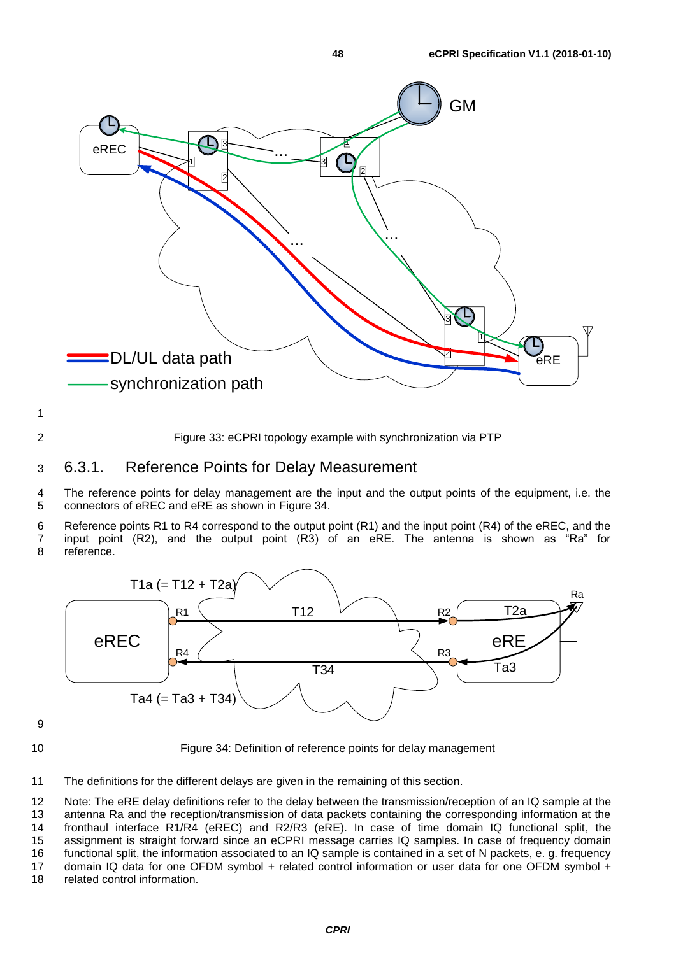

<span id="page-47-1"></span>2 Figure 33: eCPRI topology example with synchronization via PTP

#### <span id="page-47-0"></span>3 6.3.1. Reference Points for Delay Measurement

4 The reference points for delay management are the input and the output points of the equipment, i.e. the 5 connectors of eREC and eRE as shown in [Figure 34.](#page-47-2)

6 Reference points R1 to R4 correspond to the output point (R1) and the input point (R4) of the eREC, and the <br>7 input point (R2), and the output point (R3) of an eRE. The antenna is shown as "Ra" for 7 input point (R2), and the output point (R3) of an eRE. The antenna is shown as "Ra" for reference.



9

<span id="page-47-2"></span>10 Figure 34: Definition of reference points for delay management

11 The definitions for the different delays are given in the remaining of this section.

 Note: The eRE delay definitions refer to the delay between the transmission/reception of an IQ sample at the antenna Ra and the reception/transmission of data packets containing the corresponding information at the fronthaul interface R1/R4 (eREC) and R2/R3 (eRE). In case of time domain IQ functional split, the assignment is straight forward since an eCPRI message carries IQ samples. In case of frequency domain functional split, the information associated to an IQ sample is contained in a set of N packets, e. g. frequency 17 domain IQ data for one OFDM symbol + related control information or user data for one OFDM symbol + related control information.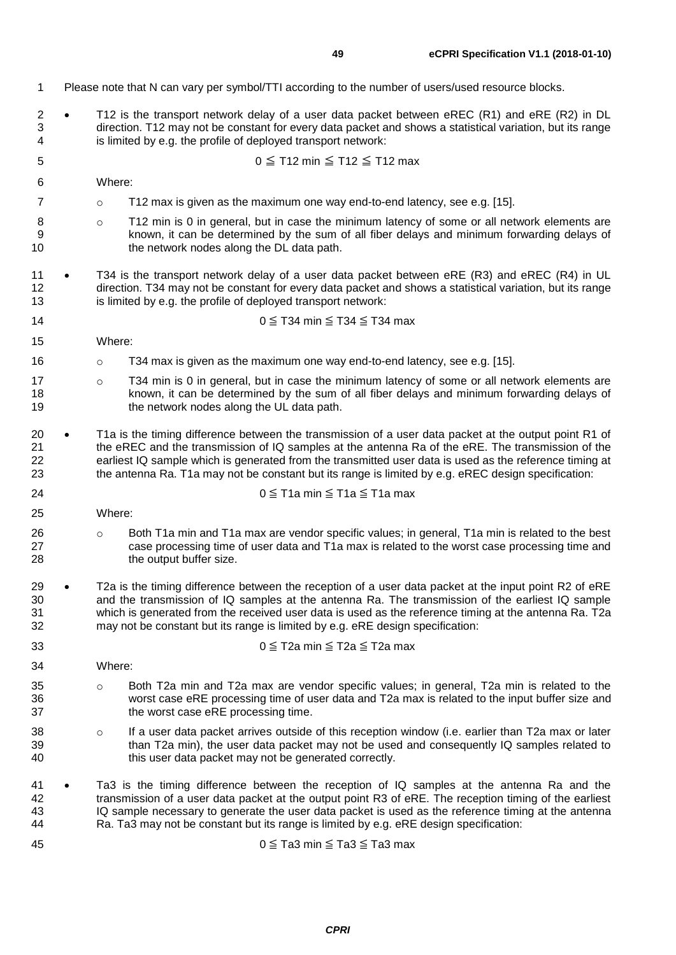- Please note that N can vary per symbol/TTI according to the number of users/used resource blocks.
- T12 is the transport network delay of a user data packet between eREC (R1) and eRE (R2) in DL direction. T12 may not be constant for every data packet and shows a statistical variation, but its range is limited by e.g. the profile of deployed transport network:

$$
0 \leq T12 \text{ min} \leq T12 \leq T12 \text{ max}
$$

- Where:
- **b T12 max is given as the maximum one way end-to-end latency, see e.g. [\[15\].](#page-60-2)**
- 8 **b**  $\circ$  T12 min is 0 in general, but in case the minimum latency of some or all network elements are known, it can be determined by the sum of all fiber delays and minimum forwarding delays of 10 the network nodes along the DL data path.
- 11 T34 is the transport network delay of a user data packet between eRE (R3) and eREC (R4) in UL direction. T34 may not be constant for every data packet and shows a statistical variation, but its range is limited by e.g. the profile of deployed transport network:
- 14 0  $\leq$  T34 min  $\leq$  T34  $\leq$  T34 max
- Where:
- **b o T34 max is given as the maximum one way end-to-end latency, see e.g. [\[15\].](#page-60-2)**
- 17 o T34 min is 0 in general, but in case the minimum latency of some or all network elements are known, it can be determined by the sum of all fiber delays and minimum forwarding delays of 19 the network nodes along the UL data path.
- 20 T1a is the timing difference between the transmission of a user data packet at the output point R1 of the eREC and the transmission of IQ samples at the antenna Ra of the eRE. The transmission of the earliest IQ sample which is generated from the transmitted user data is used as the reference timing at the antenna Ra. T1a may not be constant but its range is limited by e.g. eREC design specification:

$$
24 \qquad 0 \leq T1a \text{ min} \leq T1a \leq T1a \text{ max}
$$

- Where:
- 26 o Both T1a min and T1a max are vendor specific values; in general, T1a min is related to the best case processing time of user data and T1a max is related to the worst case processing time and 27 case processing time of user data and T1a max is related to the worst case processing time and<br>28 the output buffer size. the output buffer size.
- 29 T2a is the timing difference between the reception of a user data packet at the input point R2 of eRE and the transmission of IQ samples at the antenna Ra. The transmission of the earliest IQ sample which is generated from the received user data is used as the reference timing at the antenna Ra. T2a may not be constant but its range is limited by e.g. eRE design specification:

$$
0 \leq T2a \text{ min} \leq T2a \leq T2a \text{ max}
$$

Where:

- 35 o Both T2a min and T2a max are vendor specific values; in general, T2a min is related to the worst case eRE processing time of user data and T2a max is related to the input buffer size and 37 the worst case eRE processing time.
- 38 o If a user data packet arrives outside of this reception window (i.e. earlier than T2a max or later than T2a min), the user data packet may not be used and consequently IQ samples related to this user data packet may not be generated correctly.
- Ta3 is the timing difference between the reception of IQ samples at the antenna Ra and the transmission of a user data packet at the output point R3 of eRE. The reception timing of the earliest IQ sample necessary to generate the user data packet is used as the reference timing at the antenna Ra. Ta3 may not be constant but its range is limited by e.g. eRE design specification:

$$
0 \leq Ta3 \text{ min} \leq Ta3 \leq Ta3 \text{ max}
$$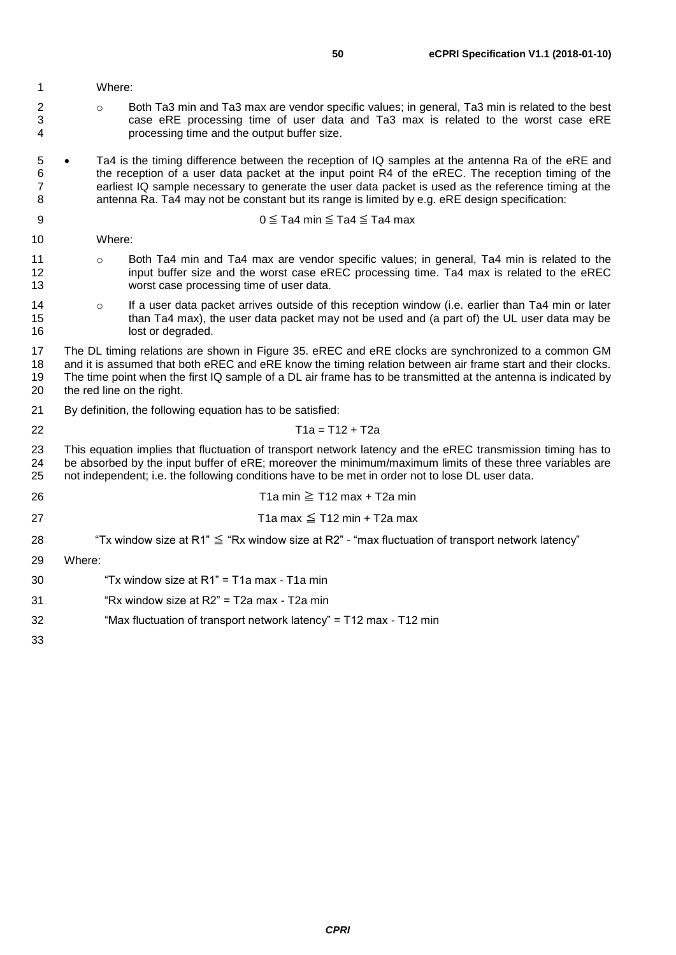|  |  |  |  |  |  |  |  |  |  |  |  | 1 | Where: |
|--|--|--|--|--|--|--|--|--|--|--|--|---|--------|
|  |  |  |  |  |  |  |  |  |  |  |  |   |        |
|  |  |  |  |  |  |  |  |  |  |  |  |   |        |
|  |  |  |  |  |  |  |  |  |  |  |  |   |        |
|  |  |  |  |  |  |  |  |  |  |  |  |   |        |
|  |  |  |  |  |  |  |  |  |  |  |  |   |        |
|  |  |  |  |  |  |  |  |  |  |  |  |   |        |
|  |  |  |  |  |  |  |  |  |  |  |  |   |        |
|  |  |  |  |  |  |  |  |  |  |  |  |   |        |
|  |  |  |  |  |  |  |  |  |  |  |  |   |        |
|  |  |  |  |  |  |  |  |  |  |  |  |   |        |

- 2 o Both Ta3 min and Ta3 max are vendor specific values; in general, Ta3 min is related to the best 3 case eRE processing time of user data and Ta3 max is related to the worst case eRE 4 processing time and the output buffer size.
- 5 Ta4 is the timing difference between the reception of IQ samples at the antenna Ra of the eRE and 6 the reception of a user data packet at the input point R4 of the eREC. The reception timing of the 7 earliest IQ sample necessary to generate the user data packet is used as the reference timing at the 8 antenna Ra. Ta4 may not be constant but its range is limited by e.g. eRE design specification:

$$
9 \qquad \qquad 9 \leq Ta4 \text{ min} \leq Ta4 \leq Ta4 \text{ max}
$$

10 Where:

- 11 o Both Ta4 min and Ta4 max are vendor specific values; in general, Ta4 min is related to the 12 input buffer size and the worst case eREC processing time. Ta4 max is related to the eREC 13 worst case processing time of user data.
- 14 o If a user data packet arrives outside of this reception window (i.e. earlier than Ta4 min or later<br>15 than Ta4 max), the user data packet may not be used and (a part of) the UL user data may be 15 than Ta4 max), the user data packet may not be used and (a part of) the UL user data may be 16<br>16 16 lost or degraded.
- 17 The DL timing relations are shown in [Figure 35.](#page-50-0) eREC and eRE clocks are synchronized to a common GM 18 and it is assumed that both eREC and eRE know the timing relation between air frame start and their clocks.<br>19 The time point when the first IQ sample of a DL air frame has to be transmitted at the antenna is indicated The time point when the first IQ sample of a DL air frame has to be transmitted at the antenna is indicated by 20 the red line on the right.

21 By definition, the following equation has to be satisfied:

22 T1a = T12 + T2a

23 This equation implies that fluctuation of transport network latency and the eREC transmission timing has to 24 be absorbed by the input buffer of eRE; moreover the minimum/maximum limits of these three variables are 25 not independent: i.e. the following conditions have to be met in order not to lose DL user data. not independent; i.e. the following conditions have to be met in order not to lose DL user data.

- 26 T1a min ≧ T12 max + T2a min
- $27$  T1a max  $\leq$  T12 min + T2a max
- 28 "Tx window size at R1"  $\leq$  "Rx window size at R2" "max fluctuation of transport network latency"

29 Where:

- 30 "Tx window size at R1" = T1a max T1a min
- 31 "Rx window size at R2" = T2a max T2a min
- 32 "Max fluctuation of transport network latency" = T12 max T12 min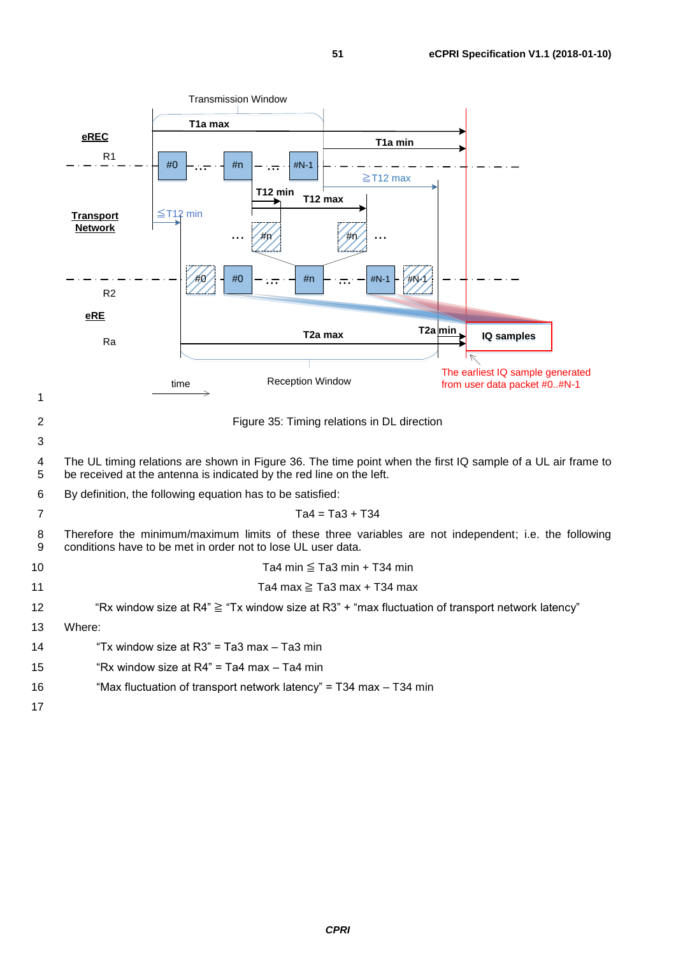<span id="page-50-0"></span>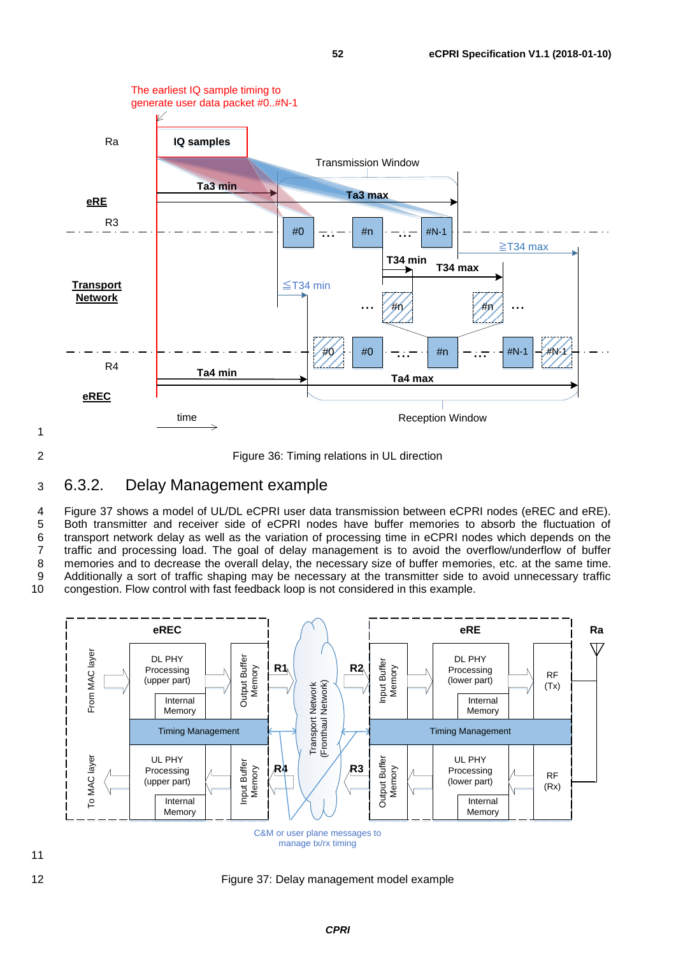

<span id="page-51-1"></span>2 Figure 36: Timing relations in UL direction

#### <span id="page-51-0"></span>3 6.3.2. Delay Management example

4 [Figure 37](#page-51-2) shows a model of UL/DL eCPRI user data transmission between eCPRI nodes (eREC and eRE). 5 Both transmitter and receiver side of eCPRI nodes have buffer memories to absorb the fluctuation of 6 transport network delay as well as the variation of processing time in eCPRI nodes which depends on the 7 traffic and processing load. The goal of delay management is to avoid the overflow/underflow of buffer 8 memories and to decrease the overall delay, the necessary size of buffer memories, etc. at the same time.<br>8 Additionally a sort of traffic shaping may be necessary at the transmitter side to avoid unnecessary traffic 9 Additionally a sort of traffic shaping may be necessary at the transmitter side to avoid unnecessary traffic<br>10 congestion. Flow control with fast feedback loop is not considered in this example. congestion. Flow control with fast feedback loop is not considered in this example.



<span id="page-51-2"></span>12 Figure 37: Delay management model example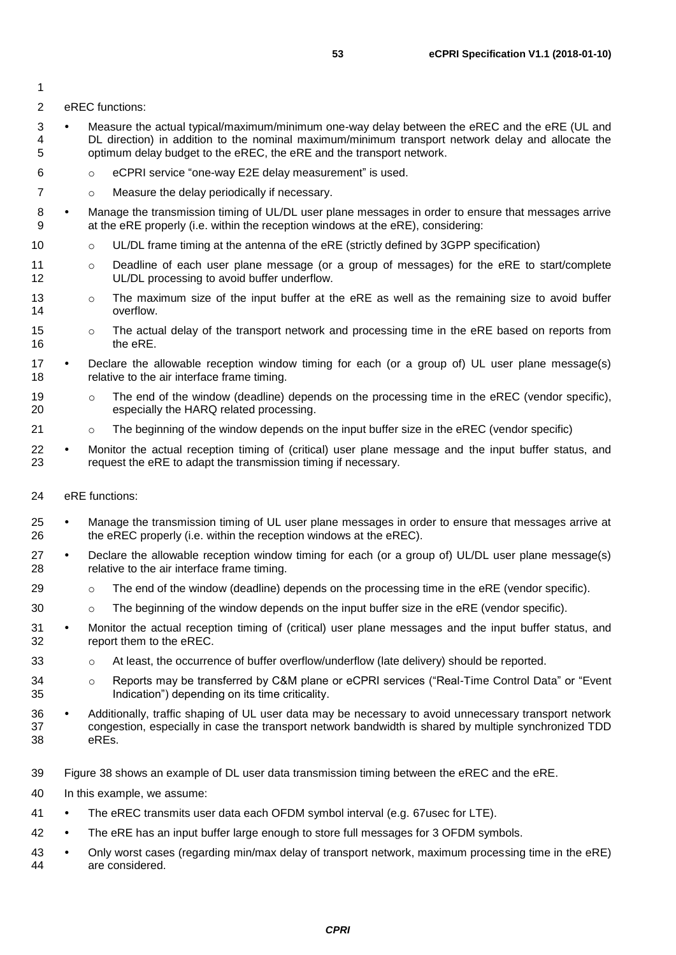2 eREC functions:

- 3 Measure the actual typical/maximum/minimum one-way delay between the eREC and the eRE (UL and 4 DL direction) in addition to the nominal maximum/minimum transport network delay and allocate the 5 optimum delay budget to the eREC, the eRE and the transport network.
- 6 o eCPRI service "one-way E2E delay measurement" is used.
- 7 o Measure the delay periodically if necessary.
- 8 Manage the transmission timing of UL/DL user plane messages in order to ensure that messages arrive 9 at the eRE properly (i.e. within the reception windows at the eRE), considering:
- 10 **o** UL/DL frame timing at the antenna of the eRE (strictly defined by 3GPP specification)
- 11 o Deadline of each user plane message (or a group of messages) for the eRE to start/complete 12 UL/DL processing to avoid buffer underflow.
- 13 o The maximum size of the input buffer at the eRE as well as the remaining size to avoid buffer 14 overflow.
- 15 only The actual delay of the transport network and processing time in the eRE based on reports from 16 the eRE.
- 17 Declare the allowable reception window timing for each (or a group of) UL user plane message(s) 18 relative to the air interface frame timing.
- 19 o The end of the window (deadline) depends on the processing time in the eREC (vendor specific), 20 especially the HARQ related processing.
- 21 o The beginning of the window depends on the input buffer size in the eREC (vendor specific)
- 22 Monitor the actual reception timing of (critical) user plane message and the input buffer status, and 23 request the eRE to adapt the transmission timing if necessary.
- 24 eRE functions:
- 25 Manage the transmission timing of UL user plane messages in order to ensure that messages arrive at 26 the eREC properly (i.e. within the reception windows at the eREC).
- 27 Declare the allowable reception window timing for each (or a group of) UL/DL user plane message(s) 28 relative to the air interface frame timing.
- 29 **charge 1** or The end of the window (deadline) depends on the processing time in the eRE (vendor specific).
- 30 **b on The beginning of the window depends on the input buffer size in the eRE (vendor specific).**
- 31 Monitor the actual reception timing of (critical) user plane messages and the input buffer status, and 32 report them to the eREC.
- 33 obtailer as At least, the occurrence of buffer overflow/underflow (late delivery) should be reported.
- 34 o Reports may be transferred by C&M plane or eCPRI services ("Real-Time Control Data" or "Event 35 Indication") depending on its time criticality.
- 36 Additionally, traffic shaping of UL user data may be necessary to avoid unnecessary transport network 37 congestion, especially in case the transport network bandwidth is shared by multiple synchronized TDD 38 eREs.
- 39 [Figure 38](#page-53-1) shows an example of DL user data transmission timing between the eREC and the eRE.
- 40 In this example, we assume:
- 41 The eREC transmits user data each OFDM symbol interval (e.g. 67usec for LTE).
- 42 The eRE has an input buffer large enough to store full messages for 3 OFDM symbols.
- 43 Only worst cases (regarding min/max delay of transport network, maximum processing time in the eRE) 44 are considered.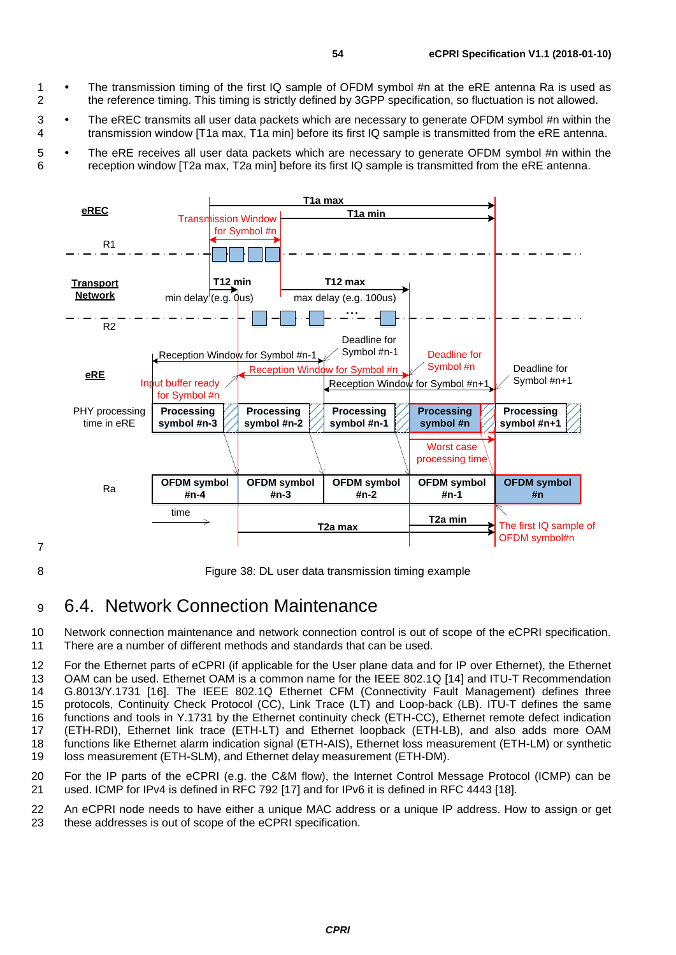- 1 The transmission timing of the first IQ sample of OFDM symbol #n at the eRE antenna Ra is used as<br>2 the reference timing. This timing is strictly defined by 3GPP specification, so fluctuation is not allowed. 2 the reference timing. This timing is strictly defined by 3GPP specification, so fluctuation is not allowed.
- 3 The eREC transmits all user data packets which are necessary to generate OFDM symbol #n within the 4 transmission window [T1a max, T1a min] before its first IQ sample is transmitted from the eRE antenna.
- 5 The eRE receives all user data packets which are necessary to generate OFDM symbol #n within the 6 reception window [T2a max, T2a min] before its first IQ sample is transmitted from the eRE antenna.



<span id="page-53-1"></span>8 Figure 38: DL user data transmission timing example

### <span id="page-53-0"></span><sup>9</sup> 6.4. Network Connection Maintenance

10 Network connection maintenance and network connection control is out of scope of the eCPRI specification. 11 There are a number of different methods and standards that can be used.

 For the Ethernet parts of eCPRI (if applicable for the User plane data and for IP over Ethernet), the Ethernet OAM can be used. Ethernet OAM is a common name for the IEEE 802.1Q [\[14\]](#page-60-15) and ITU-T Recommendation G.8013/Y.1731 [\[16\].](#page-60-16) The IEEE 802.1Q Ethernet CFM (Connectivity Fault Management) defines three protocols, Continuity Check Protocol (CC), Link Trace (LT) and Loop-back (LB). ITU-T defines the same functions and tools in Y.1731 by the Ethernet continuity check (ETH-CC), Ethernet remote defect indication (ETH-RDI), Ethernet link trace (ETH-LT) and Ethernet loopback (ETH-LB), and also adds more OAM functions like Ethernet alarm indication signal (ETH-AIS), Ethernet loss measurement (ETH-LM) or synthetic loss measurement (ETH-SLM), and Ethernet delay measurement (ETH-DM).

20 For the IP parts of the eCPRI (e.g. the C&M flow), the Internet Control Message Protocol (ICMP) can be 21 used. ICMP for IPv4 is defined in RFC 792 [\[17\]](#page-60-17) and for IPv6 it is defined in RFC 4443 [\[18\].](#page-60-18)

22 An eCPRI node needs to have either a unique MAC address or a unique IP address. How to assign or get 23 these addresses is out of scope of the eCPRI specification.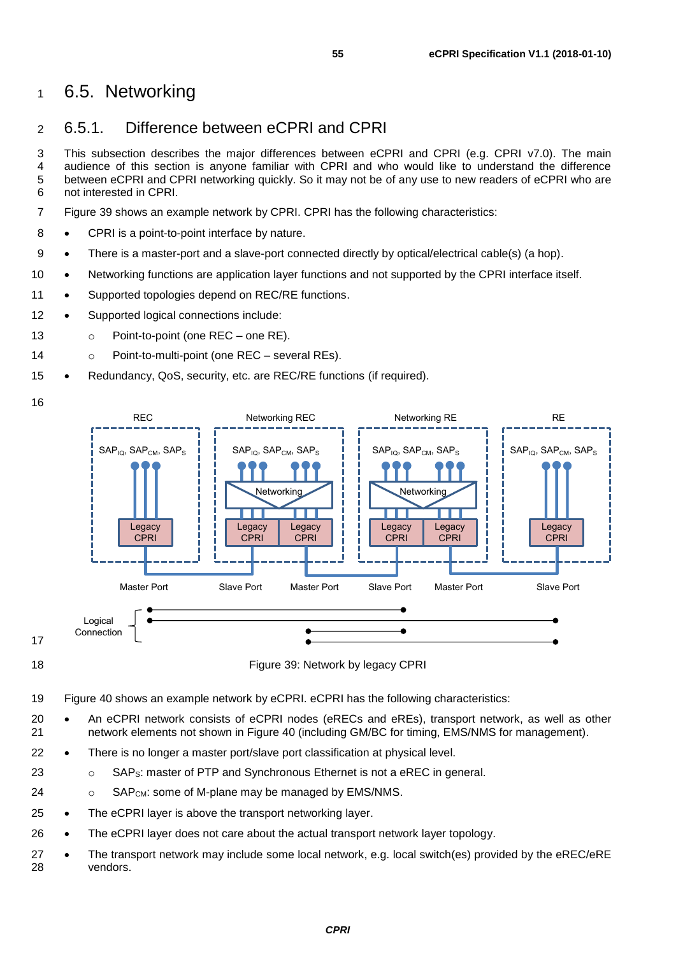### <span id="page-54-0"></span><sup>1</sup> 6.5. Networking

### <span id="page-54-1"></span>2 6.5.1. Difference between eCPRI and CPRI

3 This subsection describes the major differences between eCPRI and CPRI (e.g. CPRI v7.0). The main<br>4 audience of this section is anyone familiar with CPRI and who would like to understand the difference audience of this section is anyone familiar with CPRI and who would like to understand the difference 5 between eCPRI and CPRI networking quickly. So it may not be of any use to new readers of eCPRI who are 6 not interested in CPRI.

7 [Figure 39](#page-54-2) shows an example network by CPRI. CPRI has the following characteristics:

- 8 CPRI is a point-to-point interface by nature.
- 9 There is a master-port and a slave-port connected directly by optical/electrical cable(s) (a hop).
- 10 Networking functions are application layer functions and not supported by the CPRI interface itself.
- 11 Supported topologies depend on REC/RE functions.
- 12 Supported logical connections include:
- 13 o Point-to-point (one REC one RE).
- 14 o Point-to-multi-point (one REC several REs).
- 15 Redundancy, QoS, security, etc. are REC/RE functions (if required).





17

<span id="page-54-2"></span>18 Figure 39: Network by legacy CPRI

- 19 [Figure 40](#page-55-2) shows an example network by eCPRI. eCPRI has the following characteristics:
- 20 An eCPRI network consists of eCPRI nodes (eRECs and eREs), transport network, as well as other 21 network elements not shown in [Figure 40](#page-55-2) (including GM/BC for timing, EMS/NMS for management).
- 22 There is no longer a master port/slave port classification at physical level.
- 23 o SAP<sub>S</sub>: master of PTP and Synchronous Ethernet is not a eREC in general.
- 24 o SAP<sub>CM</sub>: some of M-plane may be managed by EMS/NMS.
- 25 The eCPRI layer is above the transport networking layer.
- 26 The eCPRI layer does not care about the actual transport network layer topology.
- 27 The transport network may include some local network, e.g. local switch(es) provided by the eREC/eRE 28 vendors.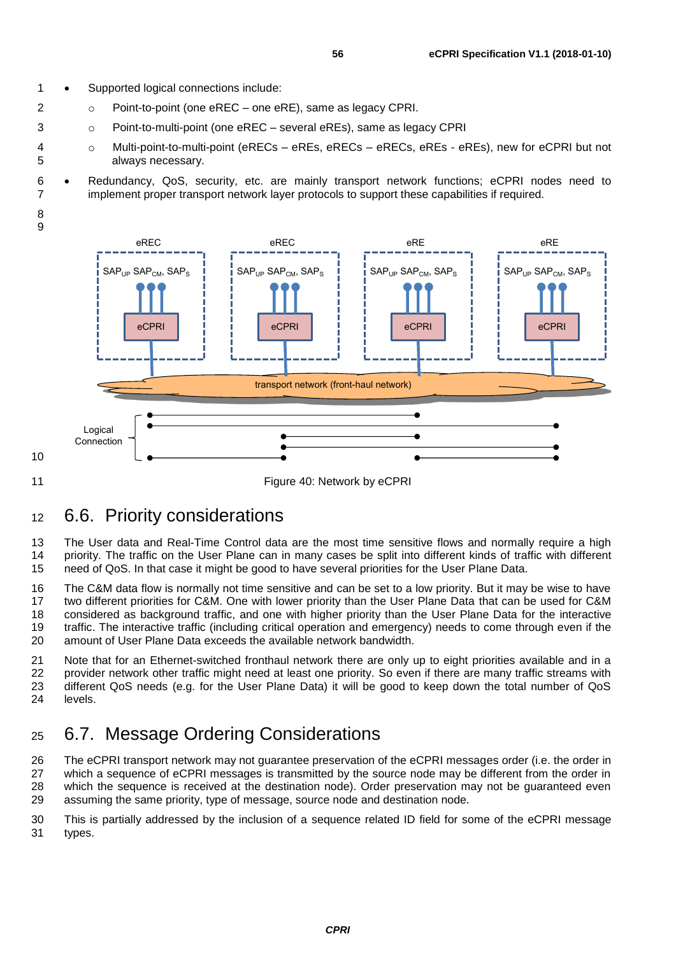1 • Supported logical connections include:

8 9

<span id="page-55-2"></span>10

- 2  $\circ$  Point-to-point (one eREC one eRE), same as legacy CPRI.
- 3 o Point-to-multi-point (one eREC several eREs), same as legacy CPRI
- 4 o Multi-point-to-multi-point (eRECs eREs, eRECs eRECs, eREs eREs), new for eCPRI but not always necessary.
- 6 Redundancy, QoS, security, etc. are mainly transport network functions; eCPRI nodes need to implement proper transport network layer protocols to support these capabilities if required.
- transport network (front-haul network) eCPRI  $SAP<sub>UP</sub>$   $SAP<sub>CM</sub>$ ,  $SAP<sub>S</sub>$ eREC eCPRI  $SAP<sub>UP</sub>$   $SAP<sub>CM</sub>$ ,  $SAP<sub>S</sub>$ eREC  $e$ CPR  $SAP<sub>UP</sub>$   $SAP<sub>CM</sub>$ ,  $SAP<sub>S</sub>$ eRE eCPRI  $SAP<sub>UP</sub>$   $SAP<sub>CM</sub>$ ,  $SAP<sub>S</sub>$ eRE Logical Connection 11 **Figure 40: Network by eCPRI**

### <span id="page-55-0"></span><sup>12</sup> 6.6. Priority considerations

13 The User data and Real-Time Control data are the most time sensitive flows and normally require a high 14 priority. The traffic on the User Plane can in many cases be split into different kinds of traffic with different 15 need of QoS. In that case it might be good to have several priorities for the User Plane Data.

 The C&M data flow is normally not time sensitive and can be set to a low priority. But it may be wise to have two different priorities for C&M. One with lower priority than the User Plane Data that can be used for C&M considered as background traffic, and one with higher priority than the User Plane Data for the interactive traffic. The interactive traffic (including critical operation and emergency) needs to come through even if the amount of User Plane Data exceeds the available network bandwidth.

21 Note that for an Ethernet-switched fronthaul network there are only up to eight priorities available and in a<br>22 orovider network other traffic might need at least one priority. So even if there are many traffic streams 22 provider network other traffic might need at least one priority. So even if there are many traffic streams with 23 different QoS needs (e.g. for the User Plane Data) it will be good to keep down the total number of QoS 24 levels.

### <span id="page-55-1"></span><sup>25</sup> 6.7. Message Ordering Considerations

 The eCPRI transport network may not guarantee preservation of the eCPRI messages order (i.e. the order in which a sequence of eCPRI messages is transmitted by the source node may be different from the order in which the sequence is received at the destination node). Order preservation may not be guaranteed even assuming the same priority, type of message, source node and destination node.

30 This is partially addressed by the inclusion of a sequence related ID field for some of the eCPRI message 31 types.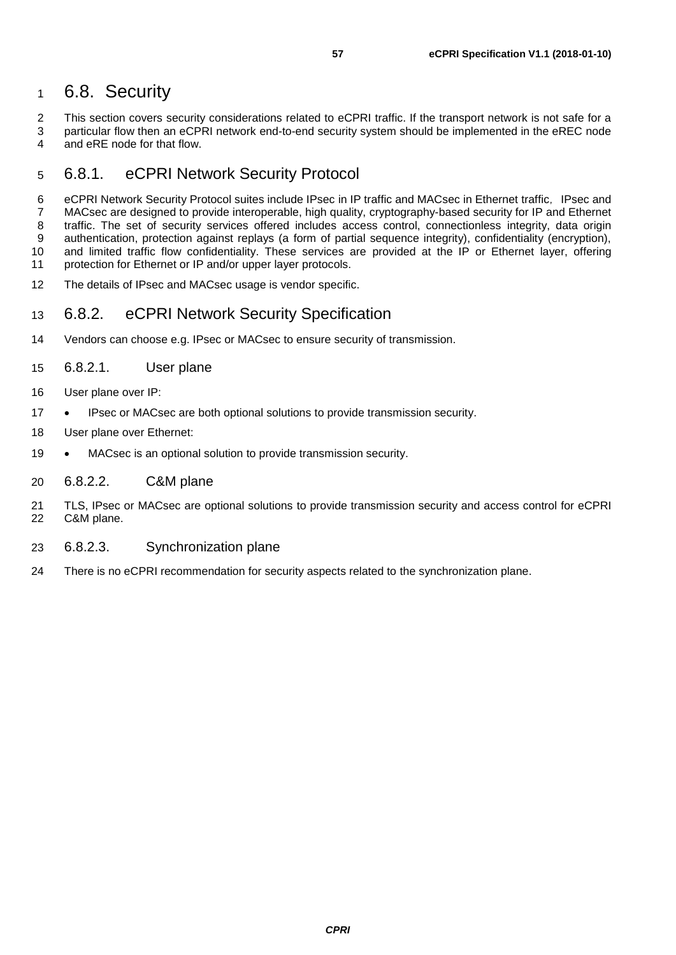### <span id="page-56-0"></span>6.8. Security

2 This section covers security considerations related to eCPRI traffic. If the transport network is not safe for a<br>3 particular flow then an eCPRI network end-to-end security system should be implemented in the eREC node 3 particular flow then an eCPRI network end-to-end security system should be implemented in the eREC node<br>4 and eRE node for that flow. and eRE node for that flow.

### <span id="page-56-1"></span>6.8.1. eCPRI Network Security Protocol

6 eCPRI Network Security Protocol suites include IPsec in IP traffic and MACsec in Ethernet traffic, IPsec and MACsec are designed to provide interoperable, high quality, cryptography-based security for IP and Ethernet traffic. The set of security services offered includes access control, connectionless integrity, data origin authentication, protection against replays (a form of partial sequence integrity), confidentiality (encryption), and limited traffic flow confidentiality. These services are provided at the IP or Ethernet layer, offering 11 protection for Ethernet or IP and/or upper layer protocols.

The details of IPsec and MACsec usage is vendor specific.

#### <span id="page-56-2"></span>6.8.2. eCPRI Network Security Specification

Vendors can choose e.g. IPsec or MACsec to ensure security of transmission.

#### <span id="page-56-3"></span>6.8.2.1. User plane

- User plane over IP:
- IPsec or MACsec are both optional solutions to provide transmission security.
- User plane over Ethernet:
- 19 MACsec is an optional solution to provide transmission security.

#### <span id="page-56-4"></span>6.8.2.2. C&M plane

- TLS, IPsec or MACsec are optional solutions to provide transmission security and access control for eCPRI C&M plane.
- <span id="page-56-5"></span>6.8.2.3. Synchronization plane
- There is no eCPRI recommendation for security aspects related to the synchronization plane.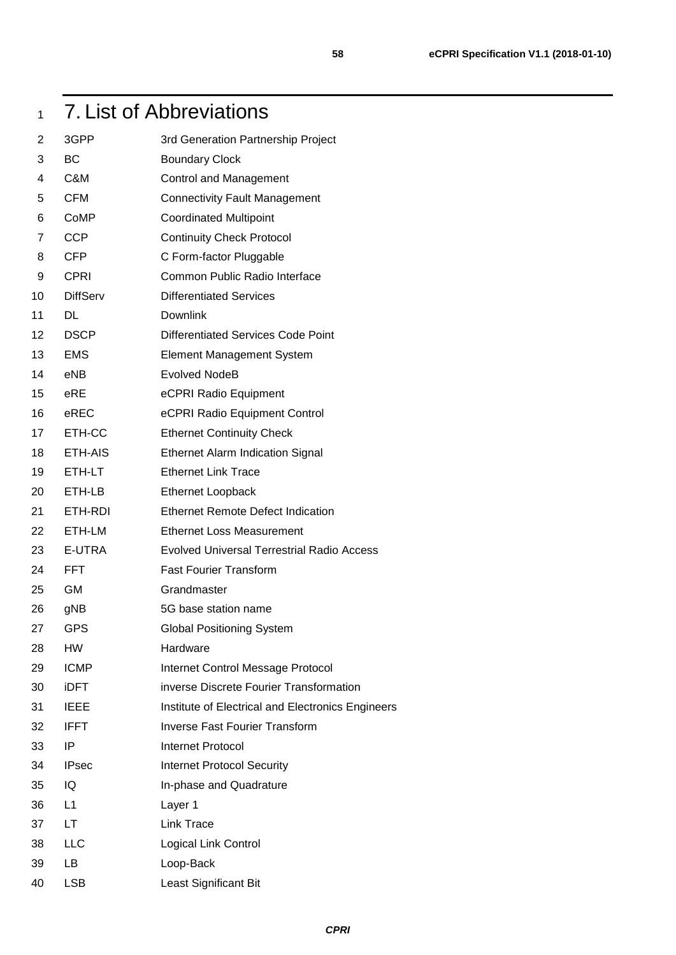## <span id="page-57-0"></span>7. List of Abbreviations

| 2  | 3GPP            | 3rd Generation Partnership Project                |
|----|-----------------|---------------------------------------------------|
| 3  | <b>BC</b>       | <b>Boundary Clock</b>                             |
| 4  | C&M             | <b>Control and Management</b>                     |
| 5  | <b>CFM</b>      | <b>Connectivity Fault Management</b>              |
| 6  | CoMP            | <b>Coordinated Multipoint</b>                     |
| 7  | <b>CCP</b>      | <b>Continuity Check Protocol</b>                  |
| 8  | <b>CFP</b>      | C Form-factor Pluggable                           |
| 9  | <b>CPRI</b>     | Common Public Radio Interface                     |
| 10 | <b>DiffServ</b> | <b>Differentiated Services</b>                    |
| 11 | DL              | Downlink                                          |
| 12 | <b>DSCP</b>     | Differentiated Services Code Point                |
| 13 | <b>EMS</b>      | <b>Element Management System</b>                  |
| 14 | eNB             | <b>Evolved NodeB</b>                              |
| 15 | eRE             | eCPRI Radio Equipment                             |
| 16 | eREC            | eCPRI Radio Equipment Control                     |
| 17 | ETH-CC          | <b>Ethernet Continuity Check</b>                  |
| 18 | ETH-AIS         | <b>Ethernet Alarm Indication Signal</b>           |
| 19 | ETH-LT          | <b>Ethernet Link Trace</b>                        |
| 20 | ETH-LB          | <b>Ethernet Loopback</b>                          |
| 21 | ETH-RDI         | <b>Ethernet Remote Defect Indication</b>          |
| 22 | ETH-LM          | <b>Ethernet Loss Measurement</b>                  |
| 23 | E-UTRA          | <b>Evolved Universal Terrestrial Radio Access</b> |
| 24 | <b>FFT</b>      | <b>Fast Fourier Transform</b>                     |
| 25 | <b>GM</b>       | Grandmaster                                       |
| 26 | gNB             | 5G base station name                              |
| 27 | <b>GPS</b>      | <b>Global Positioning System</b>                  |
| 28 | <b>HW</b>       | Hardware                                          |
| 29 | <b>ICMP</b>     | Internet Control Message Protocol                 |
| 30 | <b>iDFT</b>     | inverse Discrete Fourier Transformation           |
| 31 | <b>IEEE</b>     | Institute of Electrical and Electronics Engineers |
| 32 | <b>IFFT</b>     | <b>Inverse Fast Fourier Transform</b>             |
| 33 | IP              | Internet Protocol                                 |
| 34 | <b>IPsec</b>    | <b>Internet Protocol Security</b>                 |
| 35 | IQ              | In-phase and Quadrature                           |
| 36 | L1              | Layer 1                                           |
| 37 | LT.             | Link Trace                                        |
| 38 | LLC             | Logical Link Control                              |
| 39 | LB              | Loop-Back                                         |
| 40 | <b>LSB</b>      | Least Significant Bit                             |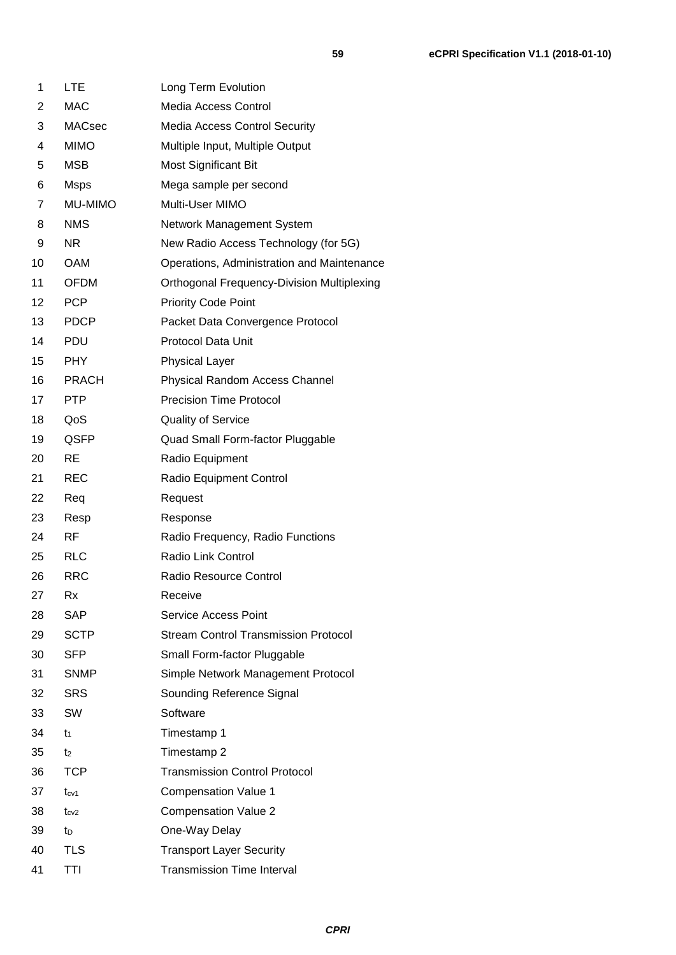| 1                 | <b>LTE</b>     | Long Term Evolution                               |
|-------------------|----------------|---------------------------------------------------|
| 2                 | <b>MAC</b>     | Media Access Control                              |
| 3                 | <b>MACsec</b>  | <b>Media Access Control Security</b>              |
| 4                 | <b>MIMO</b>    | Multiple Input, Multiple Output                   |
| 5                 | <b>MSB</b>     | <b>Most Significant Bit</b>                       |
| 6                 | <b>Msps</b>    | Mega sample per second                            |
| 7                 | MU-MIMO        | Multi-User MIMO                                   |
| 8                 | <b>NMS</b>     | Network Management System                         |
| 9                 | <b>NR</b>      | New Radio Access Technology (for 5G)              |
| 10                | <b>OAM</b>     | Operations, Administration and Maintenance        |
| 11                | <b>OFDM</b>    | <b>Orthogonal Frequency-Division Multiplexing</b> |
| $12 \overline{ }$ | <b>PCP</b>     | <b>Priority Code Point</b>                        |
| 13                | <b>PDCP</b>    | Packet Data Convergence Protocol                  |
| 14                | <b>PDU</b>     | <b>Protocol Data Unit</b>                         |
| 15                | <b>PHY</b>     | <b>Physical Layer</b>                             |
| 16                | <b>PRACH</b>   | Physical Random Access Channel                    |
| 17                | <b>PTP</b>     | <b>Precision Time Protocol</b>                    |
| 18                | QoS            | <b>Quality of Service</b>                         |
| 19                | QSFP           | Quad Small Form-factor Pluggable                  |
| 20                | <b>RE</b>      | Radio Equipment                                   |
| 21                | <b>REC</b>     | Radio Equipment Control                           |
| 22                | Req            | Request                                           |
| 23                | Resp           | Response                                          |
| 24                | RF.            | Radio Frequency, Radio Functions                  |
| 25                | <b>RLC</b>     | Radio Link Control                                |
| 26                | <b>RRC</b>     | Radio Resource Control                            |
| 27                | Rx             | Receive                                           |
| 28                | SAP            | Service Access Point                              |
| 29                | <b>SCTP</b>    | <b>Stream Control Transmission Protocol</b>       |
| 30                | <b>SFP</b>     | Small Form-factor Pluggable                       |
| 31                | <b>SNMP</b>    | Simple Network Management Protocol                |
| 32                | <b>SRS</b>     | Sounding Reference Signal                         |
| 33                | <b>SW</b>      | Software                                          |
| 34                | $t_1$          | Timestamp 1                                       |
| 35                | t <sub>2</sub> | Timestamp 2                                       |
| 36                | <b>TCP</b>     | <b>Transmission Control Protocol</b>              |
| 37                | $t_{cv1}$      | <b>Compensation Value 1</b>                       |
| 38                | $t_{cv2}$      | <b>Compensation Value 2</b>                       |
| 39                | to             | One-Way Delay                                     |
| 40                | <b>TLS</b>     | <b>Transport Layer Security</b>                   |
| 41                | TTI            | <b>Transmission Time Interval</b>                 |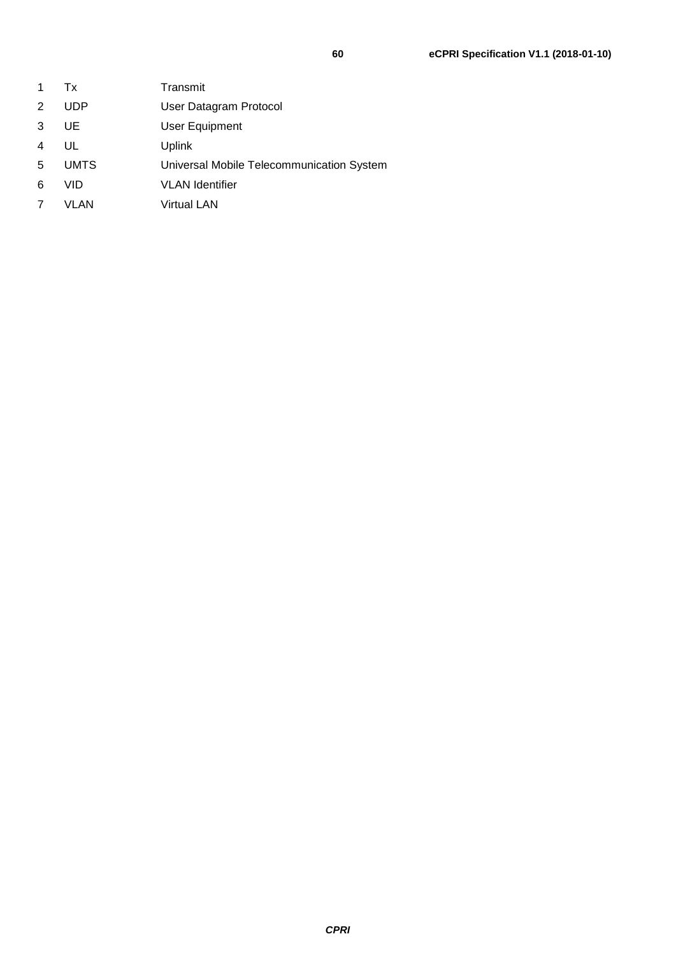| 1.             | Tx          | Transmit                                  |
|----------------|-------------|-------------------------------------------|
| $\mathbf{2}^-$ | <b>UDP</b>  | User Datagram Protocol                    |
| 3              | UE.         | User Equipment                            |
| 4              | UL          | <b>Uplink</b>                             |
| 5              | <b>UMTS</b> | Universal Mobile Telecommunication System |
| 6              | VID         | <b>VLAN</b> Identifier                    |
|                |             |                                           |

7 VLAN Virtual LAN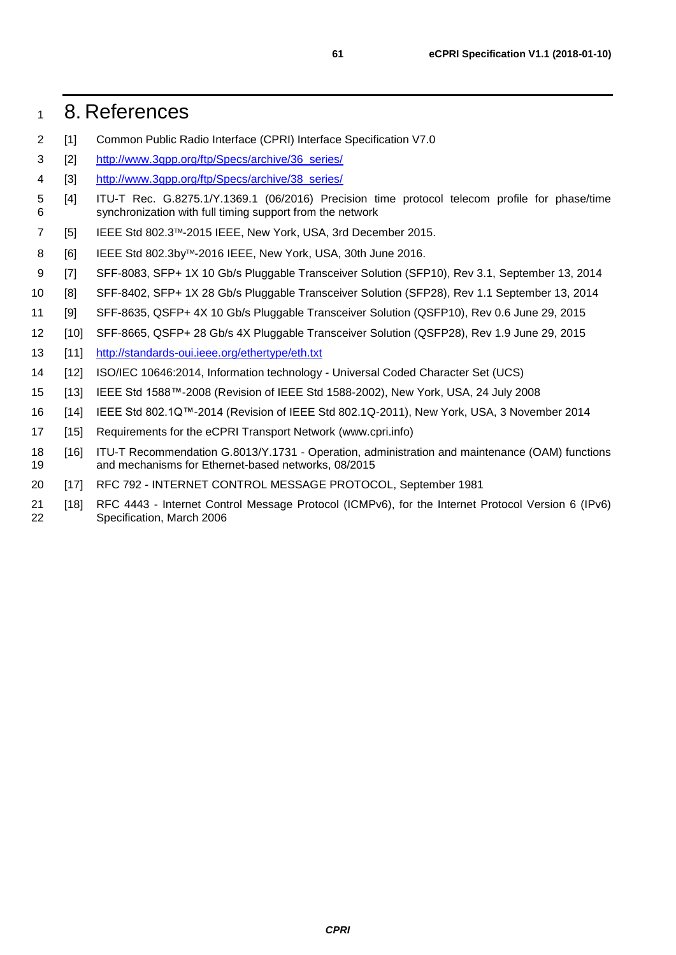### <span id="page-60-0"></span>8. References

- <span id="page-60-1"></span>[1] Common Public Radio Interface (CPRI) Interface Specification V7.0
- <span id="page-60-3"></span>[2] [http://www.3gpp.org/ftp/Specs/archive/36\\_series/](http://www.3gpp.org/ftp/Specs/archive/36_series/)
- <span id="page-60-4"></span>4 [3] http://www.3gpp.org/ftp/Specs/archive/38 series/
- <span id="page-60-5"></span> [4] ITU-T Rec. G.8275.1/Y.1369.1 (06/2016) Precision time protocol telecom profile for phase/time synchronization with full timing support from the network
- <span id="page-60-6"></span>7 [5] IEEE Std 802.3™-2015 IEEE, New York, USA, 3rd December 2015.
- <span id="page-60-7"></span>8 [6] IEEE Std 802.3by™-2016 IEEE, New York, USA, 30th June 2016.
- <span id="page-60-8"></span>[7] SFF-8083, SFP+ 1X 10 Gb/s Pluggable Transceiver Solution (SFP10), Rev 3.1, September 13, 2014
- <span id="page-60-9"></span>[8] SFF-8402, SFP+ 1X 28 Gb/s Pluggable Transceiver Solution (SFP28), Rev 1.1 September 13, 2014
- <span id="page-60-10"></span>[9] SFF-8635, QSFP+ 4X 10 Gb/s Pluggable Transceiver Solution (QSFP10), Rev 0.6 June 29, 2015
- <span id="page-60-11"></span>[10] SFF-8665, QSFP+ 28 Gb/s 4X Pluggable Transceiver Solution (QSFP28), Rev 1.9 June 29, 2015
- <span id="page-60-12"></span>13 [11] <http://standards-oui.ieee.org/ethertype/eth.txt>
- <span id="page-60-13"></span>[12] ISO/IEC 10646:2014, Information technology - Universal Coded Character Set (UCS)
- <span id="page-60-14"></span>[13] IEEE Std 1588™-2008 (Revision of IEEE Std 1588-2002), New York, USA, 24 July 2008
- <span id="page-60-15"></span>[14] IEEE Std 802.1Q™-2014 (Revision of IEEE Std 802.1Q-2011), New York, USA, 3 November 2014
- <span id="page-60-2"></span>[15] Requirements for the eCPRI Transport Network (www.cpri.info)
- <span id="page-60-16"></span> [16] ITU-T Recommendation G.8013/Y.1731 - Operation, administration and maintenance (OAM) functions and mechanisms for Ethernet-based networks, 08/2015
- <span id="page-60-17"></span>[17] RFC 792 - INTERNET CONTROL MESSAGE PROTOCOL, September 1981
- <span id="page-60-18"></span> [18] RFC 4443 - Internet Control Message Protocol (ICMPv6), for the Internet Protocol Version 6 (IPv6) Specification, March 2006